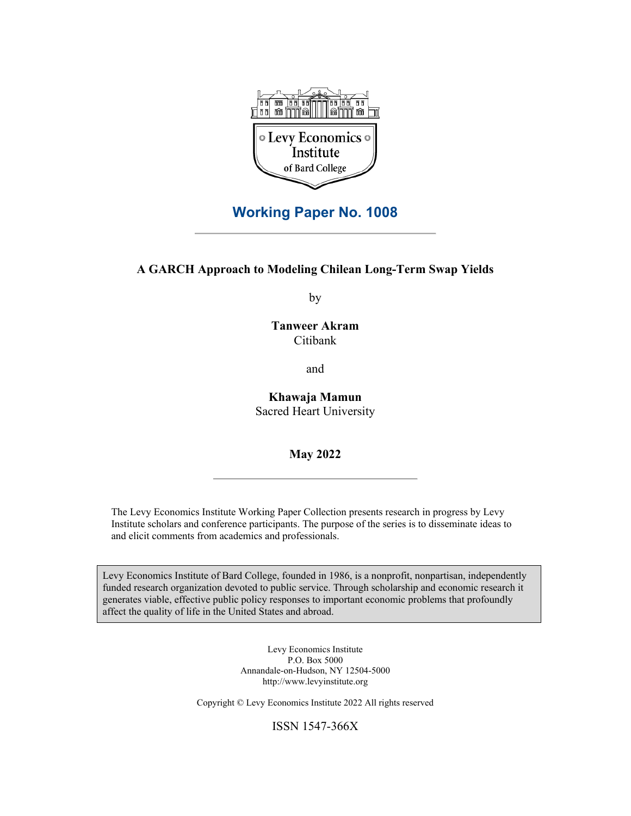

## **Working Paper No. 1008**

#### **A GARCH Approach to Modeling Chilean Long-Term Swap Yields**

by

**Tanweer Akram**  Citibank

and

**Khawaja Mamun**  Sacred Heart University

**May 2022** 

The Levy Economics Institute Working Paper Collection presents research in progress by Levy Institute scholars and conference participants. The purpose of the series is to disseminate ideas to and elicit comments from academics and professionals.

Levy Economics Institute of Bard College, founded in 1986, is a nonprofit, nonpartisan, independently funded research organization devoted to public service. Through scholarship and economic research it generates viable, effective public policy responses to important economic problems that profoundly affect the quality of life in the United States and abroad.

> Levy Economics Institute P.O. Box 5000 Annandale-on-Hudson, NY 12504-5000 http://www.levyinstitute.org

Copyright © Levy Economics Institute 2022 All rights reserved

ISSN 1547-366X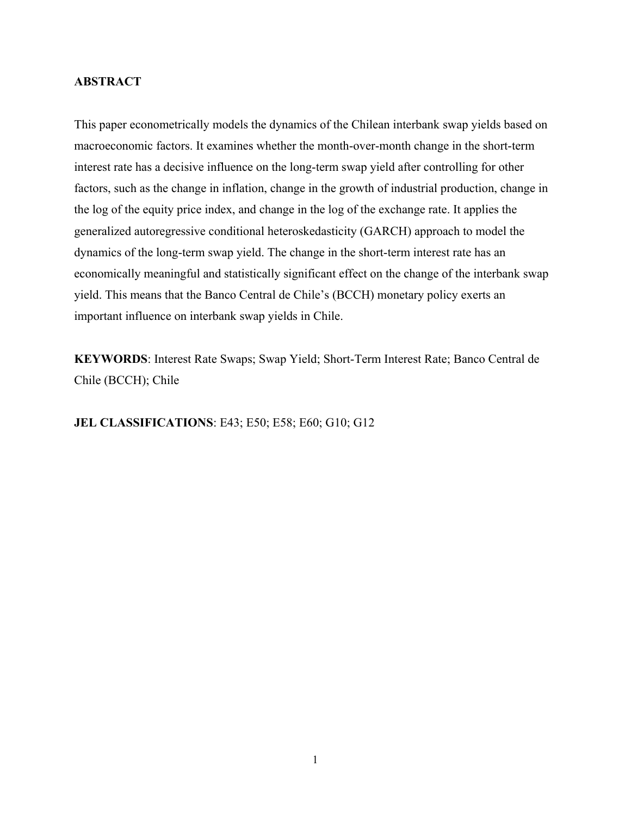#### **ABSTRACT**

This paper econometrically models the dynamics of the Chilean interbank swap yields based on macroeconomic factors. It examines whether the month-over-month change in the short-term interest rate has a decisive influence on the long-term swap yield after controlling for other factors, such as the change in inflation, change in the growth of industrial production, change in the log of the equity price index, and change in the log of the exchange rate. It applies the generalized autoregressive conditional heteroskedasticity (GARCH) approach to model the dynamics of the long-term swap yield. The change in the short-term interest rate has an economically meaningful and statistically significant effect on the change of the interbank swap yield. This means that the Banco Central de Chile's (BCCH) monetary policy exerts an important influence on interbank swap yields in Chile.

**KEYWORDS**: Interest Rate Swaps; Swap Yield; Short-Term Interest Rate; Banco Central de Chile (BCCH); Chile

**JEL CLASSIFICATIONS**: E43; E50; E58; E60; G10; G12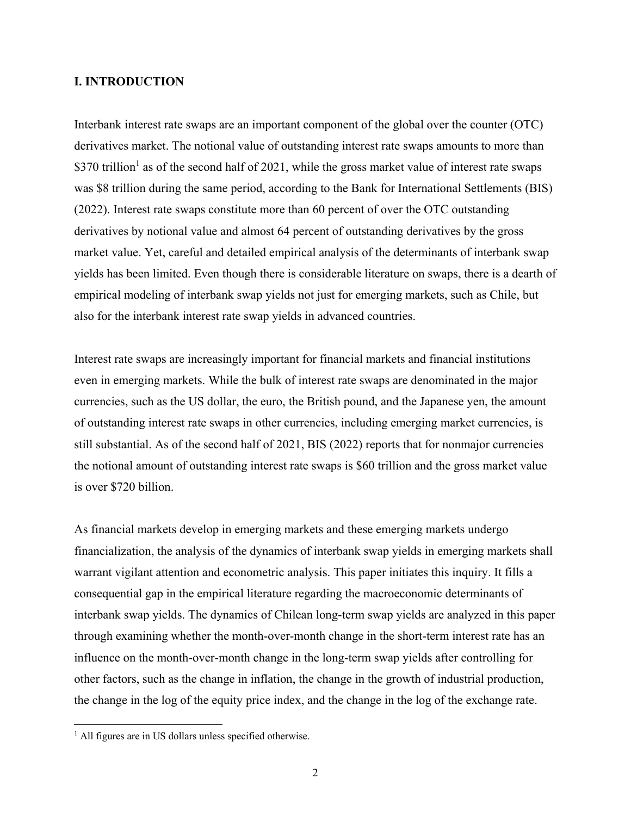#### **I. INTRODUCTION**

Interbank interest rate swaps are an important component of the global over the counter (OTC) derivatives market. The notional value of outstanding interest rate swaps amounts to more than \$370 trillion<sup>1</sup> as of the second half of 2021, while the gross market value of interest rate swaps was \$8 trillion during the same period, according to the Bank for International Settlements (BIS) (2022). Interest rate swaps constitute more than 60 percent of over the OTC outstanding derivatives by notional value and almost 64 percent of outstanding derivatives by the gross market value. Yet, careful and detailed empirical analysis of the determinants of interbank swap yields has been limited. Even though there is considerable literature on swaps, there is a dearth of empirical modeling of interbank swap yields not just for emerging markets, such as Chile, but also for the interbank interest rate swap yields in advanced countries.

Interest rate swaps are increasingly important for financial markets and financial institutions even in emerging markets. While the bulk of interest rate swaps are denominated in the major currencies, such as the US dollar, the euro, the British pound, and the Japanese yen, the amount of outstanding interest rate swaps in other currencies, including emerging market currencies, is still substantial. As of the second half of 2021, BIS (2022) reports that for nonmajor currencies the notional amount of outstanding interest rate swaps is \$60 trillion and the gross market value is over \$720 billion.

As financial markets develop in emerging markets and these emerging markets undergo financialization, the analysis of the dynamics of interbank swap yields in emerging markets shall warrant vigilant attention and econometric analysis. This paper initiates this inquiry. It fills a consequential gap in the empirical literature regarding the macroeconomic determinants of interbank swap yields. The dynamics of Chilean long-term swap yields are analyzed in this paper through examining whether the month-over-month change in the short-term interest rate has an influence on the month-over-month change in the long-term swap yields after controlling for other factors, such as the change in inflation, the change in the growth of industrial production, the change in the log of the equity price index, and the change in the log of the exchange rate.

 $\overline{a}$ 

<sup>&</sup>lt;sup>1</sup> All figures are in US dollars unless specified otherwise.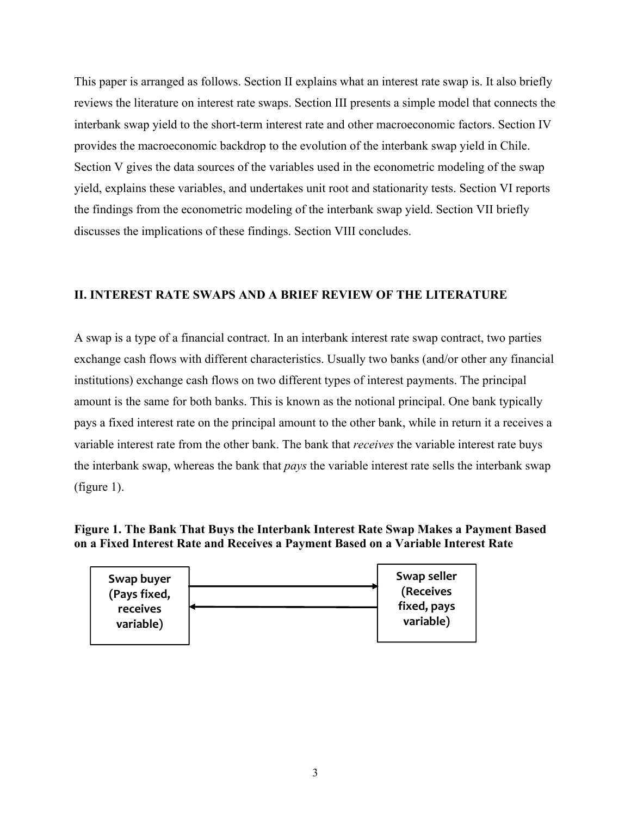This paper is arranged as follows. Section II explains what an interest rate swap is. It also briefly reviews the literature on interest rate swaps. Section III presents a simple model that connects the interbank swap yield to the short-term interest rate and other macroeconomic factors. Section IV provides the macroeconomic backdrop to the evolution of the interbank swap yield in Chile. Section V gives the data sources of the variables used in the econometric modeling of the swap yield, explains these variables, and undertakes unit root and stationarity tests. Section VI reports the findings from the econometric modeling of the interbank swap yield. Section VII briefly discusses the implications of these findings. Section VIII concludes.

### **II. INTEREST RATE SWAPS AND A BRIEF REVIEW OF THE LITERATURE**

A swap is a type of a financial contract. In an interbank interest rate swap contract, two parties exchange cash flows with different characteristics. Usually two banks (and/or other any financial institutions) exchange cash flows on two different types of interest payments. The principal amount is the same for both banks. This is known as the notional principal. One bank typically pays a fixed interest rate on the principal amount to the other bank, while in return it a receives a variable interest rate from the other bank. The bank that *receives* the variable interest rate buys the interbank swap, whereas the bank that *pays* the variable interest rate sells the interbank swap (figure 1).

### **Figure 1. The Bank That Buys the Interbank Interest Rate Swap Makes a Payment Based on a Fixed Interest Rate and Receives a Payment Based on a Variable Interest Rate**

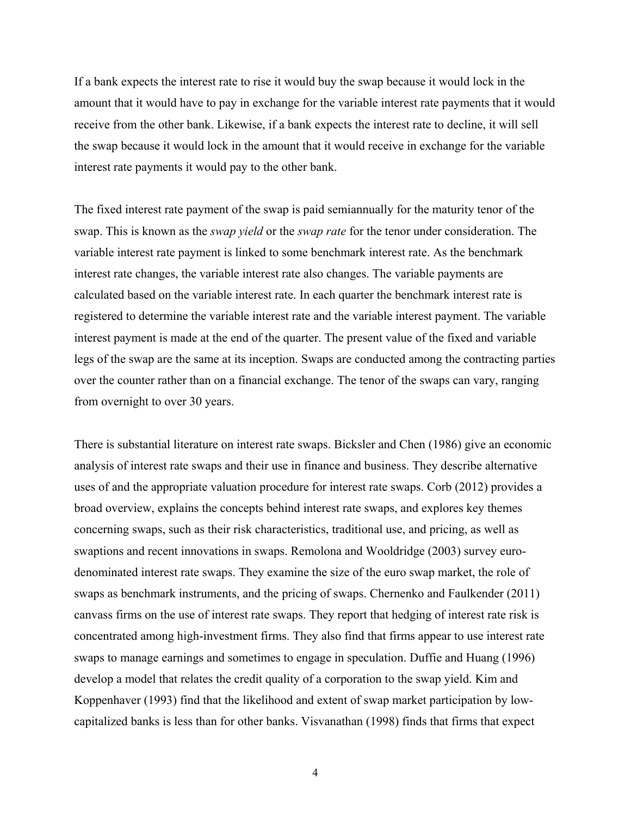If a bank expects the interest rate to rise it would buy the swap because it would lock in the amount that it would have to pay in exchange for the variable interest rate payments that it would receive from the other bank. Likewise, if a bank expects the interest rate to decline, it will sell the swap because it would lock in the amount that it would receive in exchange for the variable interest rate payments it would pay to the other bank.

The fixed interest rate payment of the swap is paid semiannually for the maturity tenor of the swap. This is known as the *swap yield* or the *swap rate* for the tenor under consideration. The variable interest rate payment is linked to some benchmark interest rate. As the benchmark interest rate changes, the variable interest rate also changes. The variable payments are calculated based on the variable interest rate. In each quarter the benchmark interest rate is registered to determine the variable interest rate and the variable interest payment. The variable interest payment is made at the end of the quarter. The present value of the fixed and variable legs of the swap are the same at its inception. Swaps are conducted among the contracting parties over the counter rather than on a financial exchange. The tenor of the swaps can vary, ranging from overnight to over 30 years.

There is substantial literature on interest rate swaps. Bicksler and Chen (1986) give an economic analysis of interest rate swaps and their use in finance and business. They describe alternative uses of and the appropriate valuation procedure for interest rate swaps. Corb (2012) provides a broad overview, explains the concepts behind interest rate swaps, and explores key themes concerning swaps, such as their risk characteristics, traditional use, and pricing, as well as swaptions and recent innovations in swaps. Remolona and Wooldridge (2003) survey eurodenominated interest rate swaps. They examine the size of the euro swap market, the role of swaps as benchmark instruments, and the pricing of swaps. Chernenko and Faulkender (2011) canvass firms on the use of interest rate swaps. They report that hedging of interest rate risk is concentrated among high-investment firms. They also find that firms appear to use interest rate swaps to manage earnings and sometimes to engage in speculation. Duffie and Huang (1996) develop a model that relates the credit quality of a corporation to the swap yield. Kim and Koppenhaver (1993) find that the likelihood and extent of swap market participation by lowcapitalized banks is less than for other banks. Visvanathan (1998) finds that firms that expect

4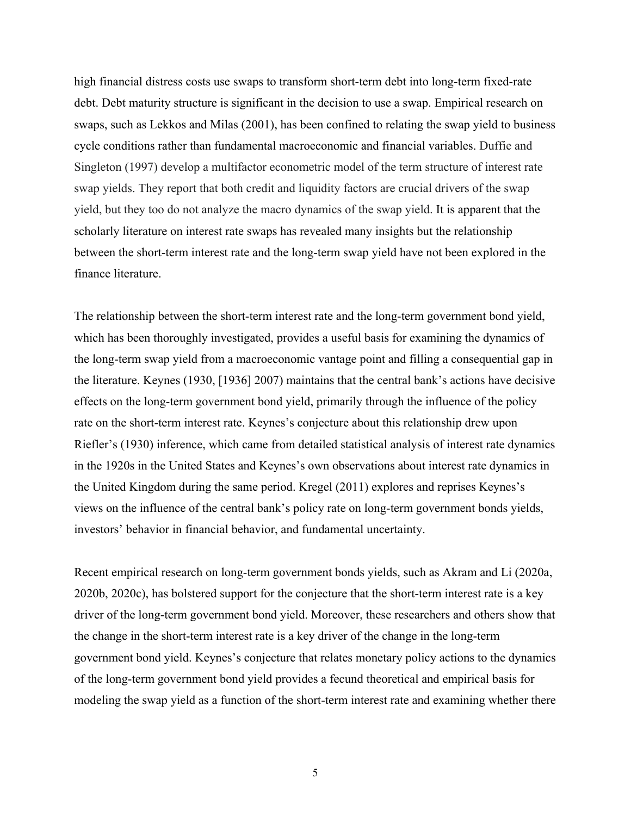high financial distress costs use swaps to transform short-term debt into long-term fixed-rate debt. Debt maturity structure is significant in the decision to use a swap. Empirical research on swaps, such as Lekkos and Milas (2001), has been confined to relating the swap yield to business cycle conditions rather than fundamental macroeconomic and financial variables. Duffie and Singleton (1997) develop a multifactor econometric model of the term structure of interest rate swap yields. They report that both credit and liquidity factors are crucial drivers of the swap yield, but they too do not analyze the macro dynamics of the swap yield. It is apparent that the scholarly literature on interest rate swaps has revealed many insights but the relationship between the short-term interest rate and the long-term swap yield have not been explored in the finance literature.

The relationship between the short-term interest rate and the long-term government bond yield, which has been thoroughly investigated, provides a useful basis for examining the dynamics of the long-term swap yield from a macroeconomic vantage point and filling a consequential gap in the literature. Keynes (1930, [1936] 2007) maintains that the central bank's actions have decisive effects on the long-term government bond yield, primarily through the influence of the policy rate on the short-term interest rate. Keynes's conjecture about this relationship drew upon Riefler's (1930) inference, which came from detailed statistical analysis of interest rate dynamics in the 1920s in the United States and Keynes's own observations about interest rate dynamics in the United Kingdom during the same period. Kregel (2011) explores and reprises Keynes's views on the influence of the central bank's policy rate on long-term government bonds yields, investors' behavior in financial behavior, and fundamental uncertainty.

Recent empirical research on long-term government bonds yields, such as Akram and Li (2020a, 2020b, 2020c), has bolstered support for the conjecture that the short-term interest rate is a key driver of the long-term government bond yield. Moreover, these researchers and others show that the change in the short-term interest rate is a key driver of the change in the long-term government bond yield. Keynes's conjecture that relates monetary policy actions to the dynamics of the long-term government bond yield provides a fecund theoretical and empirical basis for modeling the swap yield as a function of the short-term interest rate and examining whether there

5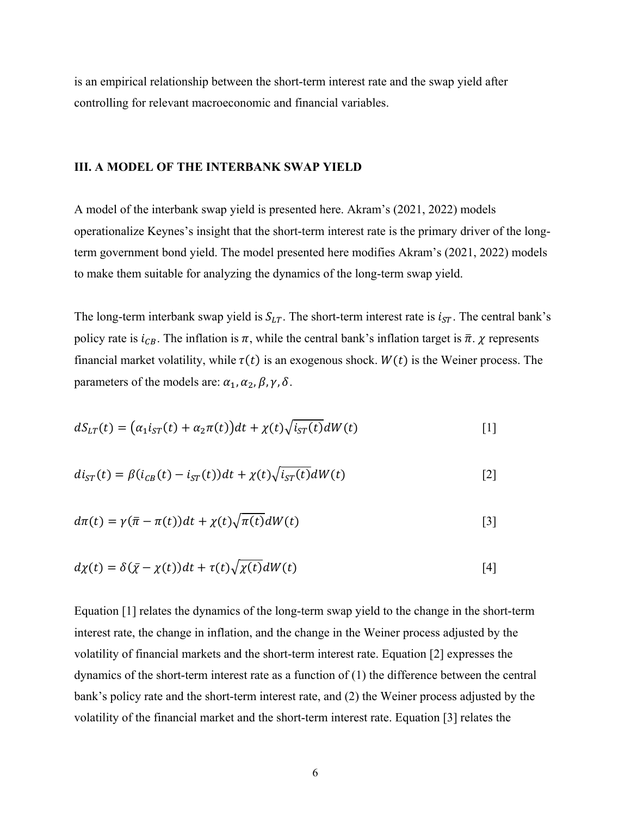is an empirical relationship between the short-term interest rate and the swap yield after controlling for relevant macroeconomic and financial variables.

#### **III. A MODEL OF THE INTERBANK SWAP YIELD**

A model of the interbank swap yield is presented here. Akram's (2021, 2022) models operationalize Keynes's insight that the short-term interest rate is the primary driver of the longterm government bond yield. The model presented here modifies Akram's (2021, 2022) models to make them suitable for analyzing the dynamics of the long-term swap yield.

The long-term interbank swap yield is  $S_{LT}$ . The short-term interest rate is  $i_{ST}$ . The central bank's policy rate is  $i_{CB}$ . The inflation is  $\pi$ , while the central bank's inflation target is  $\bar{\pi}$ .  $\chi$  represents financial market volatility, while  $\tau(t)$  is an exogenous shock.  $W(t)$  is the Weiner process. The parameters of the models are:  $\alpha_1$ ,  $\alpha_2$ ,  $\beta$ ,  $\gamma$ ,  $\delta$ .

$$
dS_{LT}(t) = \left(\alpha_1 i_{ST}(t) + \alpha_2 \pi(t)\right)dt + \chi(t)\sqrt{i_{ST}(t)}dW(t) \tag{1}
$$

$$
di_{ST}(t) = \beta(i_{CB}(t) - i_{ST}(t))dt + \chi(t)\sqrt{i_{ST}(t)}dW(t)
$$
\n[2]

$$
d\pi(t) = \gamma(\bar{\pi} - \pi(t))dt + \chi(t)\sqrt{\pi(t)}dW(t)
$$
\n[3]

$$
d\chi(t) = \delta(\bar{\chi} - \chi(t))dt + \tau(t)\sqrt{\chi(t)}dW(t)
$$
\n[4]

Equation [1] relates the dynamics of the long-term swap yield to the change in the short-term interest rate, the change in inflation, and the change in the Weiner process adjusted by the volatility of financial markets and the short-term interest rate. Equation [2] expresses the dynamics of the short-term interest rate as a function of (1) the difference between the central bank's policy rate and the short-term interest rate, and (2) the Weiner process adjusted by the volatility of the financial market and the short-term interest rate. Equation [3] relates the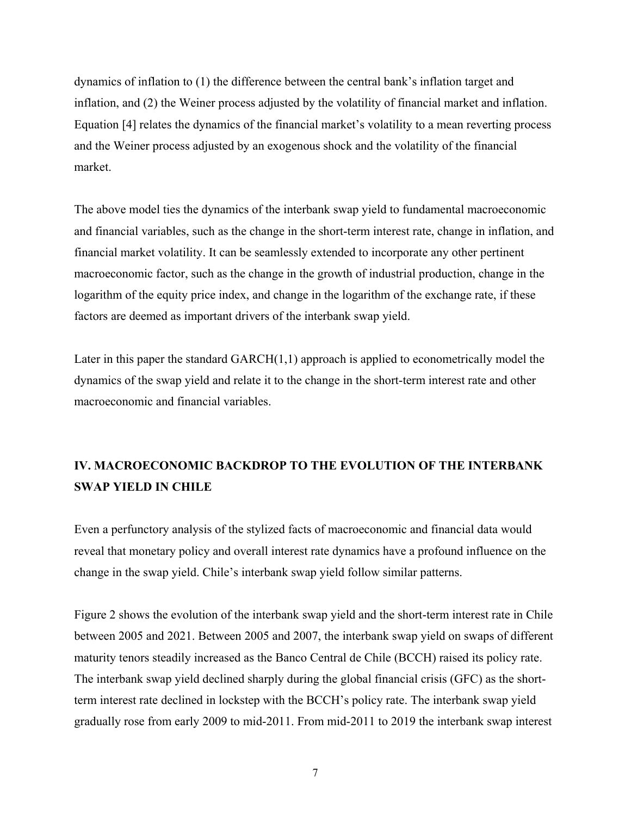dynamics of inflation to (1) the difference between the central bank's inflation target and inflation, and (2) the Weiner process adjusted by the volatility of financial market and inflation. Equation [4] relates the dynamics of the financial market's volatility to a mean reverting process and the Weiner process adjusted by an exogenous shock and the volatility of the financial market.

The above model ties the dynamics of the interbank swap yield to fundamental macroeconomic and financial variables, such as the change in the short-term interest rate, change in inflation, and financial market volatility. It can be seamlessly extended to incorporate any other pertinent macroeconomic factor, such as the change in the growth of industrial production, change in the logarithm of the equity price index, and change in the logarithm of the exchange rate, if these factors are deemed as important drivers of the interbank swap yield.

Later in this paper the standard  $GARCH(1,1)$  approach is applied to econometrically model the dynamics of the swap yield and relate it to the change in the short-term interest rate and other macroeconomic and financial variables.

## **IV. MACROECONOMIC BACKDROP TO THE EVOLUTION OF THE INTERBANK SWAP YIELD IN CHILE**

Even a perfunctory analysis of the stylized facts of macroeconomic and financial data would reveal that monetary policy and overall interest rate dynamics have a profound influence on the change in the swap yield. Chile's interbank swap yield follow similar patterns.

Figure 2 shows the evolution of the interbank swap yield and the short-term interest rate in Chile between 2005 and 2021. Between 2005 and 2007, the interbank swap yield on swaps of different maturity tenors steadily increased as the Banco Central de Chile (BCCH) raised its policy rate. The interbank swap yield declined sharply during the global financial crisis (GFC) as the shortterm interest rate declined in lockstep with the BCCH's policy rate. The interbank swap yield gradually rose from early 2009 to mid-2011. From mid-2011 to 2019 the interbank swap interest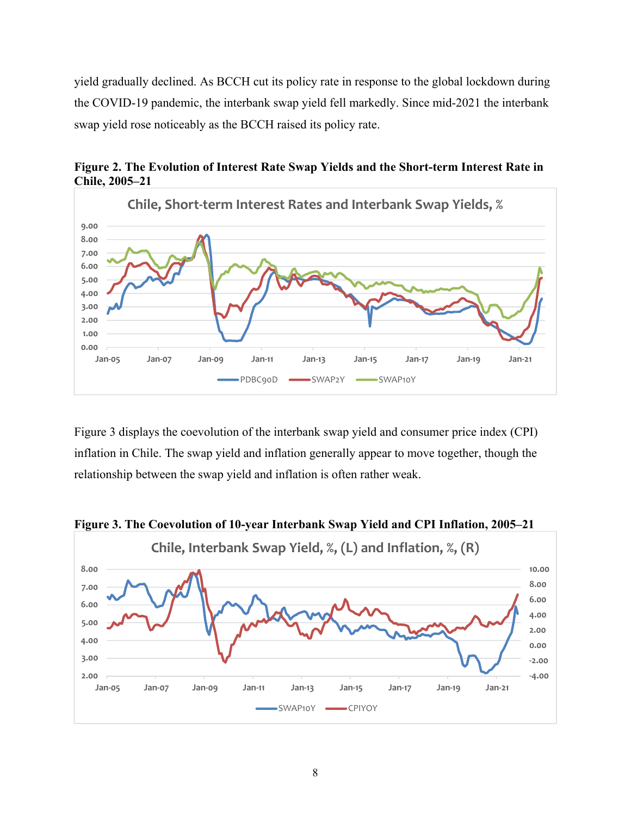yield gradually declined. As BCCH cut its policy rate in response to the global lockdown during the COVID-19 pandemic, the interbank swap yield fell markedly. Since mid-2021 the interbank swap yield rose noticeably as the BCCH raised its policy rate.



**Figure 2. The Evolution of Interest Rate Swap Yields and the Short-term Interest Rate in Chile, 2005–21** 

Figure 3 displays the coevolution of the interbank swap yield and consumer price index (CPI) inflation in Chile. The swap yield and inflation generally appear to move together, though the relationship between the swap yield and inflation is often rather weak.



**Figure 3. The Coevolution of 10-year Interbank Swap Yield and CPI Inflation, 2005–21**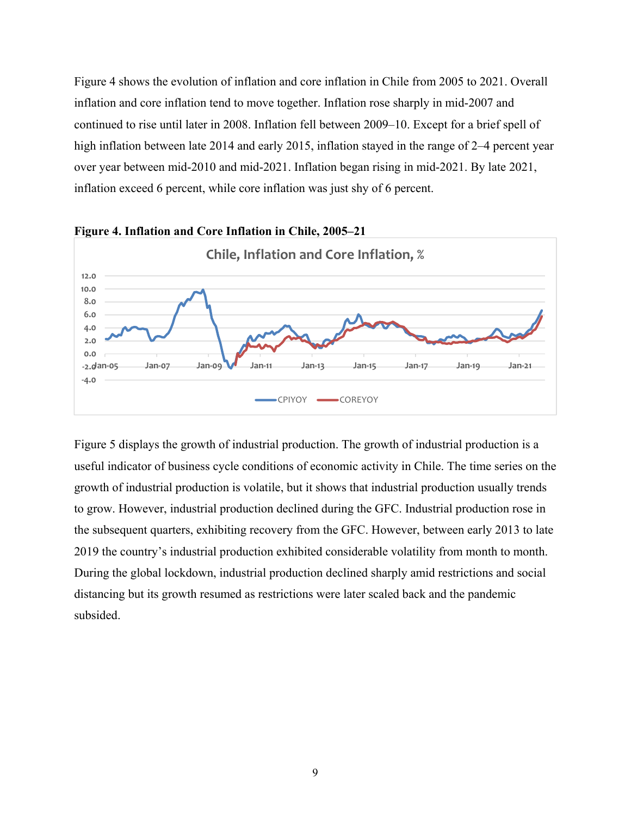Figure 4 shows the evolution of inflation and core inflation in Chile from 2005 to 2021. Overall inflation and core inflation tend to move together. Inflation rose sharply in mid-2007 and continued to rise until later in 2008. Inflation fell between 2009–10. Except for a brief spell of high inflation between late 2014 and early 2015, inflation stayed in the range of 2–4 percent year over year between mid-2010 and mid-2021. Inflation began rising in mid-2021. By late 2021, inflation exceed 6 percent, while core inflation was just shy of 6 percent.



Figure 5 displays the growth of industrial production. The growth of industrial production is a useful indicator of business cycle conditions of economic activity in Chile. The time series on the growth of industrial production is volatile, but it shows that industrial production usually trends to grow. However, industrial production declined during the GFC. Industrial production rose in the subsequent quarters, exhibiting recovery from the GFC. However, between early 2013 to late 2019 the country's industrial production exhibited considerable volatility from month to month. During the global lockdown, industrial production declined sharply amid restrictions and social distancing but its growth resumed as restrictions were later scaled back and the pandemic subsided.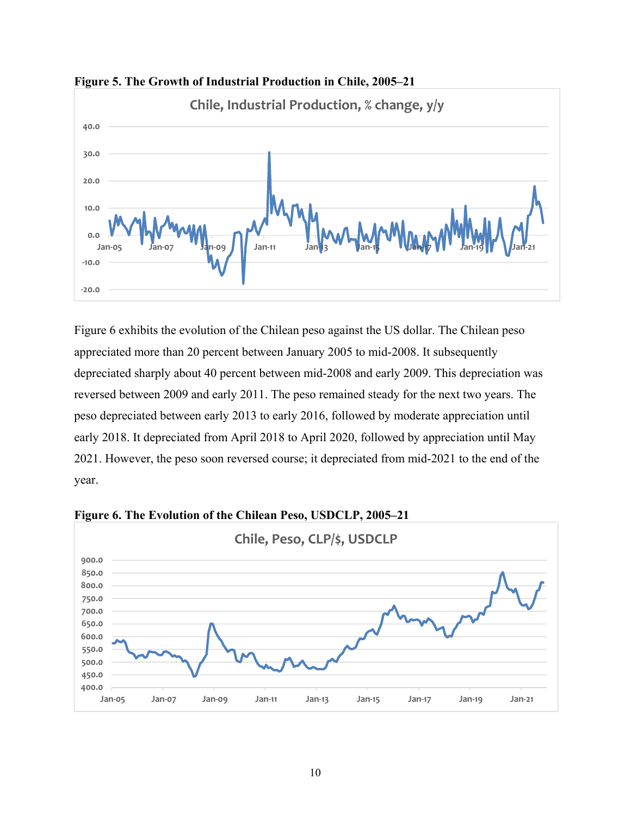



Figure 6 exhibits the evolution of the Chilean peso against the US dollar. The Chilean peso appreciated more than 20 percent between January 2005 to mid-2008. It subsequently depreciated sharply about 40 percent between mid-2008 and early 2009. This depreciation was reversed between 2009 and early 2011. The peso remained steady for the next two years. The peso depreciated between early 2013 to early 2016, followed by moderate appreciation until early 2018. It depreciated from April 2018 to April 2020, followed by appreciation until May 2021. However, the peso soon reversed course; it depreciated from mid-2021 to the end of the year.



**Figure 6. The Evolution of the Chilean Peso, USDCLP, 2005–21**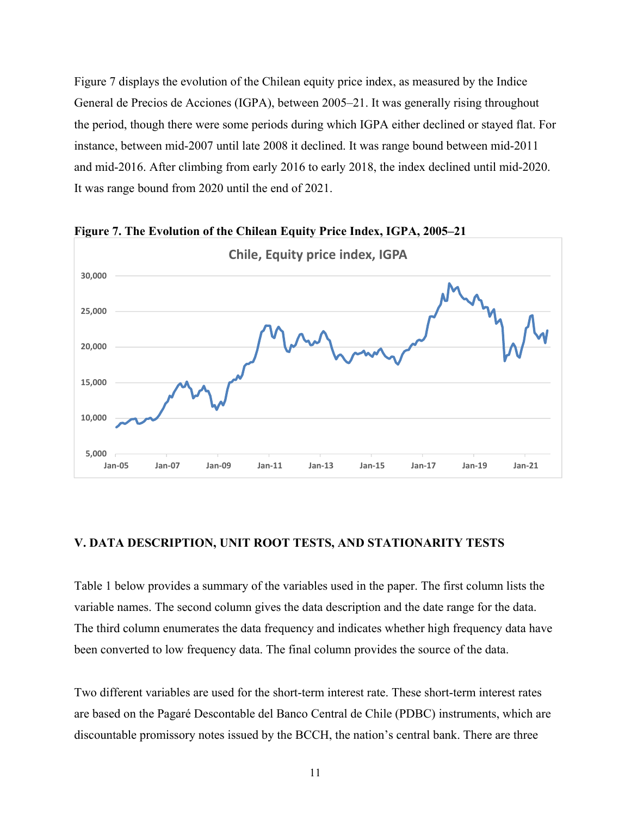Figure 7 displays the evolution of the Chilean equity price index, as measured by the Indice General de Precios de Acciones (IGPA), between 2005–21. It was generally rising throughout the period, though there were some periods during which IGPA either declined or stayed flat. For instance, between mid-2007 until late 2008 it declined. It was range bound between mid-2011 and mid-2016. After climbing from early 2016 to early 2018, the index declined until mid-2020. It was range bound from 2020 until the end of 2021.



**Figure 7. The Evolution of the Chilean Equity Price Index, IGPA, 2005–21** 

#### **V. DATA DESCRIPTION, UNIT ROOT TESTS, AND STATIONARITY TESTS**

Table 1 below provides a summary of the variables used in the paper. The first column lists the variable names. The second column gives the data description and the date range for the data. The third column enumerates the data frequency and indicates whether high frequency data have been converted to low frequency data. The final column provides the source of the data.

Two different variables are used for the short-term interest rate. These short-term interest rates are based on the Pagaré Descontable del Banco Central de Chile (PDBC) instruments, which are discountable promissory notes issued by the BCCH, the nation's central bank. There are three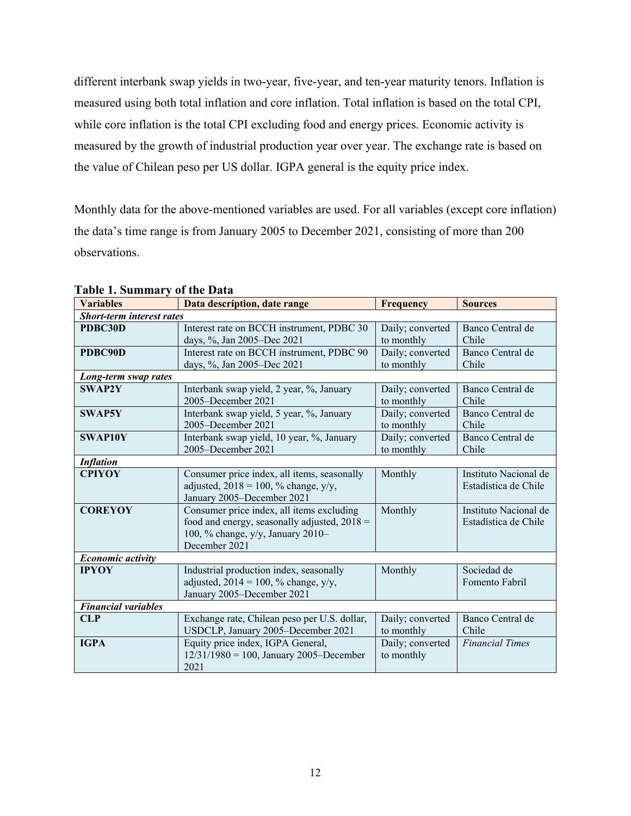different interbank swap yields in two-year, five-year, and ten-year maturity tenors. Inflation is measured using both total inflation and core inflation. Total inflation is based on the total CPI, while core inflation is the total CPI excluding food and energy prices. Economic activity is measured by the growth of industrial production year over year. The exchange rate is based on the value of Chilean peso per US dollar. IGPA general is the equity price index.

Monthly data for the above-mentioned variables are used. For all variables (except core inflation) the data's time range is from January 2005 to December 2021, consisting of more than 200 observations.

| <b>Variables</b>                 | Data description, date range                                                                                                                      | <b>Frequency</b>               | <b>Sources</b>                                |
|----------------------------------|---------------------------------------------------------------------------------------------------------------------------------------------------|--------------------------------|-----------------------------------------------|
| <b>Short-term interest rates</b> |                                                                                                                                                   |                                |                                               |
| PDBC30D                          | Interest rate on BCCH instrument, PDBC 30<br>days, %, Jan 2005-Dec 2021                                                                           | Daily; converted<br>to monthly | Banco Central de<br>Chile                     |
| PDBC90D                          | Interest rate on BCCH instrument, PDBC 90<br>days, %, Jan 2005-Dec 2021                                                                           | Daily; converted<br>to monthly | Banco Central de<br>Chile                     |
| Long-term swap rates             |                                                                                                                                                   |                                |                                               |
| <b>SWAP2Y</b>                    | Interbank swap yield, 2 year, %, January<br>2005-December 2021                                                                                    | Daily; converted<br>to monthly | Banco Central de<br>Chile                     |
| <b>SWAP5Y</b>                    | Interbank swap yield, 5 year, %, January<br>2005-December 2021                                                                                    | Daily; converted<br>to monthly | Banco Central de<br>Chile                     |
| <b>SWAP10Y</b>                   | Interbank swap yield, 10 year, %, January<br>2005-December 2021                                                                                   | Daily; converted<br>to monthly | Banco Central de<br>Chile                     |
| <b>Inflation</b>                 |                                                                                                                                                   |                                |                                               |
| <b>CPIYOY</b>                    | Consumer price index, all items, seasonally<br>adjusted, $2018 = 100$ , % change, y/y,<br>January 2005-December 2021                              | Monthly                        | Instituto Nacional de<br>Estadística de Chile |
| <b>COREYOY</b>                   | Consumer price index, all items excluding<br>food and energy, seasonally adjusted, $2018 =$<br>100, % change, y/y, January 2010-<br>December 2021 | Monthly                        | Instituto Nacional de<br>Estadística de Chile |
| Economic activity                |                                                                                                                                                   |                                |                                               |
| <b>IPYOY</b>                     | Industrial production index, seasonally<br>adjusted, $2014 = 100$ , % change, y/y,<br>January 2005-December 2021                                  | Monthly                        | Sociedad de<br>Fomento Fabril                 |
| <b>Financial variables</b>       |                                                                                                                                                   |                                |                                               |
| <b>CLP</b>                       | Exchange rate, Chilean peso per U.S. dollar,<br>USDCLP, January 2005-December 2021                                                                | Daily; converted<br>to monthly | Banco Central de<br>Chile                     |
| <b>IGPA</b>                      | Equity price index, IGPA General,<br>$12/31/1980 = 100$ , January 2005-December<br>2021                                                           | Daily; converted<br>to monthly | <b>Financial Times</b>                        |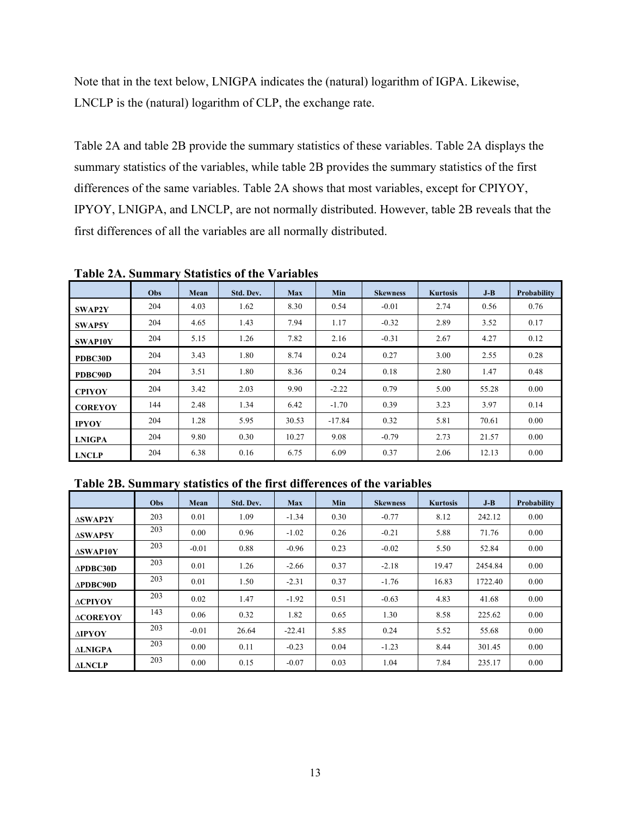Note that in the text below, LNIGPA indicates the (natural) logarithm of IGPA. Likewise, LNCLP is the (natural) logarithm of CLP, the exchange rate.

Table 2A and table 2B provide the summary statistics of these variables. Table 2A displays the summary statistics of the variables, while table 2B provides the summary statistics of the first differences of the same variables. Table 2A shows that most variables, except for CPIYOY, IPYOY, LNIGPA, and LNCLP, are not normally distributed. However, table 2B reveals that the first differences of all the variables are all normally distributed.

|                | Obs | Mean | Std. Dev. | Max   | Min      | <b>Skewness</b> | <b>Kurtosis</b> | $J-B$ | Probability |
|----------------|-----|------|-----------|-------|----------|-----------------|-----------------|-------|-------------|
| <b>SWAP2Y</b>  | 204 | 4.03 | 1.62      | 8.30  | 0.54     | $-0.01$         | 2.74            | 0.56  | 0.76        |
| <b>SWAP5Y</b>  | 204 | 4.65 | 1.43      | 7.94  | 1.17     | $-0.32$         | 2.89            | 3.52  | 0.17        |
| <b>SWAP10Y</b> | 204 | 5.15 | 1.26      | 7.82  | 2.16     | $-0.31$         | 2.67            | 4.27  | 0.12        |
| PDBC30D        | 204 | 3.43 | 1.80      | 8.74  | 0.24     | 0.27            | 3.00            | 2.55  | 0.28        |
| PDBC90D        | 204 | 3.51 | 1.80      | 8.36  | 0.24     | 0.18            | 2.80            | 1.47  | 0.48        |
| <b>CPIYOY</b>  | 204 | 3.42 | 2.03      | 9.90  | $-2.22$  | 0.79            | 5.00            | 55.28 | 0.00        |
| <b>COREYOY</b> | 144 | 2.48 | 1.34      | 6.42  | $-1.70$  | 0.39            | 3.23            | 3.97  | 0.14        |
| <b>IPYOY</b>   | 204 | 1.28 | 5.95      | 30.53 | $-17.84$ | 0.32            | 5.81            | 70.61 | 0.00        |
| <b>LNIGPA</b>  | 204 | 9.80 | 0.30      | 10.27 | 9.08     | $-0.79$         | 2.73            | 21.57 | 0.00        |
| <b>LNCLP</b>   | 204 | 6.38 | 0.16      | 6.75  | 6.09     | 0.37            | 2.06            | 12.13 | 0.00        |

**Table 2A. Summary Statistics of the Variables** 

**Table 2B. Summary statistics of the first differences of the variables** 

|                     | <b>Obs</b> | Mean    | Std. Dev. | <b>Max</b> | Min  | <b>Skewness</b> | <b>Kurtosis</b> | $J-B$   | <b>Probability</b> |
|---------------------|------------|---------|-----------|------------|------|-----------------|-----------------|---------|--------------------|
| <b>ASWAP2Y</b>      | 203        | 0.01    | 1.09      | $-1.34$    | 0.30 | $-0.77$         | 8.12            | 242.12  | 0.00               |
| <b>ASWAP5Y</b>      | 203        | 0.00    | 0.96      | $-1.02$    | 0.26 | $-0.21$         | 5.88            | 71.76   | 0.00               |
| <b>ASWAP10Y</b>     | 203        | $-0.01$ | 0.88      | $-0.96$    | 0.23 | $-0.02$         | 5.50            | 52.84   | 0.00               |
| APDEC30D            | 203        | 0.01    | 1.26      | $-2.66$    | 0.37 | $-2.18$         | 19.47           | 2454.84 | 0.00               |
| $\triangle PDBC90D$ | 203        | 0.01    | 1.50      | $-2.31$    | 0.37 | $-1.76$         | 16.83           | 1722.40 | 0.00               |
| <b>ACPIYOY</b>      | 203        | 0.02    | 1.47      | $-1.92$    | 0.51 | $-0.63$         | 4.83            | 41.68   | 0.00               |
| <b>ACOREYOY</b>     | 143        | 0.06    | 0.32      | 1.82       | 0.65 | 1.30            | 8.58            | 225.62  | 0.00               |
| <b>AIPYOY</b>       | 203        | $-0.01$ | 26.64     | $-22.41$   | 5.85 | 0.24            | 5.52            | 55.68   | 0.00               |
| <b>ALNIGPA</b>      | 203        | 0.00    | 0.11      | $-0.23$    | 0.04 | $-1.23$         | 8.44            | 301.45  | 0.00               |
| <b>ALNCLP</b>       | 203        | 0.00    | 0.15      | $-0.07$    | 0.03 | 1.04            | 7.84            | 235.17  | 0.00               |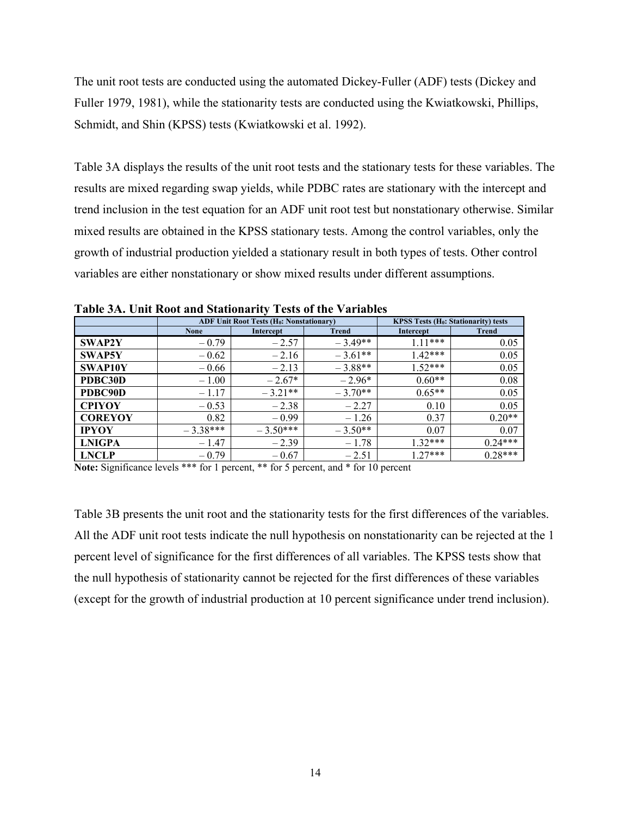The unit root tests are conducted using the automated Dickey-Fuller (ADF) tests (Dickey and Fuller 1979, 1981), while the stationarity tests are conducted using the Kwiatkowski, Phillips, Schmidt, and Shin (KPSS) tests (Kwiatkowski et al. 1992).

Table 3A displays the results of the unit root tests and the stationary tests for these variables. The results are mixed regarding swap yields, while PDBC rates are stationary with the intercept and trend inclusion in the test equation for an ADF unit root test but nonstationary otherwise. Similar mixed results are obtained in the KPSS stationary tests. Among the control variables, only the growth of industrial production yielded a stationary result in both types of tests. Other control variables are either nonstationary or show mixed results under different assumptions.

|                |             | <b>ADF Unit Root Tests (Ho: Nonstationary)</b> |              | <b>KPSS Tests (H<sub>0</sub>: Stationarity) tests</b> |              |  |  |
|----------------|-------------|------------------------------------------------|--------------|-------------------------------------------------------|--------------|--|--|
|                | <b>None</b> | Intercept                                      | <b>Trend</b> | Intercept                                             | <b>Trend</b> |  |  |
| <b>SWAP2Y</b>  | $-0.79$     | $-2.57$                                        | $-3.49**$    | $1.11***$                                             | 0.05         |  |  |
| <b>SWAP5Y</b>  | $-0.62$     | $-2.16$                                        | $-3.61**$    | $1.42***$                                             | 0.05         |  |  |
| SWAP10Y        | $-0.66$     | $-2.13$                                        | $-3.88**$    | $1.52***$                                             | 0.05         |  |  |
| PDBC30D        | $-1.00$     | $-2.67*$                                       | $-2.96*$     | $0.60**$                                              | 0.08         |  |  |
| PDBC90D        | $-1.17$     | $-3.21**$                                      | $-3.70**$    | $0.65**$                                              | 0.05         |  |  |
| <b>CPIYOY</b>  | $-0.53$     | $-2.38$                                        | $-2.27$      | 0.10                                                  | 0.05         |  |  |
| <b>COREYOY</b> | 0.82        | $-0.99$                                        | $-1.26$      | 0.37                                                  | $0.20**$     |  |  |
| <b>IPYOY</b>   | $-3.38***$  | $-3.50***$                                     | $-3.50**$    | 0.07                                                  | 0.07         |  |  |
| <b>LNIGPA</b>  | $-1.47$     | $-2.39$                                        | $-1.78$      | $1.32***$                                             | $0.24***$    |  |  |
| <b>LNCLP</b>   | $-0.79$     | $-0.67$                                        | $-2.51$      | $1.27***$                                             | $0.28***$    |  |  |

**Table 3A. Unit Root and Stationarity Tests of the Variables** 

**Note:** Significance levels \*\*\* for 1 percent, \*\* for 5 percent, and \* for 10 percent

Table 3B presents the unit root and the stationarity tests for the first differences of the variables. All the ADF unit root tests indicate the null hypothesis on nonstationarity can be rejected at the 1 percent level of significance for the first differences of all variables. The KPSS tests show that the null hypothesis of stationarity cannot be rejected for the first differences of these variables (except for the growth of industrial production at 10 percent significance under trend inclusion).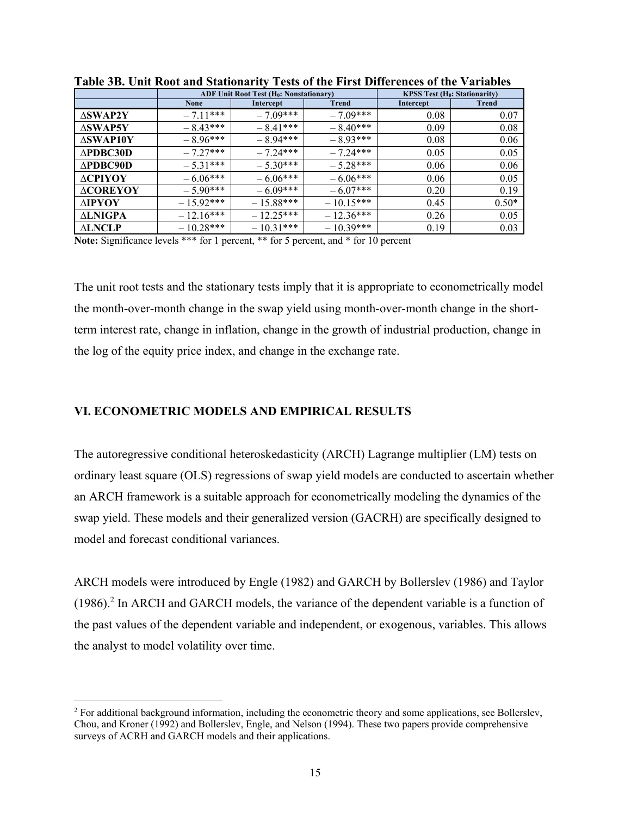|                     |             | <b>ADF Unit Root Test (H<sub>0</sub>: Nonstationary)</b> |              | <b>KPSS Test (H<sub>0</sub>: Stationarity)</b> |              |  |
|---------------------|-------------|----------------------------------------------------------|--------------|------------------------------------------------|--------------|--|
|                     | <b>None</b> | Intercept                                                | <b>Trend</b> | Intercept                                      | <b>Trend</b> |  |
| $\triangle SWAP2Y$  | $-7.11***$  | $-7.09***$                                               | $-7.09***$   | 0.08                                           | 0.07         |  |
| $\triangle$ SWAP5Y  | $-8.43***$  | $-8.41***$                                               | $-8.40***$   | 0.09                                           | 0.08         |  |
| <b>ASWAP10Y</b>     | $-8.96***$  | $-8.94***$                                               | $-8.93***$   | 0.08                                           | 0.06         |  |
| $\triangle PDBC30D$ | $-7.27***$  | $-7.24***$                                               | $-7.24***$   | 0.05                                           | 0.05         |  |
| $\triangle PDBC90D$ | $-5.31***$  | $-5.30***$                                               | $-5.28***$   | 0.06                                           | 0.06         |  |
| <b>ACPIYOY</b>      | $-6.06***$  | $-6.06***$                                               | $-6.06***$   | 0.06                                           | 0.05         |  |
| <b>ACOREYOY</b>     | $-5.90***$  | $-6.09***$                                               | $-6.07***$   | 0.20                                           | 0.19         |  |
| <b>AIPYOY</b>       | $-15.92***$ | $-15.88***$                                              | $-10.15***$  | 0.45                                           | $0.50*$      |  |
| <b>ALNIGPA</b>      | $-12.16***$ | $-12.25***$                                              | $-12.36***$  | 0.26                                           | 0.05         |  |
| <b>ALNCLP</b>       | $-10.28***$ | $-10.31***$                                              | $-10.39***$  | 0.19                                           | 0.03         |  |

**Table 3B. Unit Root and Stationarity Tests of the First Differences of the Variables** 

**Note:** Significance levels \*\*\* for 1 percent, \*\* for 5 percent, and \* for 10 percent

The unit root tests and the stationary tests imply that it is appropriate to econometrically model the month-over-month change in the swap yield using month-over-month change in the shortterm interest rate, change in inflation, change in the growth of industrial production, change in the log of the equity price index, and change in the exchange rate.

#### **VI. ECONOMETRIC MODELS AND EMPIRICAL RESULTS**

The autoregressive conditional heteroskedasticity (ARCH) Lagrange multiplier (LM) tests on ordinary least square (OLS) regressions of swap yield models are conducted to ascertain whether an ARCH framework is a suitable approach for econometrically modeling the dynamics of the swap yield. These models and their generalized version (GACRH) are specifically designed to model and forecast conditional variances.

ARCH models were introduced by Engle (1982) and GARCH by Bollerslev (1986) and Taylor (1986).<sup>2</sup> In ARCH and GARCH models, the variance of the dependent variable is a function of the past values of the dependent variable and independent, or exogenous, variables. This allows the analyst to model volatility over time.

<sup>&</sup>lt;sup>2</sup> For additional background information, including the econometric theory and some applications, see Bollerslev, Chou, and Kroner (1992) and Bollerslev, Engle, and Nelson (1994). These two papers provide comprehensive surveys of ACRH and GARCH models and their applications.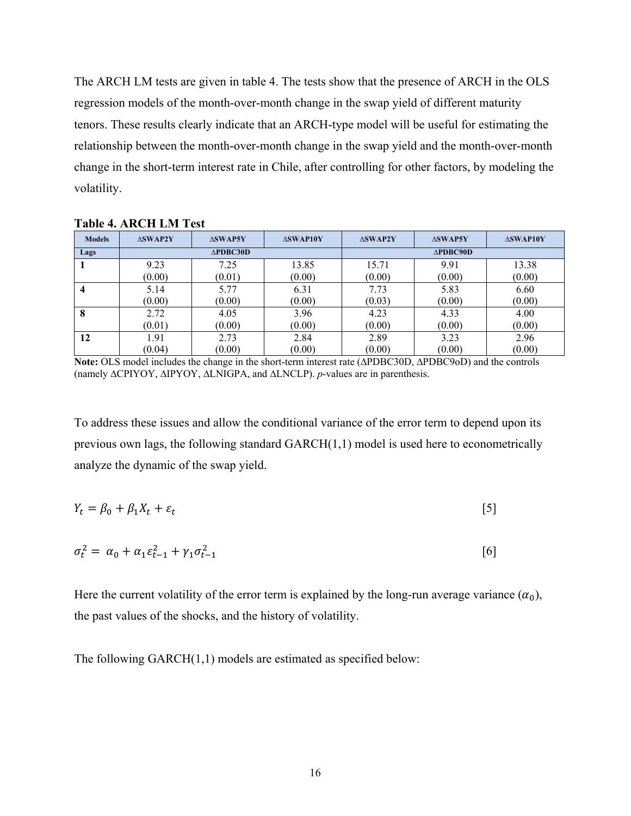The ARCH LM tests are given in table 4. The tests show that the presence of ARCH in the OLS regression models of the month-over-month change in the swap yield of different maturity tenors. These results clearly indicate that an ARCH-type model will be useful for estimating the relationship between the month-over-month change in the swap yield and the month-over-month change in the short-term interest rate in Chile, after controlling for other factors, by modeling the volatility.

| <b>Models</b> | <b>ASWAP2Y</b> | <b>ASWAP5Y</b>      | $\triangle$ SWAP10Y | <b>ASWAP2Y</b> | <b>ASWAP5Y</b>      | $\triangle$ SWAP10Y |  |  |
|---------------|----------------|---------------------|---------------------|----------------|---------------------|---------------------|--|--|
| Lags          |                | $\triangle PDBC30D$ |                     |                | $\triangle$ PDBC90D |                     |  |  |
|               | 9.23           | 7.25                | 13.85               | 15.71          | 9.91                | 13.38               |  |  |
|               | (0.00)         | (0.01)              | (0.00)              | (0.00)         | (0.00)              | (0.00)              |  |  |
| 4             | 5.14           | 5.77                | 6.31                | 7.73           | 5.83                | 6.60                |  |  |
|               | (0.00)         | (0.00)              | (0.00)              | (0.03)         | (0.00)              | (0.00)              |  |  |
| 8             | 2.72           | 4.05                | 3.96                | 4.23           | 4.33                | 4.00                |  |  |
|               | (0.01)         | (0.00)              | (0.00)              | (0.00)         | (0.00)              | (0.00)              |  |  |
| 12            | 1.91           | 2.73                | 2.84                | 2.89           | 3.23                | 2.96                |  |  |
|               | (0.04)         | (0.00)              | (0.00)              | (0.00)         | (0.00)              | (0.00)              |  |  |

**Table 4. ARCH LM Test** 

**Note:** OLS model includes the change in the short-term interest rate (∆PDBC30D, ∆PDBC9oD) and the controls (namely ∆CPIYOY, ∆IPYOY, ∆LNIGPA, and ∆LNCLP). *p*-values are in parenthesis.

To address these issues and allow the conditional variance of the error term to depend upon its previous own lags, the following standard  $GARCH(1,1)$  model is used here to econometrically analyze the dynamic of the swap yield.

$$
Y_t = \beta_0 + \beta_1 X_t + \varepsilon_t \tag{5}
$$

$$
\sigma_t^2 = \alpha_0 + \alpha_1 \varepsilon_{t-1}^2 + \gamma_1 \sigma_{t-1}^2 \tag{6}
$$

Here the current volatility of the error term is explained by the long-run average variance  $(\alpha_0)$ , the past values of the shocks, and the history of volatility.

The following GARCH(1,1) models are estimated as specified below: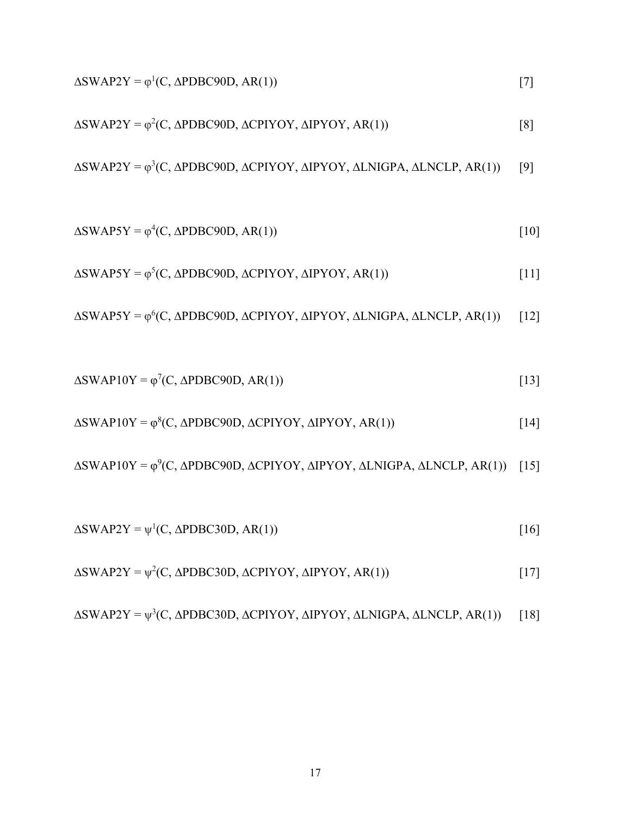$$
\Delta SWAP2Y = \varphi^{1}(C, \Delta PDBC90D, AR(1))
$$
\n
$$
[7]
$$
\n
$$
\Delta SWAP2Y = \varphi^{2}(C, \Delta PDBC90D, \Delta CPIYOY, \Delta IPYOY, \Delta R(1))
$$
\n
$$
[8]
$$
\n
$$
\Delta SWAP2Y = \varphi^{3}(C, \Delta PDBC90D, \Delta CPIYOY, \Delta IPYOY, \Delta LNIGPA, \Delta LNCLP, AR(1))
$$
\n
$$
[10]
$$
\n
$$
\Delta SWAP5Y = \varphi^{4}(C, \Delta PDBC90D, AR(1))
$$
\n
$$
[11]
$$
\n
$$
\Delta SWAP5Y = \varphi^{5}(C, \Delta PDBC90D, \Delta CPIYOY, \Delta IPYOY, \Delta R(1))
$$
\n
$$
[11]
$$
\n
$$
\Delta SWAP5Y = \varphi^{6}(C, \Delta PDBC90D, \Delta CPIYOY, \Delta IPYOY, \Delta LNIGPA, \Delta LNCLP, AR(1))
$$
\n
$$
[12]
$$
\n
$$
\Delta SWAP10Y = \varphi^{7}(C, \Delta PDBC90D, \Delta CPIYOY, \Delta IPYOY, \Delta R(1))
$$
\n
$$
[13]
$$
\n
$$
\Delta SWAP10Y = \varphi^{9}(C, \Delta PDBC90D, \Delta CPIYOY, \Delta IPYOY, \Delta LNIGPA, \Delta LNCLP, AR(1))
$$
\n
$$
[14]
$$
\n
$$
\Delta SWAP2Y = \psi^{1}(C, \Delta PDBC30D, \Delta CPIYOY, \Delta IPYOY, \Delta R(1))
$$
\n
$$
[16]
$$
\n
$$
\Delta SWAP2Y = \psi^{2}(C, \Delta PDBC30D, \Delta CPIYOY, \Delta IPYOY, \Delta LNIGPA, \Delta LNCLP, AR(1))
$$
\n
$$
[17]
$$
\n
$$
\Delta SWAP2Y = \psi^{2}(C, \Delta PDBC30D, \Delta CPIYOY, \Delta IPYOY, \Delta LNIGPA, \Delta LNCLP, AR(1))
$$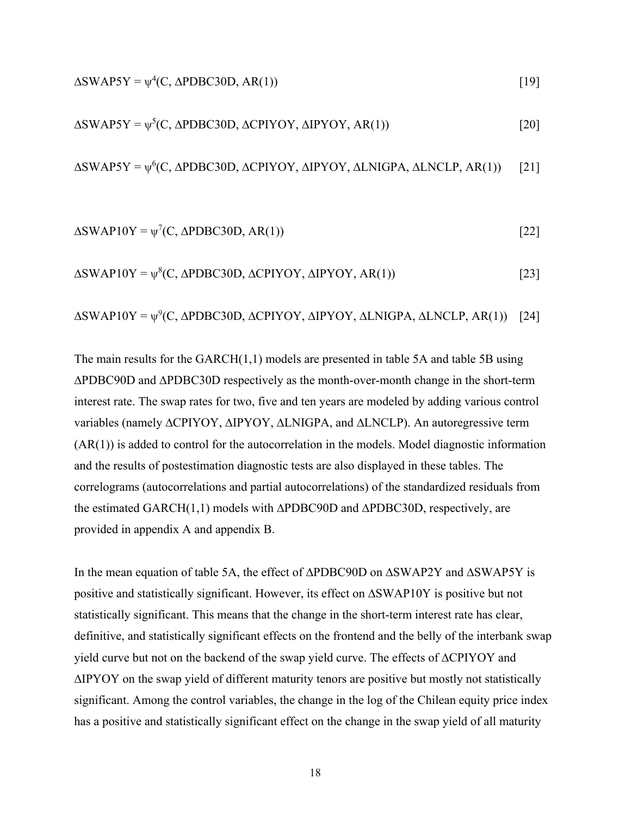$$
\Delta SWAP5Y = \psi^4(C, \Delta PDBC30D, AR(1))
$$
 [19]

$$
\Delta SWAP5Y = \psi^5(C, \Delta PDBC30D, \Delta CPIYOY, \Delta IPYOY, AR(1))
$$
\n[20]

 $\Delta$ SWAP5Y =  $\psi^6$ (C,  $\Delta$ PDBC30D,  $\Delta$ CPIYOY,  $\Delta$ IPYOY,  $\Delta$ LNIGPA,  $\Delta$ LNCLP,  $AR(1)$ ) [21]

$$
\Delta SWAP10Y = \psi^{7}(C, \Delta PDBC30D, AR(1))
$$
\n[22]

$$
\Delta SWAP10Y = \psi^8(C, \Delta PDBC30D, \Delta CPIYOY, \Delta IPYOY, AR(1))
$$
\n[23]

$$
\Delta SWAP10Y = \psi^{9}(C, \Delta PDBC30D, \Delta CPIYOY, \Delta IPYOY, \Delta LNIGPA, \Delta LNCLP, AR(1)) [24]
$$

The main results for the GARCH(1,1) models are presented in table 5A and table 5B using ∆PDBC90D and ∆PDBC30D respectively as the month-over-month change in the short-term interest rate. The swap rates for two, five and ten years are modeled by adding various control variables (namely ∆CPIYOY, ∆IPYOY, ∆LNIGPA, and ∆LNCLP). An autoregressive term (AR(1)) is added to control for the autocorrelation in the models. Model diagnostic information and the results of postestimation diagnostic tests are also displayed in these tables. The correlograms (autocorrelations and partial autocorrelations) of the standardized residuals from the estimated GARCH(1,1) models with ∆PDBC90D and ∆PDBC30D, respectively, are provided in appendix A and appendix B.

In the mean equation of table 5A, the effect of ∆PDBC90D on ∆SWAP2Y and ∆SWAP5Y is positive and statistically significant. However, its effect on ∆SWAP10Y is positive but not statistically significant. This means that the change in the short-term interest rate has clear, definitive, and statistically significant effects on the frontend and the belly of the interbank swap yield curve but not on the backend of the swap yield curve. The effects of ∆CPIYOY and ∆IPYOY on the swap yield of different maturity tenors are positive but mostly not statistically significant. Among the control variables, the change in the log of the Chilean equity price index has a positive and statistically significant effect on the change in the swap yield of all maturity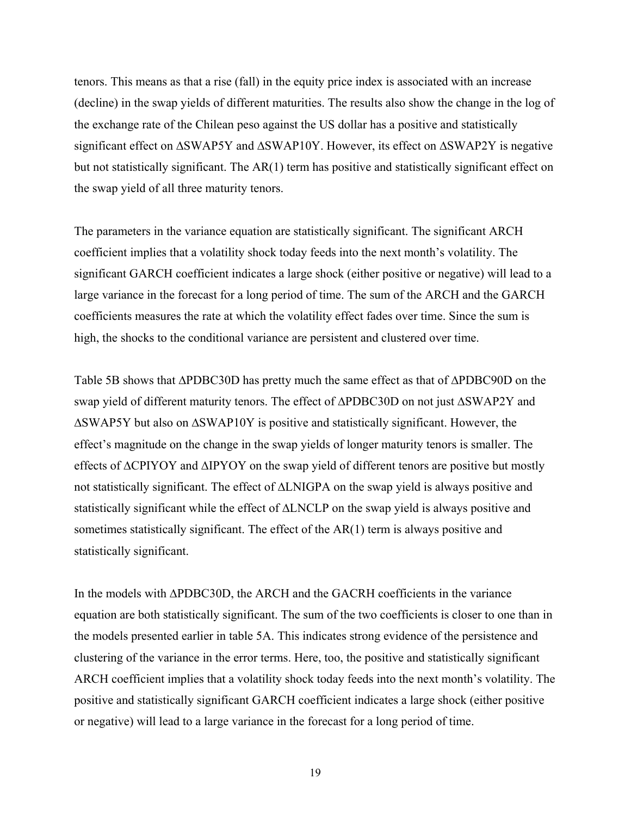tenors. This means as that a rise (fall) in the equity price index is associated with an increase (decline) in the swap yields of different maturities. The results also show the change in the log of the exchange rate of the Chilean peso against the US dollar has a positive and statistically significant effect on ∆SWAP5Y and ∆SWAP10Y. However, its effect on ∆SWAP2Y is negative but not statistically significant. The AR(1) term has positive and statistically significant effect on the swap yield of all three maturity tenors.

The parameters in the variance equation are statistically significant. The significant ARCH coefficient implies that a volatility shock today feeds into the next month's volatility. The significant GARCH coefficient indicates a large shock (either positive or negative) will lead to a large variance in the forecast for a long period of time. The sum of the ARCH and the GARCH coefficients measures the rate at which the volatility effect fades over time. Since the sum is high, the shocks to the conditional variance are persistent and clustered over time.

Table 5B shows that ∆PDBC30D has pretty much the same effect as that of ∆PDBC90D on the swap yield of different maturity tenors. The effect of ∆PDBC30D on not just ∆SWAP2Y and ∆SWAP5Y but also on ∆SWAP10Y is positive and statistically significant. However, the effect's magnitude on the change in the swap yields of longer maturity tenors is smaller. The effects of ∆CPIYOY and ∆IPYOY on the swap yield of different tenors are positive but mostly not statistically significant. The effect of ∆LNIGPA on the swap yield is always positive and statistically significant while the effect of ∆LNCLP on the swap yield is always positive and sometimes statistically significant. The effect of the AR(1) term is always positive and statistically significant.

In the models with ∆PDBC30D, the ARCH and the GACRH coefficients in the variance equation are both statistically significant. The sum of the two coefficients is closer to one than in the models presented earlier in table 5A. This indicates strong evidence of the persistence and clustering of the variance in the error terms. Here, too, the positive and statistically significant ARCH coefficient implies that a volatility shock today feeds into the next month's volatility. The positive and statistically significant GARCH coefficient indicates a large shock (either positive or negative) will lead to a large variance in the forecast for a long period of time.

19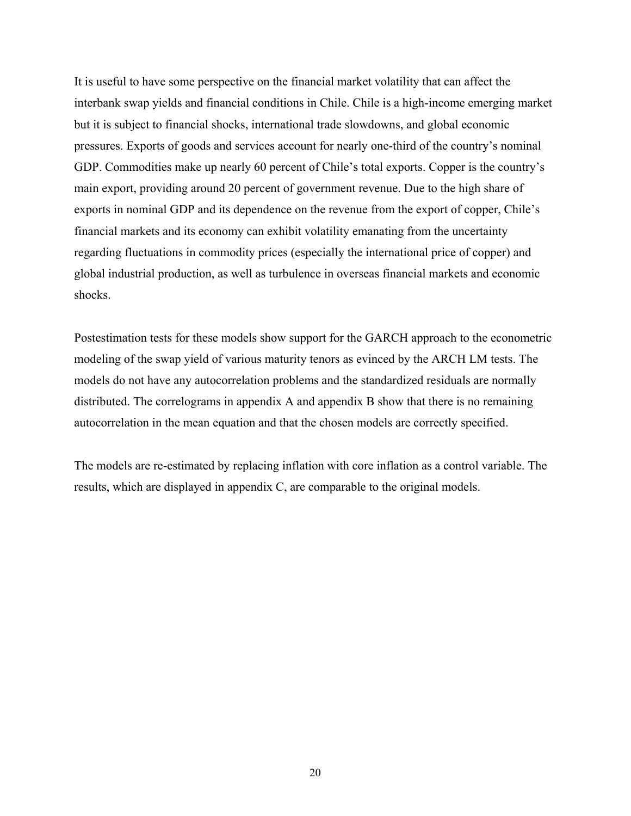It is useful to have some perspective on the financial market volatility that can affect the interbank swap yields and financial conditions in Chile. Chile is a high-income emerging market but it is subject to financial shocks, international trade slowdowns, and global economic pressures. Exports of goods and services account for nearly one-third of the country's nominal GDP. Commodities make up nearly 60 percent of Chile's total exports. Copper is the country's main export, providing around 20 percent of government revenue. Due to the high share of exports in nominal GDP and its dependence on the revenue from the export of copper, Chile's financial markets and its economy can exhibit volatility emanating from the uncertainty regarding fluctuations in commodity prices (especially the international price of copper) and global industrial production, as well as turbulence in overseas financial markets and economic shocks.

Postestimation tests for these models show support for the GARCH approach to the econometric modeling of the swap yield of various maturity tenors as evinced by the ARCH LM tests. The models do not have any autocorrelation problems and the standardized residuals are normally distributed. The correlograms in appendix A and appendix B show that there is no remaining autocorrelation in the mean equation and that the chosen models are correctly specified.

The models are re-estimated by replacing inflation with core inflation as a control variable. The results, which are displayed in appendix C, are comparable to the original models.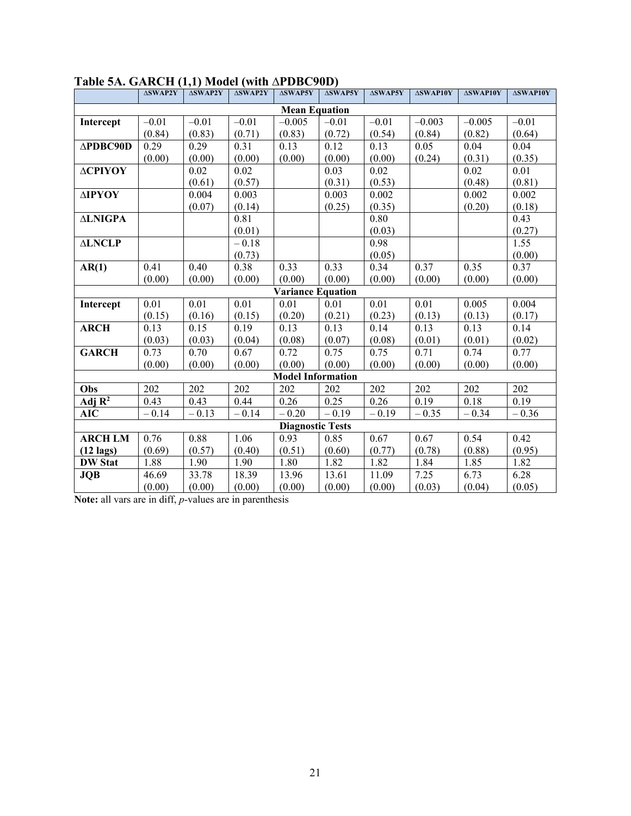|                     | <b>ASWAP2Y</b> | <b>ASWAP2Y</b> | $\triangle SWAP2Y$ | <b>ASWAP5Y</b>           | $\triangle SWAP5Y$ | $\Delta \textbf{SWAP5Y}$ | <b>ASWAP10Y</b> | $\Delta$ SWAP10Y | $\Delta$ SWAP10Y |
|---------------------|----------------|----------------|--------------------|--------------------------|--------------------|--------------------------|-----------------|------------------|------------------|
|                     |                |                |                    | <b>Mean Equation</b>     |                    |                          |                 |                  |                  |
| Intercept           | $-0.01$        | $-0.01$        | $-0.01$            | $-0.005$                 | $-0.01$            | $-0.01$                  | $-0.003$        | $-0.005$         | $-0.01$          |
|                     | (0.84)         | (0.83)         | (0.71)             | (0.83)                   | (0.72)             | (0.54)                   | (0.84)          | (0.82)           | (0.64)           |
| <b>∆PDBC90D</b>     | 0.29           | 0.29           | 0.31               | 0.13                     | 0.12               | 0.13                     | 0.05            | 0.04             | 0.04             |
|                     | (0.00)         | (0.00)         | (0.00)             | (0.00)                   | (0.00)             | (0.00)                   | (0.24)          | (0.31)           | (0.35)           |
| ΔΟΡΙΥΟΥ             |                | 0.02           | 0.02               |                          | 0.03               | 0.02                     |                 | 0.02             | 0.01             |
|                     |                | (0.61)         | (0.57)             |                          | (0.31)             | (0.53)                   |                 | (0.48)           | (0.81)           |
| ΔΙΡΥΟΥ              |                | 0.004          | 0.003              |                          | 0.003              | 0.002                    |                 | 0.002            | 0.002            |
|                     |                | (0.07)         | (0.14)             |                          | (0.25)             | (0.35)                   |                 | (0.20)           | (0.18)           |
| <b>ALNIGPA</b>      |                |                | 0.81               |                          |                    | 0.80                     |                 |                  | 0.43             |
|                     |                |                | (0.01)             |                          |                    | (0.03)                   |                 |                  | (0.27)           |
| <b>ALNCLP</b>       |                |                | $-0.18$            |                          |                    | 0.98                     |                 |                  | 1.55             |
|                     |                |                | (0.73)             |                          |                    | (0.05)                   |                 |                  | (0.00)           |
| AR(1)               | 0.41           | 0.40           | 0.38               | 0.33                     | 0.33               | 0.34                     | 0.37            | 0.35             | 0.37             |
|                     | (0.00)         | (0.00)         | (0.00)             | (0.00)                   | (0.00)             | (0.00)                   | (0.00)          | (0.00)           | (0.00)           |
|                     |                |                |                    | <b>Variance Equation</b> |                    |                          |                 |                  |                  |
| Intercept           | 0.01           | 0.01           | 0.01               | 0.01                     | 0.01               | 0.01                     | 0.01            | 0.005            | 0.004            |
|                     | (0.15)         | (0.16)         | (0.15)             | (0.20)                   | (0.21)             | (0.23)                   | (0.13)          | (0.13)           | (0.17)           |
| <b>ARCH</b>         | 0.13           | 0.15           | 0.19               | 0.13                     | 0.13               | 0.14                     | 0.13            | 0.13             | 0.14             |
|                     | (0.03)         | (0.03)         | (0.04)             | (0.08)                   | (0.07)             | (0.08)                   | (0.01)          | (0.01)           | (0.02)           |
| <b>GARCH</b>        | 0.73           | 0.70           | 0.67               | 0.72                     | 0.75               | 0.75                     | 0.71            | 0.74             | 0.77             |
|                     | (0.00)         | (0.00)         | (0.00)             | (0.00)                   | (0.00)             | (0.00)                   | (0.00)          | (0.00)           | (0.00)           |
|                     |                |                |                    | <b>Model Information</b> |                    |                          |                 |                  |                  |
| Obs                 | 202            | 202            | 202                | 202                      | 202                | 202                      | 202             | 202              | 202              |
| Adj $R^2$           | 0.43           | 0.43           | 0.44               | 0.26                     | 0.25               | 0.26                     | 0.19            | 0.18             | 0.19             |
| <b>AIC</b>          | $-0.14$        | $-0.13$        | $-0.14$            | $-0.20$                  | $-0.19$            | $-0.19$                  | $-0.35$         | $-0.34$          | $-0.36$          |
|                     |                |                |                    | <b>Diagnostic Tests</b>  |                    |                          |                 |                  |                  |
| <b>ARCH LM</b>      | 0.76           | 0.88           | 1.06               | 0.93                     | 0.85               | 0.67                     | 0.67            | 0.54             | 0.42             |
| $(12 \text{ lags})$ | (0.69)         | (0.57)         | (0.40)             | (0.51)                   | (0.60)             | (0.77)                   | (0.78)          | (0.88)           | (0.95)           |
| <b>DW Stat</b>      | 1.88           | 1.90           | 1.90               | 1.80                     | 1.82               | 1.82                     | 1.84            | 1.85             | 1.82             |
| <b>JQB</b>          | 46.69          | 33.78          | 18.39              | 13.96                    | 13.61              | 11.09                    | 7.25            | 6.73             | 6.28             |
|                     | (0.00)         | (0.00)         | (0.00)             | (0.00)                   | (0.00)             | (0.00)                   | (0.03)          | (0.04)           | (0.05)           |

## **Table 5A. GARCH (1,1) Model (with ∆PDBC90D)**

**Note:** all vars are in diff, *p*-values are in parenthesis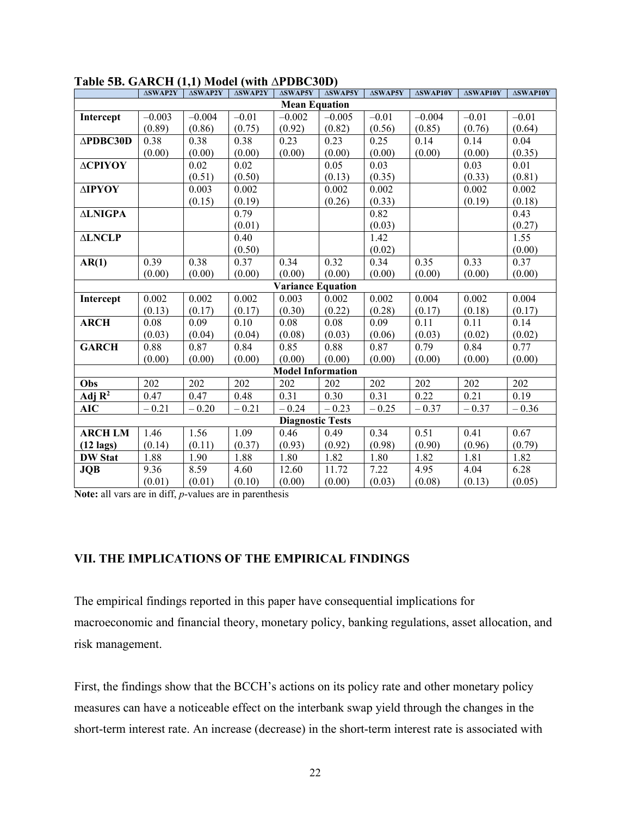|                     | <b>ASWAP2Y</b> | <b>ASWAP2Y</b> | ∆SWAP2Y | <b>ASWAP5Y</b>           | <b>ASWAP5Y</b> | ∆SWAP5Y | <b>ASWAP10Y</b> | <b>ASWAP10Y</b> | $\Delta$ SWAP10Y |
|---------------------|----------------|----------------|---------|--------------------------|----------------|---------|-----------------|-----------------|------------------|
|                     |                |                |         | <b>Mean Equation</b>     |                |         |                 |                 |                  |
| Intercept           | $-0.003$       | $-0.004$       | $-0.01$ | $-0.002$                 | $-0.005$       | $-0.01$ | $-0.004$        | $-0.01$         | $-0.01$          |
|                     | (0.89)         | (0.86)         | (0.75)  | (0.92)                   | (0.82)         | (0.56)  | (0.85)          | (0.76)          | (0.64)           |
| $\triangle PDBC30D$ | 0.38           | 0.38           | 0.38    | 0.23                     | 0.23           | 0.25    | 0.14            | 0.14            | 0.04             |
|                     | (0.00)         | (0.00)         | (0.00)  | (0.00)                   | (0.00)         | (0.00)  | (0.00)          | (0.00)          | (0.35)           |
| ΔΟΡΙΥΟΥ             |                | 0.02           | 0.02    |                          | 0.05           | 0.03    |                 | 0.03            | 0.01             |
|                     |                | (0.51)         | (0.50)  |                          | (0.13)         | (0.35)  |                 | (0.33)          | (0.81)           |
| ΔΙΡΥΟΥ              |                | 0.003          | 0.002   |                          | 0.002          | 0.002   |                 | 0.002           | 0.002            |
|                     |                | (0.15)         | (0.19)  |                          | (0.26)         | (0.33)  |                 | (0.19)          | (0.18)           |
| <b>ALNIGPA</b>      |                |                | 0.79    |                          |                | 0.82    |                 |                 | 0.43             |
|                     |                |                | (0.01)  |                          |                | (0.03)  |                 |                 | (0.27)           |
| <b>ALNCLP</b>       |                |                | 0.40    |                          |                | 1.42    |                 |                 | 1.55             |
|                     |                |                | (0.50)  |                          |                | (0.02)  |                 |                 | (0.00)           |
| AR(1)               | 0.39           | 0.38           | 0.37    | 0.34                     | 0.32           | 0.34    | 0.35            | 0.33            | 0.37             |
|                     | (0.00)         | (0.00)         | (0.00)  | (0.00)                   | (0.00)         | (0.00)  | (0.00)          | (0.00)          | (0.00)           |
|                     |                |                |         | <b>Variance Equation</b> |                |         |                 |                 |                  |
| Intercept           | 0.002          | 0.002          | 0.002   | 0.003                    | 0.002          | 0.002   | 0.004           | 0.002           | 0.004            |
|                     | (0.13)         | (0.17)         | (0.17)  | (0.30)                   | (0.22)         | (0.28)  | (0.17)          | (0.18)          | (0.17)           |
| <b>ARCH</b>         | 0.08           | 0.09           | 0.10    | 0.08                     | 0.08           | 0.09    | 0.11            | 0.11            | 0.14             |
|                     | (0.03)         | (0.04)         | (0.04)  | (0.08)                   | (0.03)         | (0.06)  | (0.03)          | (0.02)          | (0.02)           |
| <b>GARCH</b>        | 0.88           | 0.87           | 0.84    | 0.85                     | 0.88           | 0.87    | 0.79            | 0.84            | 0.77             |
|                     | (0.00)         | (0.00)         | (0.00)  | (0.00)                   | (0.00)         | (0.00)  | (0.00)          | (0.00)          | (0.00)           |
|                     |                |                |         | <b>Model Information</b> |                |         |                 |                 |                  |
| Obs                 | 202            | 202            | 202     | 202                      | 202            | 202     | 202             | 202             | 202              |
| Adj $\mathbf{R}^2$  | 0.47           | 0.47           | 0.48    | 0.31                     | 0.30           | 0.31    | 0.22            | 0.21            | 0.19             |
| <b>AIC</b>          | $-0.21$        | $-0.20$        | $-0.21$ | $-0.24$                  | $-0.23$        | $-0.25$ | $-0.37$         | $-0.37$         | $-0.36$          |
|                     |                |                |         | <b>Diagnostic Tests</b>  |                |         |                 |                 |                  |
| <b>ARCH LM</b>      | 1.46           | 1.56           | 1.09    | 0.46                     | 0.49           | 0.34    | 0.51            | 0.41            | 0.67             |
| $(12 \text{ lags})$ | (0.14)         | (0.11)         | (0.37)  | (0.93)                   | (0.92)         | (0.98)  | (0.90)          | (0.96)          | (0.79)           |
| <b>DW Stat</b>      | 1.88           | 1.90           | 1.88    | 1.80                     | 1.82           | 1.80    | 1.82            | 1.81            | 1.82             |
| <b>JQB</b>          | 9.36           | 8.59           | 4.60    | 12.60                    | 11.72          | 7.22    | 4.95            | 4.04            | 6.28             |
|                     | (0.01)         | (0.01)         | (0.10)  | (0.00)                   | (0.00)         | (0.03)  | (0.08)          | (0.13)          | (0.05)           |

#### **Table 5B. GARCH (1,1) Model (with ∆PDBC30D)**

**Note:** all vars are in diff, *p*-values are in parenthesis

#### **VII. THE IMPLICATIONS OF THE EMPIRICAL FINDINGS**

The empirical findings reported in this paper have consequential implications for macroeconomic and financial theory, monetary policy, banking regulations, asset allocation, and risk management.

First, the findings show that the BCCH's actions on its policy rate and other monetary policy measures can have a noticeable effect on the interbank swap yield through the changes in the short-term interest rate. An increase (decrease) in the short-term interest rate is associated with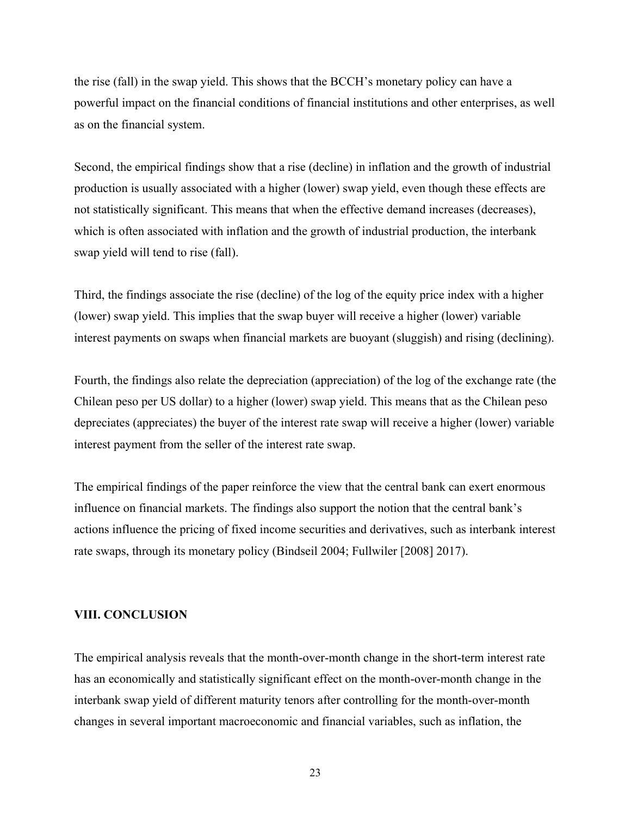the rise (fall) in the swap yield. This shows that the BCCH's monetary policy can have a powerful impact on the financial conditions of financial institutions and other enterprises, as well as on the financial system.

Second, the empirical findings show that a rise (decline) in inflation and the growth of industrial production is usually associated with a higher (lower) swap yield, even though these effects are not statistically significant. This means that when the effective demand increases (decreases), which is often associated with inflation and the growth of industrial production, the interbank swap yield will tend to rise (fall).

Third, the findings associate the rise (decline) of the log of the equity price index with a higher (lower) swap yield. This implies that the swap buyer will receive a higher (lower) variable interest payments on swaps when financial markets are buoyant (sluggish) and rising (declining).

Fourth, the findings also relate the depreciation (appreciation) of the log of the exchange rate (the Chilean peso per US dollar) to a higher (lower) swap yield. This means that as the Chilean peso depreciates (appreciates) the buyer of the interest rate swap will receive a higher (lower) variable interest payment from the seller of the interest rate swap.

The empirical findings of the paper reinforce the view that the central bank can exert enormous influence on financial markets. The findings also support the notion that the central bank's actions influence the pricing of fixed income securities and derivatives, such as interbank interest rate swaps, through its monetary policy (Bindseil 2004; Fullwiler [2008] 2017).

#### **VIII. CONCLUSION**

The empirical analysis reveals that the month-over-month change in the short-term interest rate has an economically and statistically significant effect on the month-over-month change in the interbank swap yield of different maturity tenors after controlling for the month-over-month changes in several important macroeconomic and financial variables, such as inflation, the

23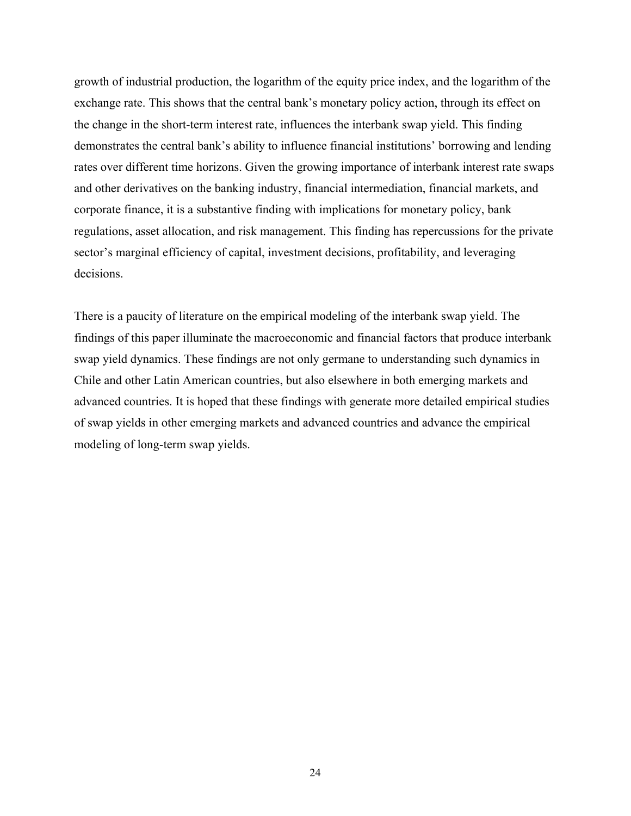growth of industrial production, the logarithm of the equity price index, and the logarithm of the exchange rate. This shows that the central bank's monetary policy action, through its effect on the change in the short-term interest rate, influences the interbank swap yield. This finding demonstrates the central bank's ability to influence financial institutions' borrowing and lending rates over different time horizons. Given the growing importance of interbank interest rate swaps and other derivatives on the banking industry, financial intermediation, financial markets, and corporate finance, it is a substantive finding with implications for monetary policy, bank regulations, asset allocation, and risk management. This finding has repercussions for the private sector's marginal efficiency of capital, investment decisions, profitability, and leveraging decisions.

There is a paucity of literature on the empirical modeling of the interbank swap yield. The findings of this paper illuminate the macroeconomic and financial factors that produce interbank swap yield dynamics. These findings are not only germane to understanding such dynamics in Chile and other Latin American countries, but also elsewhere in both emerging markets and advanced countries. It is hoped that these findings with generate more detailed empirical studies of swap yields in other emerging markets and advanced countries and advance the empirical modeling of long-term swap yields.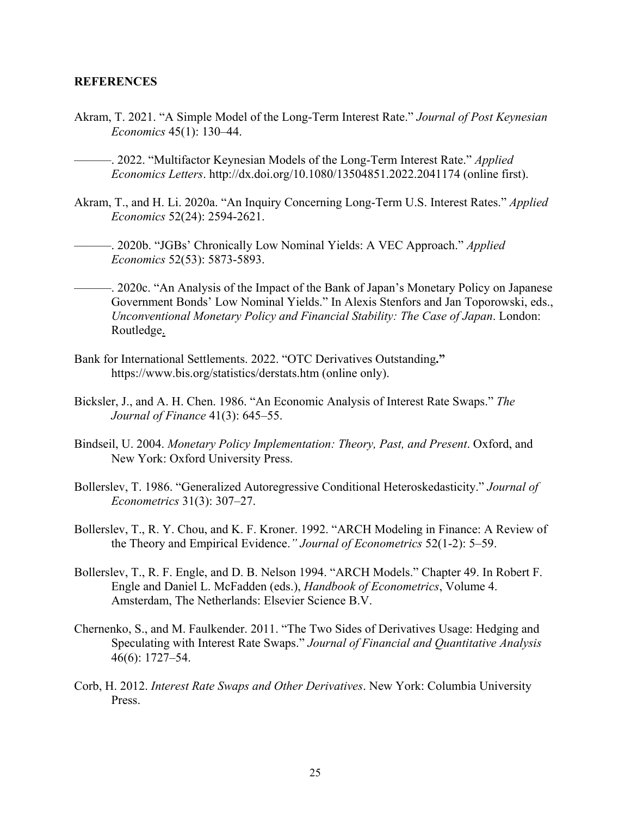#### **REFERENCES**

- Akram, T. 2021. "A Simple Model of the Long-Term Interest Rate." *Journal of Post Keynesian Economics* 45(1): 130–44.
	- ———. 2022. "Multifactor Keynesian Models of the Long-Term Interest Rate." *Applied Economics Letters*. http://dx.doi.org/10.1080/13504851.2022.2041174 (online first).
- Akram, T., and H. Li. 2020a. "An Inquiry Concerning Long-Term U.S. Interest Rates." *Applied Economics* 52(24): 2594-2621.
	- ———. 2020b. "JGBs' Chronically Low Nominal Yields: A VEC Approach." *Applied Economics* 52(53): 5873-5893.
- ———. 2020c. "An Analysis of the Impact of the Bank of Japan's Monetary Policy on Japanese Government Bonds' Low Nominal Yields." In Alexis Stenfors and Jan Toporowski, eds., *Unconventional Monetary Policy and Financial Stability: The Case of Japan*. London: Routledge.
- Bank for International Settlements. 2022. "OTC Derivatives Outstanding**."**  https://www.bis.org/statistics/derstats.htm (online only).
- Bicksler, J., and A. H. Chen. 1986. "An Economic Analysis of Interest Rate Swaps." *The Journal of Finance* 41(3): 645–55.
- Bindseil, U. 2004. *Monetary Policy Implementation: Theory, Past, and Present*. Oxford, and New York: Oxford University Press.
- Bollerslev, T. 1986. "Generalized Autoregressive Conditional Heteroskedasticity." *Journal of Econometrics* 31(3): 307–27.
- Bollerslev, T., R. Y. Chou, and K. F. Kroner. 1992. "ARCH Modeling in Finance: A Review of the Theory and Empirical Evidence.*" Journal of Econometrics* 52(1-2): 5–59.
- Bollerslev, T., R. F. Engle, and D. B. Nelson 1994. "ARCH Models." Chapter 49. In Robert F. Engle and Daniel L. McFadden (eds.), *Handbook of Econometrics*, Volume 4. Amsterdam, The Netherlands: Elsevier Science B.V.
- Chernenko, S., and M. Faulkender. 2011. "The Two Sides of Derivatives Usage: Hedging and Speculating with Interest Rate Swaps." *Journal of Financial and Quantitative Analysis*  46(6): 1727–54.
- Corb, H. 2012. *Interest Rate Swaps and Other Derivatives*. New York: Columbia University Press.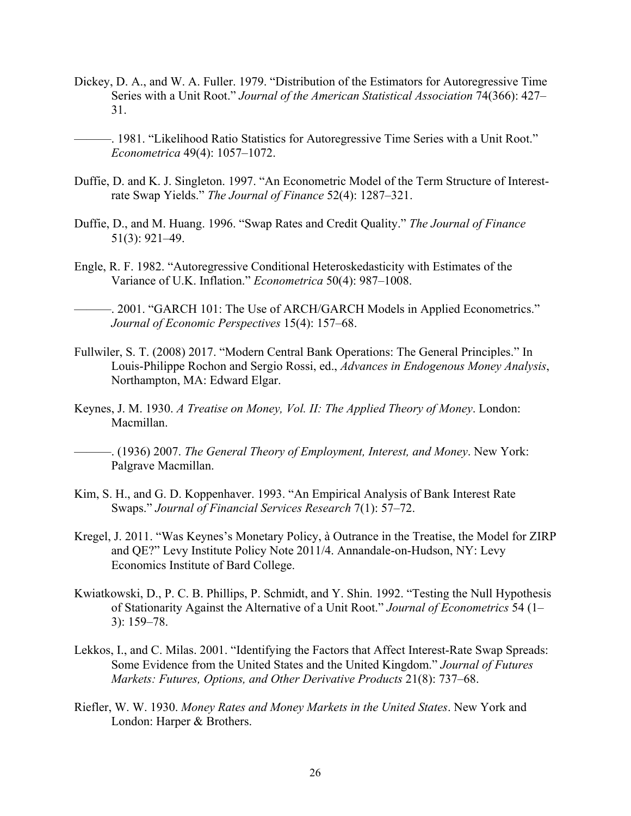- Dickey, D. A., and W. A. Fuller. 1979. "Distribution of the Estimators for Autoregressive Time Series with a Unit Root." *Journal of the American Statistical Association* 74(366): 427– 31.
	- -. 1981. "Likelihood Ratio Statistics for Autoregressive Time Series with a Unit Root." *Econometrica* 49(4): 1057–1072.
- Duffie, D. and K. J. Singleton. 1997. "An Econometric Model of the Term Structure of Interestrate Swap Yields." *The Journal of Finance* 52(4): 1287–321.
- Duffie, D., and M. Huang. 1996. "Swap Rates and Credit Quality." *The Journal of Finance* 51(3): 921–49.
- Engle, R. F. 1982. "Autoregressive Conditional Heteroskedasticity with Estimates of the Variance of U.K. Inflation." *Econometrica* 50(4): 987–1008.

———. 2001. "GARCH 101: The Use of ARCH/GARCH Models in Applied Econometrics." *Journal of Economic Perspectives* 15(4): 157–68.

- Fullwiler, S. T. (2008) 2017. "Modern Central Bank Operations: The General Principles." In Louis-Philippe Rochon and Sergio Rossi, ed., *Advances in Endogenous Money Analysis*, Northampton, MA: Edward Elgar.
- Keynes, J. M. 1930. *A Treatise on Money, Vol. II: The Applied Theory of Money*. London: Macmillan.

———. (1936) 2007. *The General Theory of Employment, Interest, and Money*. New York: Palgrave Macmillan.

- Kim, S. H., and G. D. Koppenhaver. 1993. "An Empirical Analysis of Bank Interest Rate Swaps." *Journal of Financial Services Research* 7(1): 57–72.
- Kregel, J. 2011. "Was Keynes's Monetary Policy, à Outrance in the Treatise, the Model for ZIRP and QE?" Levy Institute Policy Note 2011/4. Annandale-on-Hudson, NY: Levy Economics Institute of Bard College.
- Kwiatkowski, D., P. C. B. Phillips, P. Schmidt, and Y. Shin. 1992. "Testing the Null Hypothesis of Stationarity Against the Alternative of a Unit Root." *Journal of Econometrics* 54 (1– 3): 159–78.
- Lekkos, I., and C. Milas. 2001. "Identifying the Factors that Affect Interest-Rate Swap Spreads: Some Evidence from the United States and the United Kingdom." *Journal of Futures Markets: Futures, Options, and Other Derivative Products* 21(8): 737–68.
- Riefler, W. W. 1930. *Money Rates and Money Markets in the United States*. New York and London: Harper & Brothers.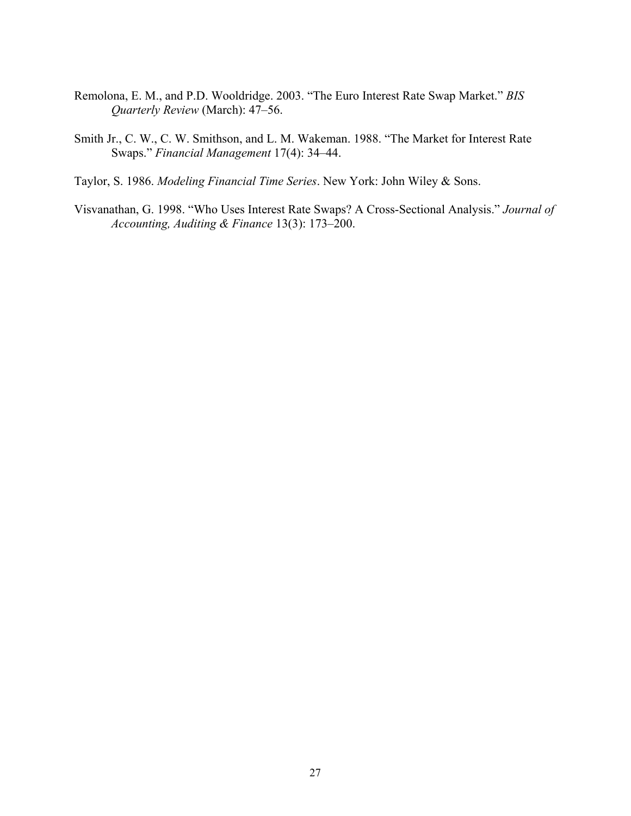- Remolona, E. M., and P.D. Wooldridge. 2003. "The Euro Interest Rate Swap Market." *BIS Quarterly Review* (March): 47–56.
- Smith Jr., C. W., C. W. Smithson, and L. M. Wakeman. 1988. "The Market for Interest Rate Swaps." *Financial Management* 17(4): 34–44.
- Taylor, S. 1986. *Modeling Financial Time Series*. New York: John Wiley & Sons.
- Visvanathan, G. 1998. "Who Uses Interest Rate Swaps? A Cross-Sectional Analysis." *Journal of Accounting, Auditing & Finance* 13(3): 173–200.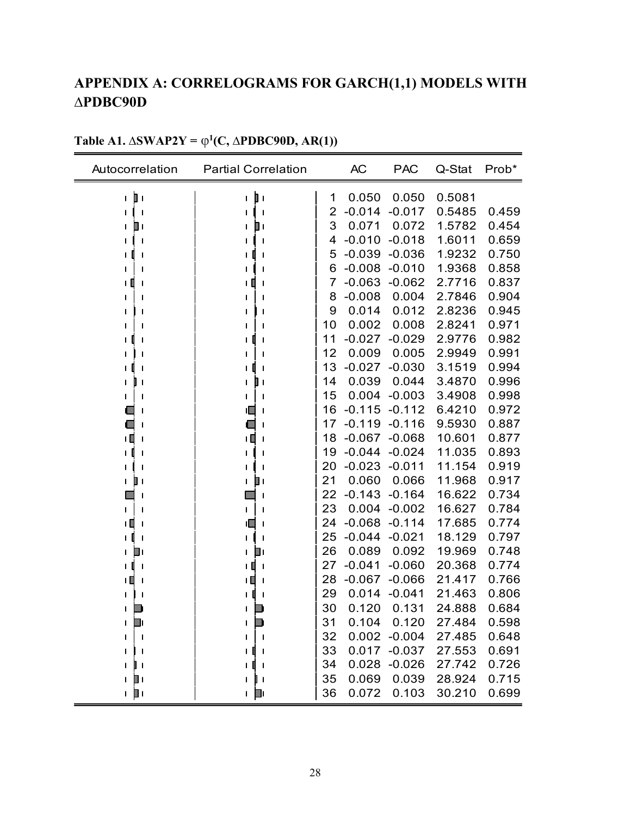# **APPENDIX A: CORRELOGRAMS FOR GARCH(1,1) MODELS WITH ∆PDBC90D**

| Autocorrelation          | <b>Partial Correlation</b> |    | <b>AC</b> | <b>PAC</b>     | Q-Stat | Prob* |
|--------------------------|----------------------------|----|-----------|----------------|--------|-------|
| þ١<br>L                  | þ١<br>$\mathbf{L}$         | 1  | 0.050     | 0.050          | 0.5081 |       |
| $\mathbf{I}$             |                            | 2  | $-0.014$  | $-0.017$       | 0.5485 | 0.459 |
| ▯<br>L                   | ו ⊡<br>L                   | 3  | 0.071     | 0.072          | 1.5782 | 0.454 |
| $\mathbf l$              |                            | 4  | $-0.010$  | $-0.018$       | 1.6011 | 0.659 |
|                          |                            | 5  | $-0.039$  | $-0.036$       | 1.9232 | 0.750 |
|                          |                            | 6  | $-0.008$  | $-0.010$       | 1.9368 | 0.858 |
| LШ<br>$\mathbf l$        | ΙШ                         | 7  | $-0.063$  | $-0.062$       | 2.7716 | 0.837 |
|                          |                            | 8  | $-0.008$  | 0.004          | 2.7846 | 0.904 |
|                          |                            | 9  | 0.014     | 0.012          | 2.8236 | 0.945 |
|                          |                            | 10 | 0.002     | 0.008          | 2.8241 | 0.971 |
|                          |                            | 11 | $-0.027$  | $-0.029$       | 2.9776 | 0.982 |
|                          |                            | 12 | 0.009     | 0.005          | 2.9949 | 0.991 |
|                          |                            | 13 | $-0.027$  | $-0.030$       | 3.1519 | 0.994 |
| L<br>U I                 | ╻╻<br>L                    | 14 | 0.039     | 0.044          | 3.4870 | 0.996 |
| -1                       |                            | 15 | 0.004     | $-0.003$       | 3.4908 | 0.998 |
|                          | ∟                          | 16 | $-0.115$  | $-0.112$       | 6.4210 | 0.972 |
|                          |                            | 17 | $-0.119$  | $-0.116$       | 9.5930 | 0.887 |
| ╹<br>$\mathbf l$         | ╹                          | 18 | $-0.067$  | $-0.068$       | 10.601 | 0.877 |
|                          |                            | 19 | $-0.044$  | $-0.024$       | 11.035 | 0.893 |
|                          |                            | 20 | $-0.023$  | $-0.011$       | 11.154 | 0.919 |
| ╻╷<br>L                  | ▯≀<br>L                    | 21 | 0.060     | 0.066          | 11.968 | 0.917 |
|                          |                            | 22 | $-0.143$  | $-0.164$       | 16.622 | 0.734 |
|                          | L                          | 23 | 0.004     | $-0.002$       | 16.627 | 0.784 |
| ıШ<br>$\mathbf{I}$       | ╙                          | 24 | $-0.068$  | $-0.114$       | 17.685 | 0.774 |
| -1                       |                            | 25 | $-0.044$  | $-0.021$       | 18.129 | 0.797 |
| L                        | H)<br>L                    | 26 | 0.089     | 0.092          | 19.969 | 0.748 |
|                          | LШ                         | 27 | $-0.041$  | $-0.060$       | 20.368 | 0.774 |
| ıЦ<br>-1                 | ΙЦ                         | 28 | $-0.067$  | $-0.066$       | 21.417 | 0.766 |
|                          |                            | 29 | 0.014     | $-0.041$       | 21.463 | 0.806 |
|                          |                            | 30 | 0.120     | 0.131          | 24.888 | 0.684 |
| D<br>L                   | ■<br>L                     | 31 | 0.104     | 0.120          | 27.484 | 0.598 |
| $\overline{\phantom{a}}$ |                            | 32 |           | $0.002 -0.004$ | 27.485 | 0.648 |
| $\mathbf{I}$             | L                          | 33 |           | 0.017 -0.037   | 27.553 | 0.691 |
| ╻<br>L                   | $\mathbf{1}$               | 34 |           | 0.028 -0.026   | 27.742 | 0.726 |
| Ш۱<br>I.                 | 1 D I                      | 35 | 0.069     | 0.039          | 28.924 | 0.715 |
| ⊢ ]⊓                     |                            | 36 | 0.072     | 0.103          | 30.210 | 0.699 |

## **Table A1.**  $\Delta$ **SWAP2Y** =  $\varphi$ <sup>1</sup>(C,  $\Delta$ **PDBC90D, AR(1))**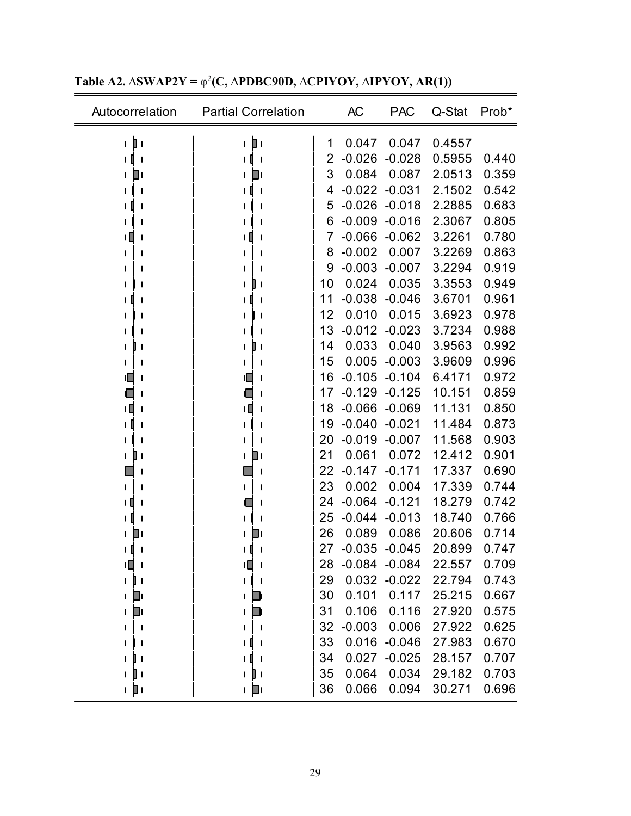| Autocorrelation        | <b>Partial Correlation</b>     |    | <b>AC</b>         | <b>PAC</b>       | Q-Stat | Prob* |
|------------------------|--------------------------------|----|-------------------|------------------|--------|-------|
| þт<br>$\mathbf{I}$     | r þr                           | 1  | 0.047             | 0.047            | 0.4557 |       |
| П<br>$\mathbf{I}$<br>T | $\mathbf{I}$                   | 2  | $-0.026$          | $-0.028$         | 0.5955 | 0.440 |
| $\Box$ (               | ום                             | 3  | 0.084             | 0.087            | 2.0513 | 0.359 |
| $\mathbf{I}$           | $\mathbf{I}$                   | 4  | $-0.022$          | $-0.031$         | 2.1502 | 0.542 |
|                        |                                | 5  | $-0.026$          | $-0.018$         | 2.2885 | 0.683 |
|                        |                                | 6  | $-0.009$          | $-0.016$         | 2.3067 | 0.805 |
|                        |                                | 7  | $-0.066$          | $-0.062$         | 3.2261 | 0.780 |
|                        |                                | 8  | $-0.002$          | 0.007            | 3.2269 | 0.863 |
|                        |                                | 9  | $-0.003$          | $-0.007$         | 3.2294 | 0.919 |
|                        | $\mathbf l$                    | 10 | 0.024             | 0.035            | 3.3553 | 0.949 |
|                        | $\mathsf{l}$                   | 11 | $-0.038$          | $-0.046$         | 3.6701 | 0.961 |
|                        |                                | 12 | 0.010             | 0.015            | 3.6923 | 0.978 |
|                        |                                | 13 |                   | $-0.012 - 0.023$ | 3.7234 | 0.988 |
| J                      | $\mathbf{I}$                   | 14 | 0.033             | 0.040            | 3.9563 | 0.992 |
| J                      | $\mathbf l$                    | 15 | 0.005             | $-0.003$         | 3.9609 | 0.996 |
|                        |                                | 16 | $-0.105$          | $-0.104$         | 6.4171 | 0.972 |
|                        |                                | 17 | $-0.129$          | $-0.125$         | 10.151 | 0.859 |
| TП                     | ΙШ                             | 18 | $-0.066$          | $-0.069$         | 11.131 | 0.850 |
| ΙI<br>ı                |                                | 19 | $-0.040$          | $-0.021$         | 11.484 | 0.873 |
|                        |                                | 20 | $-0.019$          | $-0.007$         | 11.568 | 0.903 |
| ∎                      | ◨                              | 21 | 0.061             | 0.072            | 12.412 | 0.901 |
|                        | ı                              | 22 | $-0.147$          | $-0.171$         | 17.337 | 0.690 |
|                        | ı                              | 23 | 0.002             | 0.004            | 17.339 | 0.744 |
|                        | ı                              | 24 | $-0.064$          | $-0.121$         | 18.279 | 0.742 |
| 1                      |                                | 25 | $-0.044$          | $-0.013$         | 18.740 | 0.766 |
|                        | Ш                              | 26 | 0.089             | 0.086            | 20.606 | 0.714 |
|                        |                                | 27 | $-0.035$          | $-0.045$         | 20.899 | 0.747 |
| ≀∎ i                   | ιП<br>$\overline{\phantom{a}}$ | 28 | $-0.084$ $-0.084$ |                  | 22.557 | 0.709 |
| 4 I                    |                                | 29 |                   | $0.032 - 0.022$  | 22.794 | 0.743 |
| Dı<br>$\mathsf{I}$     |                                | 30 | 0.101             | 0.117            | 25.215 | 0.667 |
| D<br>I.                |                                | 31 | 0.106             | 0.116            | 27.920 | 0.575 |
|                        |                                | 32 | $-0.003$          | 0.006            | 27.922 | 0.625 |
|                        |                                | 33 |                   | $0.016 - 0.046$  | 27.983 | 0.670 |
| -1                     |                                | 34 | 0.027             | $-0.025$         | 28.157 | 0.707 |
| Ш<br>$\mathbf{I}$      | $\mathbf{I}$                   | 35 | 0.064             | 0.034            | 29.182 | 0.703 |
| ⊥ Di                   | ⊥ ∐⊥                           | 36 | 0.066             | 0.094            | 30.271 | 0.696 |

**Table A2.**  $\Delta$ **SWAP2Y** =  $\varphi$ <sup>2</sup>(**C**,  $\Delta$ **PDBC90D,**  $\Delta$ **CPIYOY,**  $\Delta$ **IPYOY, AR(1))**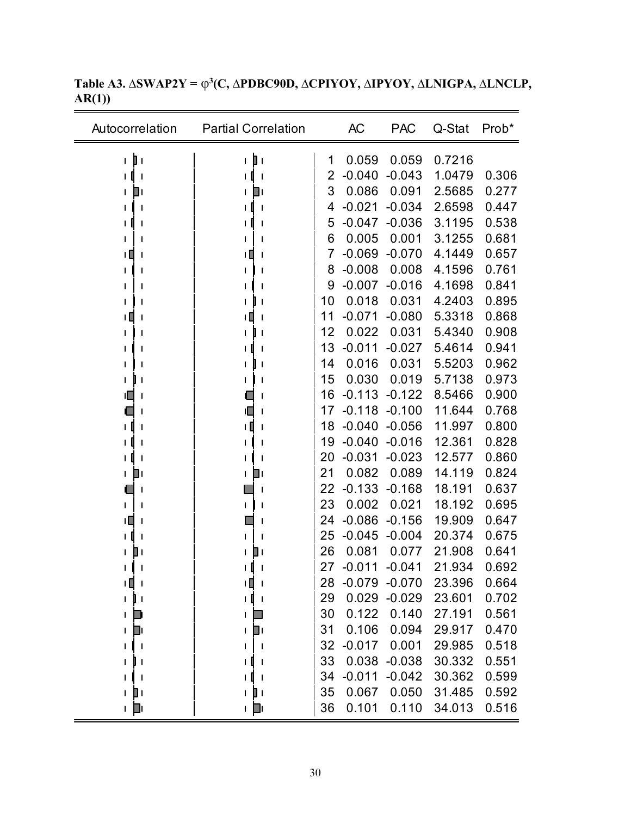| Autocorrelation                | <b>Partial Correlation</b>     |    | <b>AC</b> | <b>PAC</b>   | Q-Stat | Prob* |
|--------------------------------|--------------------------------|----|-----------|--------------|--------|-------|
| ı pı                           | þт<br>$\mathbf{L}$             | 1  | 0.059     | 0.059        | 0.7216 |       |
| LΙ<br>$\overline{\phantom{a}}$ | $\overline{\phantom{a}}$       | 2  | $-0.040$  | $-0.043$     | 1.0479 | 0.306 |
| O۱<br>L                        | O۱<br>L                        | 3  | 0.086     | 0.091        | 2.5685 | 0.277 |
|                                | $\mathbf{I}$                   | 4  | $-0.021$  | $-0.034$     | 2.6598 | 0.447 |
|                                | $\mathsf{l}$                   | 5  | $-0.047$  | $-0.036$     | 3.1195 | 0.538 |
|                                |                                | 6  | 0.005     | 0.001        | 3.1255 | 0.681 |
| ш                              | ΙШ                             | 7  | $-0.069$  | $-0.070$     | 4.1449 | 0.657 |
|                                | L<br>1                         | 8  | $-0.008$  | 0.008        | 4.1596 | 0.761 |
|                                | 1                              | 9  | $-0.007$  | $-0.016$     | 4.1698 | 0.841 |
|                                | l I<br>L                       | 10 | 0.018     | 0.031        | 4.2403 | 0.895 |
| ۱Ц                             | $\mathbf{I}$                   | 11 | $-0.071$  | $-0.080$     | 5.3318 | 0.868 |
|                                | $\mathbf{I}$                   | 12 | 0.022     | 0.031        | 5.4340 | 0.908 |
|                                | $\mathbf{I}$                   | 13 | $-0.011$  | $-0.027$     | 5.4614 | 0.941 |
|                                | ╻╷                             | 14 | 0.016     | 0.031        | 5.5203 | 0.962 |
|                                | J                              | 15 | 0.030     | 0.019        | 5.7138 | 0.973 |
| U                              | 1                              | 16 | $-0.113$  | $-0.122$     | 8.5466 | 0.900 |
|                                | ıП                             | 17 | $-0.118$  | $-0.100$     | 11.644 | 0.768 |
| ιH                             | ۱O<br>$\mathbf{I}$             | 18 | $-0.040$  | $-0.056$     | 11.997 | 0.800 |
|                                | J<br>L                         | 19 | $-0.040$  | $-0.016$     | 12.361 | 0.828 |
|                                | $\mathbf{I}$                   | 20 | $-0.031$  | $-0.023$     | 12.577 | 0.860 |
| ⊔<br>L                         | ∐।<br>L                        | 21 | 0.082     | 0.089        | 14.119 | 0.824 |
|                                | 1                              | 22 | $-0.133$  | $-0.168$     | 18.191 | 0.637 |
| L                              | L<br>J                         | 23 | 0.002     | 0.021        | 18.192 | 0.695 |
| ۱L                             |                                | 24 | $-0.086$  | $-0.156$     | 19.909 | 0.647 |
|                                | L                              | 25 | $-0.045$  | $-0.004$     | 20.374 | 0.675 |
| ▯<br>L                         | ∐∣<br>L                        | 26 | 0.081     | 0.077        | 21.908 | 0.641 |
|                                | U<br>$\mathbf{I}$<br>L         | 27 | $-0.011$  | $-0.041$     | 21.934 | 0.692 |
| +0<br>- 1                      | тŪ<br>$\overline{\phantom{a}}$ | 28 | $-0.079$  | $-0.070$     | 23.396 | 0.664 |
| 1 J I                          | ΙI<br>$\overline{\phantom{a}}$ | 29 |           | 0.029 -0.029 | 23.601 | 0.702 |
| U<br>L                         | I                              | 30 | 0.122     | 0.140        | 27.191 | 0.561 |
| D<br>L                         | D۱<br>L                        | 31 | 0.106     | 0.094        | 29.917 | 0.470 |
|                                |                                | 32 | $-0.017$  | 0.001        | 29.985 | 0.518 |
| ╻╻<br>L                        | $\mathbf{I}$<br>L              | 33 | 0.038     | $-0.038$     | 30.332 | 0.551 |
|                                | $\mathbf{I}$                   | 34 | $-0.011$  | $-0.042$     | 30.362 | 0.599 |
| $\blacksquare$<br>L            | D۱<br>L                        | 35 | 0.067     | 0.050        | 31.485 | 0.592 |
| + p                            | ⊥ µ                            | 36 | 0.101     | 0.110        | 34.013 | 0.516 |

**Table A3. ∆SWAP2Y =** φ**3(C, ∆PDBC90D, ∆CPIYOY, ∆IPYOY, ∆LNIGPA, ∆LNCLP, AR(1))**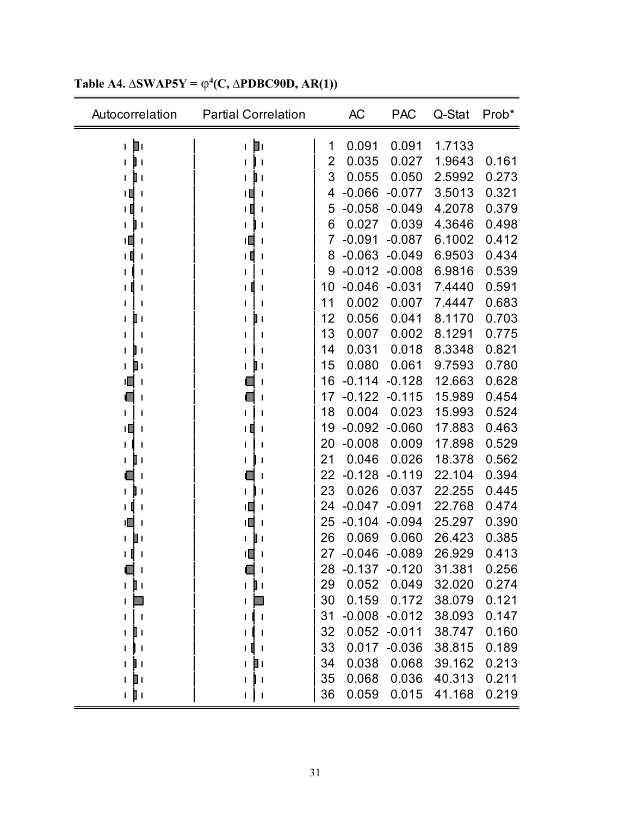| Autocorrelation              | <b>Partial Correlation</b> |    | AC       | <b>PAC</b>       | Q-Stat | Prob* |
|------------------------------|----------------------------|----|----------|------------------|--------|-------|
| D۱<br>L                      | Þ۱<br>L                    | 1  | 0.091    | 0.091            | 1.7133 |       |
| ı                            |                            | 2  | 0.035    | 0.027            | 1.9643 | 0.161 |
| Ш                            | 0                          | 3  | 0.055    | 0.050            | 2.5992 | 0.273 |
| ╹                            | ╹                          | 4  | $-0.066$ | $-0.077$         | 3.5013 | 0.321 |
| ו ו<br>$\mathbf l$           | ו ו                        | 5  | $-0.058$ | $-0.049$         | 4.2078 | 0.379 |
|                              |                            | 6  | 0.027    | 0.039            | 4.3646 | 0.498 |
| ۱O<br>$\mathbf{I}$           | 旧<br>ı                     | 7  | $-0.091$ | $-0.087$         | 6.1002 | 0.412 |
| ı 0                          | ∣ [                        | 8  | $-0.063$ | $-0.049$         | 6.9503 | 0.434 |
|                              |                            | 9  | $-0.012$ | $-0.008$         | 6.9816 | 0.539 |
|                              |                            | 10 | $-0.046$ | $-0.031$         | 7.4440 | 0.591 |
|                              |                            | 11 | 0.002    | 0.007            | 7.4447 | 0.683 |
| O۱                           | ШΙ                         | 12 | 0.056    | 0.041            | 8.1170 | 0.703 |
|                              |                            | 13 | 0.007    | 0.002            | 8.1291 | 0.775 |
| -1                           |                            | 14 | 0.031    | 0.018            | 8.3348 | 0.821 |
| ▯                            |                            | 15 | 0.080    | 0.061            | 9.7593 | 0.780 |
| ıΠ                           |                            | 16 | $-0.114$ | $-0.128$         | 12.663 | 0.628 |
|                              |                            | 17 | $-0.122$ | $-0.115$         | 15.989 | 0.454 |
|                              |                            | 18 | 0.004    | 0.023            | 15.993 | 0.524 |
| ıΠ                           |                            | 19 | $-0.092$ | $-0.060$         | 17.883 | 0.463 |
|                              |                            | 20 | $-0.008$ | 0.009            | 17.898 | 0.529 |
|                              |                            | 21 | 0.046    | 0.026            | 18.378 | 0.562 |
|                              |                            | 22 | $-0.128$ | $-0.119$         | 22.104 | 0.394 |
|                              |                            | 23 | 0.026    | 0.037            | 22.255 | 0.445 |
| I                            | ΙП                         | 24 | $-0.047$ | $-0.091$         | 22.768 | 0.474 |
| ıo                           | ΙL                         | 25 | $-0.104$ | $-0.094$         | 25.297 | 0.390 |
|                              |                            | 26 | 0.069    | 0.060            | 26.423 | 0.385 |
|                              | ۱Ц                         | 27 | $-0.046$ | $-0.089$         | 26.929 | 0.413 |
|                              |                            | 28 | $-0.137$ | $-0.120$         | 31.381 | 0.256 |
| $\mathbf{I}$<br>$\mathbf{I}$ | ĐΙ<br>$\mathbf{I}$         | 29 | 0.052    | 0.049            | 32.020 | 0.274 |
|                              |                            | 30 | 0.159    | 0.172            | 38.079 | 0.121 |
|                              |                            | 31 |          | $-0.008 - 0.012$ | 38.093 | 0.147 |
|                              |                            | 32 |          | $0.052 -0.011$   | 38.747 | 0.160 |
|                              |                            | 33 |          | 0.017 -0.036     | 38.815 | 0.189 |
|                              | O۱<br>L                    | 34 | 0.038    | 0.068            | 39.162 | 0.213 |
| ▯                            | $\mathbf{I}$               | 35 | 0.068    | 0.036            | 40.313 | 0.211 |
| ı pı                         | 1 J J                      | 36 | 0.059    | 0.015            | 41.168 | 0.219 |

**Table A4.**  $\Delta$ **SWAP5Y** =  $\varphi$ <sup>4</sup>(C,  $\Delta$ **PDBC90D, AR(1))**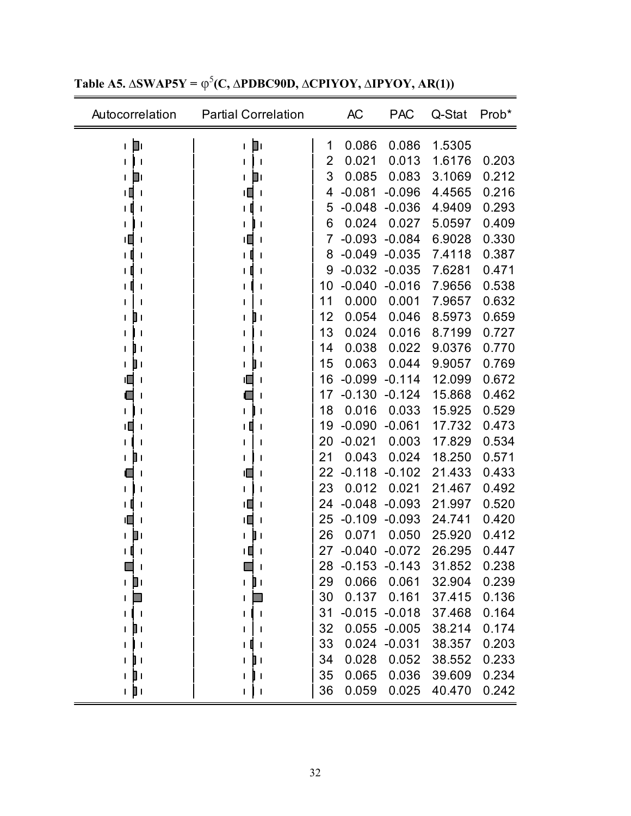| Autocorrelation    | <b>Partial Correlation</b>   |    | <b>AC</b>       | <b>PAC</b>       | Q-Stat | Prob* |
|--------------------|------------------------------|----|-----------------|------------------|--------|-------|
| 工目                 | Dг<br>$\mathbf{I}$           | 1  | 0.086           | 0.086            | 1.5305 |       |
|                    | $\mathbf l$                  | 2  | 0.021           | 0.013            | 1.6176 | 0.203 |
| ш                  | Ш١                           | 3  | 0.085           | 0.083            | 3.1069 | 0.212 |
| Ш                  | Ш<br>$\mathbf l$             | 4  | $-0.081$        | $-0.096$         | 4.4565 | 0.216 |
|                    |                              | 5  | $-0.048$        | $-0.036$         | 4.9409 | 0.293 |
|                    | $\mathbf l$                  | 6  | 0.024           | 0.027            | 5.0597 | 0.409 |
| ۱Ц                 | ۱Ц<br>$\mathbf l$            | 7  | $-0.093$        | $-0.084$         | 6.9028 | 0.330 |
|                    |                              | 8  | $-0.049$        | $-0.035$         | 7.4118 | 0.387 |
|                    | I                            | 9  | $-0.032 -0.035$ |                  | 7.6281 | 0.471 |
|                    | ı                            | 10 | $-0.040$        | $-0.016$         | 7.9656 | 0.538 |
|                    |                              | 11 | 0.000           | 0.001            | 7.9657 | 0.632 |
|                    | $\mathbf{I}$                 | 12 | 0.054           | 0.046            | 8.5973 | 0.659 |
|                    | $\mathbf l$                  | 13 | 0.024           | 0.016            | 8.7199 | 0.727 |
|                    |                              | 14 | 0.038           | 0.022            | 9.0376 | 0.770 |
| ШΙ                 | Ш١                           | 15 | 0.063           | 0.044            | 9.9057 | 0.769 |
|                    |                              | 16 | $-0.099$        | $-0.114$         | 12.099 | 0.672 |
|                    |                              | 17 | $-0.130$        | $-0.124$         | 15.868 | 0.462 |
|                    |                              | 18 | 0.016           | 0.033            | 15.925 | 0.529 |
| ıП                 |                              | 19 | $-0.090$        | $-0.061$         | 17.732 | 0.473 |
|                    |                              | 20 | $-0.021$        | 0.003            | 17.829 | 0.534 |
|                    |                              | 21 | 0.043           | 0.024            | 18.250 | 0.571 |
|                    | IL.<br>J                     | 22 | $-0.118$        | $-0.102$         | 21.433 | 0.433 |
|                    |                              | 23 | 0.012           | 0.021            | 21.467 | 0.492 |
|                    | ΙU                           | 24 | $-0.048$        | $-0.093$         | 21.997 | 0.520 |
|                    | ıП                           | 25 | $-0.109$        | $-0.093$         | 24.741 | 0.420 |
|                    |                              | 26 | 0.071           | 0.050            | 25.920 | 0.412 |
|                    |                              | 27 | $-0.040$        | $-0.072$         | 26.295 | 0.447 |
|                    |                              | 28 | $-0.153$        | $-0.143$         | 31.852 | 0.238 |
| O۱<br>$\mathsf{I}$ | ╻╻                           | 29 | 0.066           | 0.061            | 32.904 | 0.239 |
|                    |                              | 30 | 0.137           | 0.161            | 37.415 | 0.136 |
|                    |                              | 31 |                 | $-0.015 - 0.018$ | 37.468 | 0.164 |
|                    |                              | 32 | 0.055           | $-0.005$         | 38.214 | 0.174 |
|                    |                              | 33 |                 | 0.024 -0.031     | 38.357 | 0.203 |
|                    | ШI                           | 34 | 0.028           | 0.052            | 38.552 | 0.233 |
|                    | $\mathbf{I}$                 | 35 | 0.065           | 0.036            | 39.609 | 0.234 |
| ı pı               | $\mathbf{I}$<br>$\mathbf{I}$ | 36 | 0.059           | 0.025            | 40.470 | 0.242 |

**Table A5.**  $\Delta$ **SWAP5Y** =  $\varphi$ <sup>5</sup>(**C**,  $\Delta$ **PDBC90D,**  $\Delta$ **CPIYOY,**  $\Delta$ **IPYOY, AR(1))**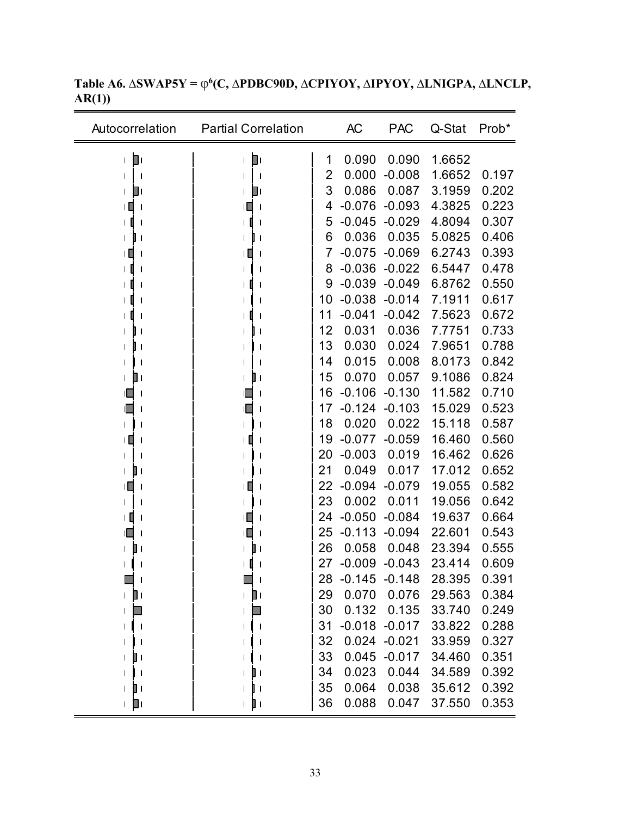| Autocorrelation          | <b>Partial Correlation</b> |    | <b>AC</b> | <b>PAC</b>       | Q-Stat | Prob* |
|--------------------------|----------------------------|----|-----------|------------------|--------|-------|
| П۱<br>L                  | D۱<br>$\mathbf{I}$         | 1  | 0.090     | 0.090            | 1.6652 |       |
| $\mathsf{l}$             |                            | 2  | 0.000     | $-0.008$         | 1.6652 | 0.197 |
| ום<br>L                  | ◧                          | 3  | 0.086     | 0.087            | 3.1959 | 0.202 |
| TЦ<br>-1                 | т<br>$\mathbf l$           | 4  | $-0.076$  | $-0.093$         | 4.3825 | 0.223 |
| $\mathbf{l}$             | ıΠ<br>$\mathbf l$          | 5  | $-0.045$  | $-0.029$         | 4.8094 | 0.307 |
| $\mathbf{I}$<br>L        |                            | 6  | 0.036     | 0.035            | 5.0825 | 0.406 |
| ۱Ц<br>$\mathbf{I}$       | ıЦ<br>$\mathbf l$          | 7  | $-0.075$  | $-0.069$         | 6.2743 | 0.393 |
| I                        |                            | 8  | $-0.036$  | $-0.022$         | 6.5447 | 0.478 |
| 1                        |                            | 9  | $-0.039$  | $-0.049$         | 6.8762 | 0.550 |
| J                        |                            | 10 | $-0.038$  | $-0.014$         | 7.1911 | 0.617 |
| $\mathbf{I}$             |                            | 11 | $-0.041$  | $-0.042$         | 7.5623 | 0.672 |
| $\blacksquare$           | J                          | 12 | 0.031     | 0.036            | 7.7751 | 0.733 |
| H                        | $\mathsf{l}$               | 13 | 0.030     | 0.024            | 7.9651 | 0.788 |
| $\mathbf{I}$             |                            | 14 | 0.015     | 0.008            | 8.0173 | 0.842 |
| O۱<br>L                  | <b>I</b>                   | 15 | 0.070     | 0.057            | 9.1086 | 0.824 |
| $\mathsf{l}$             |                            | 16 | $-0.106$  | $-0.130$         | 11.582 | 0.710 |
|                          |                            | 17 | $-0.124$  | $-0.103$         | 15.029 | 0.523 |
| $\mathsf{l}$             |                            | 18 | 0.020     | 0.022            | 15.118 | 0.587 |
| IШ<br>1                  |                            | 19 | $-0.077$  | $-0.059$         | 16.460 | 0.560 |
|                          |                            | 20 | $-0.003$  | 0.019            | 16.462 | 0.626 |
| l۱                       |                            | 21 | 0.049     | 0.017            | 17.012 | 0.652 |
| ╹Ш<br>$\mathbf{I}$       | ТЦ<br>$\mathbf l$          | 22 | $-0.094$  | $-0.079$         | 19.055 | 0.582 |
| 1                        |                            | 23 | 0.002     | 0.011            | 19.056 | 0.642 |
| ΙЦ<br>$\mathbf{I}$       | ۱Ц                         | 24 | $-0.050$  | $-0.084$         | 19.637 | 0.664 |
|                          |                            | 25 | $-0.113$  | $-0.094$         | 22.601 | 0.543 |
| Ш<br>L                   |                            | 26 | 0.058     | 0.048            | 23.394 | 0.555 |
| 1                        |                            | 27 | $-0.009$  | $-0.043$         | 23.414 | 0.609 |
| $\overline{\phantom{a}}$ | $\mathbf{I}$               | 28 |           | $-0.145 - 0.148$ | 28.395 | 0.391 |
| ⊢ ∐⊓                     | D۱<br>L                    | 29 | 0.070     | 0.076            | 29.563 | 0.384 |
| ٦                        |                            | 30 | 0.132     | 0.135            | 33.740 | 0.249 |
| $\mathbf{I}$             |                            | 31 | $-0.018$  | $-0.017$         | 33.822 | 0.288 |
| $\mathbf{I}$             |                            | 32 |           | $0.024 - 0.021$  | 33.959 | 0.327 |
| ╻<br>L                   |                            | 33 | 0.045     | $-0.017$         | 34.460 | 0.351 |
| $\overline{\phantom{a}}$ |                            | 34 | 0.023     | 0.044            | 34.589 | 0.392 |
| $\mathbb{I}$ (           | $\mathbf{I}$               | 35 | 0.064     | 0.038            | 35.612 | 0.392 |
| ⊥ µ                      | ı pı                       | 36 | 0.088     | 0.047            | 37.550 | 0.353 |

**Table A6. ∆SWAP5Y =** φ**6(C, ∆PDBC90D, ∆CPIYOY, ∆IPYOY, ∆LNIGPA, ∆LNCLP, AR(1))**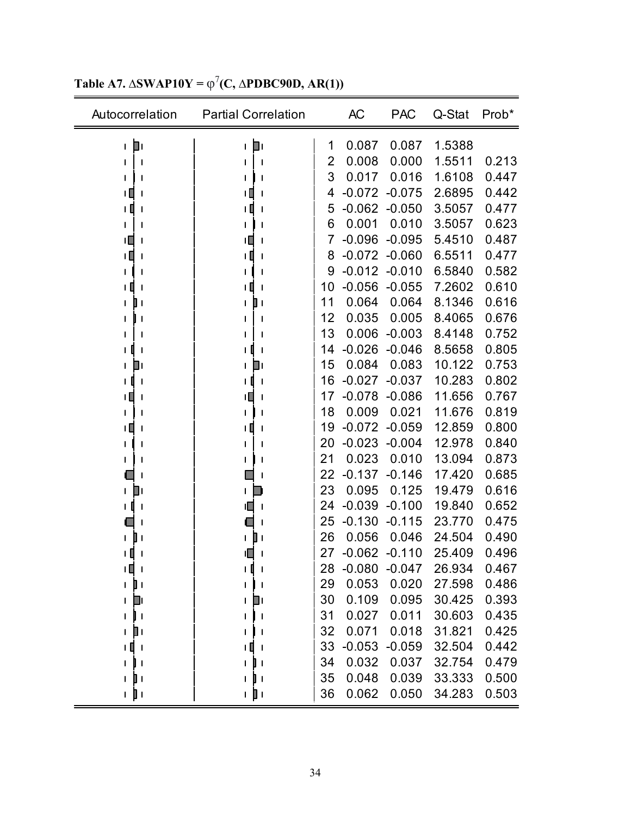| Autocorrelation                 | <b>Partial Correlation</b>        |    | <b>AC</b> | <b>PAC</b> | Q-Stat | Prob* |
|---------------------------------|-----------------------------------|----|-----------|------------|--------|-------|
| 回<br>L                          | ÌГ<br>$\mathsf{I}$                | 1  | 0.087     | 0.087      | 1.5388 |       |
|                                 | J                                 | 2  | 0.008     | 0.000      | 1.5511 | 0.213 |
|                                 | J                                 | 3  | 0.017     | 0.016      | 1.6108 | 0.447 |
|                                 |                                   | 4  | $-0.072$  | $-0.075$   | 2.6895 | 0.442 |
| ∣ [<br>J                        | U<br>J                            | 5  | $-0.062$  | $-0.050$   | 3.5057 | 0.477 |
|                                 |                                   | 6  | 0.001     | 0.010      | 3.5057 | 0.623 |
| ۱П                              | ⊔ا<br>$\mathsf{l}$                | 7  | $-0.096$  | $-0.095$   | 5.4510 | 0.487 |
| ╻┃                              | ΙI                                | 8  | $-0.072$  | $-0.060$   | 6.5511 | 0.477 |
|                                 |                                   | 9  | $-0.012$  | $-0.010$   | 6.5840 | 0.582 |
|                                 |                                   | 10 | $-0.056$  | $-0.055$   | 7.2602 | 0.610 |
|                                 | 0                                 | 11 | 0.064     | 0.064      | 8.1346 | 0.616 |
|                                 |                                   | 12 | 0.035     | 0.005      | 8.4065 | 0.676 |
|                                 |                                   | 13 | 0.006     | $-0.003$   | 8.4148 | 0.752 |
|                                 |                                   | 14 | $-0.026$  | $-0.046$   | 8.5658 | 0.805 |
| Ш                               | 41                                | 15 | 0.084     | 0.083      | 10.122 | 0.753 |
| 1 O                             | Ш<br>J                            | 16 | $-0.027$  | $-0.037$   | 10.283 | 0.802 |
| ╻┃                              | J                                 | 17 | $-0.078$  | $-0.086$   | 11.656 | 0.767 |
|                                 |                                   | 18 | 0.009     | 0.021      | 11.676 | 0.819 |
| ۱Ц                              |                                   | 19 | $-0.072$  | $-0.059$   | 12.859 | 0.800 |
|                                 |                                   | 20 | $-0.023$  | $-0.004$   | 12.978 | 0.840 |
|                                 |                                   | 21 | 0.023     | 0.010      | 13.094 | 0.873 |
|                                 |                                   | 22 | $-0.137$  | $-0.146$   | 17.420 | 0.685 |
| + D                             |                                   | 23 | 0.095     | 0.125      | 19.479 | 0.616 |
| J                               | ıl<br>$\mathsf{l}$                | 24 | $-0.039$  | $-0.100$   | 19.840 | 0.652 |
|                                 |                                   | 25 | $-0.130$  | $-0.115$   | 23.770 | 0.475 |
|                                 | П                                 | 26 | 0.056     | 0.046      | 24.504 | 0.490 |
|                                 |                                   | 27 | $-0.062$  | $-0.110$   | 25.409 | 0.496 |
| ιΠ<br>$\mathbf{I}$              | Л<br>$\mathsf{I}$<br>$\mathbf{I}$ | 28 | $-0.080$  | $-0.047$   | 26.934 | 0.467 |
| ⊥ ] ⊥                           | 1                                 | 29 | 0.053     | 0.020      | 27.598 | 0.486 |
| O۱<br>I                         | Ш۱<br>L                           | 30 | 0.109     | 0.095      | 30.425 | 0.393 |
| $\mathbf{I}$<br>L               | $\mathbf{I}$<br>ı                 | 31 | 0.027     | 0.011      | 30.603 | 0.435 |
| $\blacksquare$<br>L             |                                   | 32 | 0.071     | 0.018      | 31.821 | 0.425 |
| ∥ ו<br>$\overline{\phantom{a}}$ | Ш<br>$\mathbf{I}$                 | 33 | $-0.053$  | $-0.059$   | 32.504 | 0.442 |
|                                 |                                   | 34 | 0.032     | 0.037      | 32.754 | 0.479 |
| $\blacksquare$<br>$\mathbf{I}$  | $\mathbf{I}$<br>$\mathbf{I}$      | 35 | 0.048     | 0.039      | 33.333 | 0.500 |
| ı pı                            | n jin                             | 36 | 0.062     | 0.050      | 34.283 | 0.503 |

**Table A7.**  $\Delta$ **SWAP10Y** =  $\varphi$ <sup>7</sup>(**C**,  $\Delta$ **PDBC90D, AR(1))**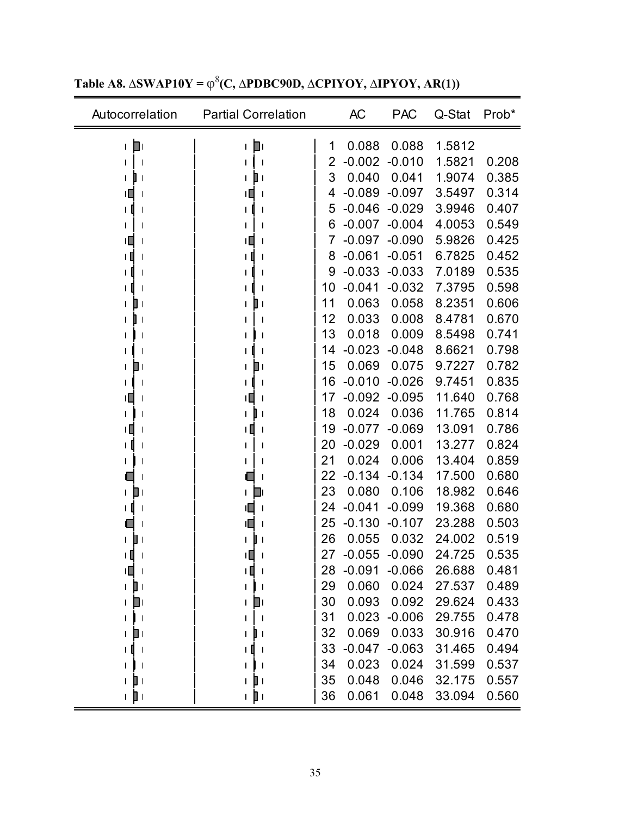| Autocorrelation               | <b>Partial Correlation</b> |    | AC       | <b>PAC</b> | Q-Stat | Prob* |
|-------------------------------|----------------------------|----|----------|------------|--------|-------|
| D۱<br>$\mathsf{I}$            | Þ۱<br>$\mathsf{I}$         | 1  | 0.088    | 0.088      | 1.5812 |       |
|                               | $\mathbf{I}$               | 2  | $-0.002$ | $-0.010$   | 1.5821 | 0.208 |
| L<br>$\mathbf{I}$             | ∎+                         | 3  | 0.040    | 0.041      | 1.9074 | 0.385 |
|                               |                            | 4  | $-0.089$ | $-0.097$   | 3.5497 | 0.314 |
| ΙI<br>-1                      | + 0<br>$\mathbf{I}$        | 5  | $-0.046$ | $-0.029$   | 3.9946 | 0.407 |
|                               |                            | 6  | $-0.007$ | $-0.004$   | 4.0053 | 0.549 |
| tП<br>1                       | ıП<br>$\mathbf{I}$         | 7  | $-0.097$ | $-0.090$   | 5.9826 | 0.425 |
| ╹                             | + 0                        | 8  | $-0.061$ | $-0.051$   | 6.7825 | 0.452 |
| 1                             | I                          | 9  | $-0.033$ | $-0.033$   | 7.0189 | 0.535 |
|                               | $\mathsf{l}$               | 10 | $-0.041$ | $-0.032$   | 7.3795 | 0.598 |
| I                             | Dι                         | 11 | 0.063    | 0.058      | 8.2351 | 0.606 |
| $\mathbf{I}$                  |                            | 12 | 0.033    | 0.008      | 8.4781 | 0.670 |
| ı                             | 1                          | 13 | 0.018    | 0.009      | 8.5498 | 0.741 |
|                               | $\mathbf{I}$               | 14 | $-0.023$ | $-0.048$   | 8.6621 | 0.798 |
| J۱<br>L                       | ▯                          | 15 | 0.069    | 0.075      | 9.7227 | 0.782 |
| I                             | 1 O<br>$\mathbf{I}$        | 16 | $-0.010$ | $-0.026$   | 9.7451 | 0.835 |
| П.<br>1                       | $\mathbf{I}$               | 17 | $-0.092$ | $-0.095$   | 11.640 | 0.768 |
|                               | I                          | 18 | 0.024    | 0.036      | 11.765 | 0.814 |
| TП                            |                            | 19 | $-0.077$ | $-0.069$   | 13.091 | 0.786 |
| ΙI<br>I                       | ı                          | 20 | $-0.029$ | 0.001      | 13.277 | 0.824 |
| L                             |                            | 21 | 0.024    | 0.006      | 13.404 | 0.859 |
|                               |                            | 22 | $-0.134$ | $-0.134$   | 17.500 | 0.680 |
| O۱<br>$\mathbf{I}$            | L                          | 23 | 0.080    | 0.106      | 18.982 | 0.646 |
| ı                             |                            | 24 | $-0.041$ | $-0.099$   | 19.368 | 0.680 |
|                               | ıП                         | 25 | $-0.130$ | $-0.107$   | 23.288 | 0.503 |
|                               |                            | 26 | 0.055    | 0.032      | 24.002 | 0.519 |
| ╹<br>$\mathsf{l}$             | Ш                          | 27 | $-0.055$ | $-0.090$   | 24.725 | 0.535 |
| ıП<br>$\mathbf{I}$            | 1 O<br>$\mathbf{I}$        | 28 | $-0.091$ | $-0.066$   | 26.688 | 0.481 |
| D۱<br>L                       | $\mathbf{I}$               | 29 | 0.060    | 0.024      | 27.537 | 0.489 |
| O۱<br>I                       | ◨<br>L                     | 30 | 0.093    | 0.092      | 29.624 | 0.433 |
| $\overline{\phantom{a}}$<br>1 |                            | 31 | 0.023    | $-0.006$   | 29.755 | 0.478 |
| ו ∎<br>L                      | $\mathbf{I}$               | 32 | 0.069    | 0.033      | 30.916 | 0.470 |
| $\mathbf{I}$<br>L             |                            | 33 | $-0.047$ | $-0.063$   | 31.465 | 0.494 |
|                               |                            | 34 | 0.023    | 0.024      | 31.599 | 0.537 |
| I۱<br>$\mathbf{I}$            | O۱<br>$\mathbf{I}$         | 35 | 0.048    | 0.046      | 32.175 | 0.557 |
| n jin                         | ı pı                       | 36 | 0.061    | 0.048      | 33.094 | 0.560 |

 $T$ able **A8.**  $\Delta$ **SWAP10Y** =  $\varphi$ <sup>8</sup>(**C**,  $\Delta$ **PDBC90D,**  $\Delta$ **CPIYOY,**  $\Delta$ **IPYOY,**  $AR(1)$ **)**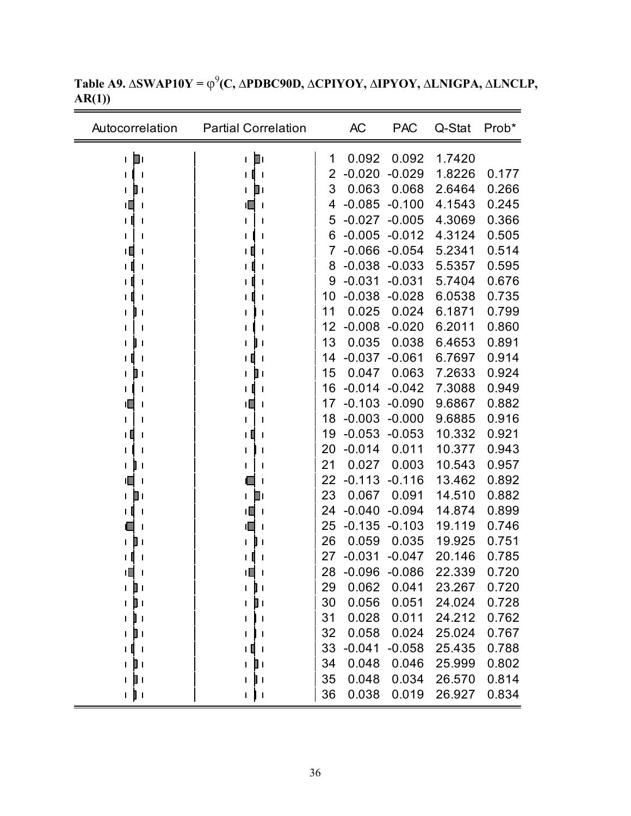| Autocorrelation       | <b>Partial Correlation</b> |    | <b>AC</b>        | <b>PAC</b>       | Q-Stat           | Prob*          |
|-----------------------|----------------------------|----|------------------|------------------|------------------|----------------|
| D۱<br>L               | O۱<br>L                    | 1  | 0.092            | 0.092            | 1.7420           |                |
|                       |                            | 2  | $-0.020$         | $-0.029$         | 1.8226           | 0.177          |
| ▯<br>L                | ▯<br>L                     | 3  | 0.063            | 0.068            | 2.6464           | 0.266          |
| ıΕ                    |                            | 4  | $-0.085$         | $-0.100$         | 4.1543           | 0.245          |
|                       |                            | 5  | $-0.027$         | $-0.005$         | 4.3069           | 0.366          |
|                       |                            | 6  | $-0.005$         | $-0.012$         | 4.3124           | 0.505          |
|                       |                            | 7  |                  | $-0.066 - 0.054$ | 5.2341           | 0.514          |
|                       |                            | 8  | $-0.038$         | $-0.033$         | 5.5357           | 0.595          |
|                       |                            | 9  | $-0.031$         | $-0.031$         | 5.7404           | 0.676          |
|                       |                            | 10 | $-0.038$         | $-0.028$         | 6.0538           | 0.735          |
|                       |                            | 11 | 0.025            | 0.024            | 6.1871           | 0.799          |
|                       |                            | 12 | $-0.008$         | $-0.020$         | 6.2011           | 0.860          |
|                       |                            | 13 | 0.035            | 0.038            | 6.4653           | 0.891          |
|                       |                            | 14 | $-0.037$         | $-0.061$         | 6.7697           | 0.914          |
|                       | U I<br>$\mathsf{I}$        | 15 | 0.047            | 0.063            | 7.2633           | 0.924          |
|                       |                            | 16 | $-0.014$         | $-0.042$         | 7.3088           | 0.949          |
| ╙                     | Щ                          | 17 | $-0.103$         | $-0.090$         | 9.6867           | 0.882          |
|                       |                            | 18 | $-0.003$         | $-0.000$         | 9.6885           | 0.916          |
| LΗ                    |                            | 19 | $-0.053$         | $-0.053$         | 10.332           | 0.921          |
|                       |                            | 20 | $-0.014$         | 0.011            | 10.377           | 0.943          |
|                       |                            | 21 | 0.027            | 0.003            | 10.543           | 0.957          |
| 11                    |                            | 22 | $-0.113$         | $-0.116$         | 13.462           | 0.892          |
| $\blacksquare$ 1<br>L | П۱<br>$\mathbf{L}$         | 23 | 0.067            | 0.091            | 14.510           | 0.882          |
| $\mathbf{I}$          | ו ∥ו                       | 24 | $-0.040$         | $-0.094$         | 14.874           | 0.899          |
|                       |                            | 25 | $-0.135$         | $-0.103$         | 19.119           | 0.746          |
|                       | L                          | 26 | 0.059            | 0.035            | 19.925           | 0.751          |
|                       |                            | 27 | $-0.031$         | $-0.047$         | 20.146           | 0.785          |
| 唱                     | 唱                          | 28 | $-0.096 - 0.086$ |                  | 22.339           | 0.720          |
| D۱<br>L               | ll 1<br>L                  | 29 | 0.062            | 0.041            | 23.267           | 0.720          |
| J۱<br>L               | O۱<br>L                    | 30 | 0.056            | 0.051            | 24.024           | 0.728          |
| II 1<br>L             |                            | 31 | 0.028            | 0.011            | 24.212           | 0.762          |
| ∎                     |                            | 32 | 0.058            | 0.024            | 25.024           | 0.767          |
|                       |                            | 33 | $-0.041$         | $-0.058$         | 25.435           | 0.788          |
|                       | 41                         | 34 | 0.048<br>0.048   | 0.046<br>0.034   | 25.999<br>26.570 | 0.802<br>0.814 |
| $\blacksquare$<br>L   | l I<br>L                   | 35 |                  |                  |                  | 0.834          |
| 1 J I                 | $\mathsf{L}$ $\mathsf{L}$  | 36 | 0.038            | 0.019            | 26.927           |                |

**Table A9. ∆SWAP10Y =** φ<sup>9</sup> **(C, ∆PDBC90D, ∆CPIYOY, ∆IPYOY, ∆LNIGPA, ∆LNCLP, AR(1))**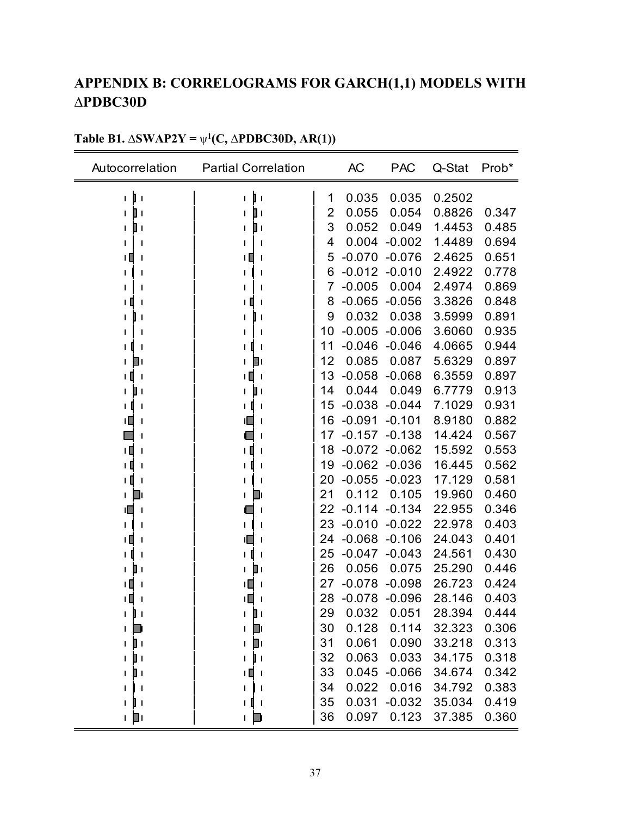# **APPENDIX B: CORRELOGRAMS FOR GARCH(1,1) MODELS WITH ∆PDBC30D**

| Autocorrelation              | <b>Partial Correlation</b> |    | AC               | <b>PAC</b> | Q-Stat | Prob* |
|------------------------------|----------------------------|----|------------------|------------|--------|-------|
| D<br>L<br>$\mathbf{I}$       | D<br>L<br>$\mathbf{I}$     | 1  | 0.035            | 0.035      | 0.2502 |       |
| Ш<br>L                       | $\mathbf l$                | 2  | 0.055            | 0.054      | 0.8826 | 0.347 |
| ▯<br>ı                       | ▯                          | 3  | 0.052            | 0.049      | 1.4453 | 0.485 |
|                              | 1                          | 4  | 0.004            | $-0.002$   | 1.4489 | 0.694 |
| Π<br>I                       | Ш<br>$\mathbf l$           | 5  | $-0.070$         | $-0.076$   | 2.4625 | 0.651 |
|                              | 1                          | 6  | $-0.012 - 0.010$ |            | 2.4922 | 0.778 |
|                              |                            | 7  | $-0.005$         | 0.004      | 2.4974 | 0.869 |
| Ш<br>ı<br>ı                  | $\mathbf{I}$<br>ш<br>ı     | 8  | $-0.065$         | $-0.056$   | 3.3826 | 0.848 |
| I<br>$\mathbf{I}$            | $\mathbf{I}$               | 9  | 0.032            | 0.038      | 3.5999 | 0.891 |
| ı                            |                            | 10 | $-0.005$         | $-0.006$   | 3.6060 | 0.935 |
| ı<br>1                       | $\mathbf{I}$               | 11 | $-0.046$         | $-0.046$   | 4.0665 | 0.944 |
| Шι<br>L                      | Ш<br>L                     | 12 | 0.085            | 0.087      | 5.6329 | 0.897 |
| Ц<br>$\mathsf{l}$<br>L       | ΙШ<br>$\mathbf{I}$         | 13 | $-0.058$         | $-0.068$   | 6.3559 | 0.897 |
| 1<br>ı                       | $\mathbf{I}$               | 14 | 0.044            | 0.049      | 6.7779 | 0.913 |
|                              | 1                          | 15 | $-0.038$         | $-0.044$   | 7.1029 | 0.931 |
| ıП                           |                            | 16 | $-0.091$         | $-0.101$   | 8.9180 | 0.882 |
|                              |                            | 17 | $-0.157$         | $-0.138$   | 14.424 | 0.567 |
| ι∐<br>1                      | ╹<br>$\mathbf{I}$          | 18 | $-0.072 -0.062$  |            | 15.592 | 0.553 |
| I                            | 1                          | 19 | $-0.062$         | $-0.036$   | 16.445 | 0.562 |
| τI<br>1                      |                            | 20 | $-0.055$         | $-0.023$   | 17.129 | 0.581 |
| ш<br>L                       | - 11                       | 21 | 0.112            | 0.105      | 19.960 | 0.460 |
| ıo<br>ı                      | $\mathbf{I}$               | 22 | $-0.114$         | $-0.134$   | 22.955 | 0.346 |
| ı<br>ı                       |                            | 23 | $-0.010$         | $-0.022$   | 22.978 | 0.403 |
| Ц<br>ı                       | 1                          | 24 | $-0.068$         | $-0.106$   | 24.043 | 0.401 |
| ı                            | $\mathbf{I}$               | 25 | $-0.047$         | $-0.043$   | 24.561 | 0.430 |
| ш<br>L                       | $\mathbf l$                | 26 | 0.056            | 0.075      | 25.290 | 0.446 |
| ŦШ                           | ıП<br>$\mathbf l$          | 27 | $-0.078$         | $-0.098$   | 26.723 | 0.424 |
| TЦ                           | ۱П                         | 28 | $-0.078$         | $-0.096$   | 28.146 | 0.403 |
| П<br>L                       | Пι                         | 29 | 0.032            | 0.051      | 28.394 | 0.444 |
| L                            | $\blacksquare$<br>L        | 30 | 0.128            | 0.114      | 32.323 | 0.306 |
| D۱<br>L                      | Dı<br>I                    | 31 | 0.061            | 0.090      | 33.218 | 0.313 |
| $\blacksquare$<br>L          | $\mathbf{I}$<br>L          | 32 | 0.063            | 0.033      | 34.175 | 0.318 |
| $\mathbb{I}$<br>L            | IЩ.<br>$\mathbf{I}$        | 33 | 0.045            | $-0.066$   | 34.674 | 0.342 |
| $\mathbf{I}$<br>1            | $\mathbf{I}$<br>ı          | 34 | 0.022            | 0.016      | 34.792 | 0.383 |
| $\mathbf{I}$<br>$\mathbf{I}$ | ιQ<br>$\mathbf{I}$         | 35 | 0.031            | $-0.032$   | 35.034 | 0.419 |
| + D                          | L                          | 36 | 0.097            | 0.123      | 37.385 | 0.360 |

## **Table B1.**  $\Delta$ **SWAP2Y** =  $\psi$ <sup>1</sup>(C,  $\Delta$ **PDBC30D, AR(1))**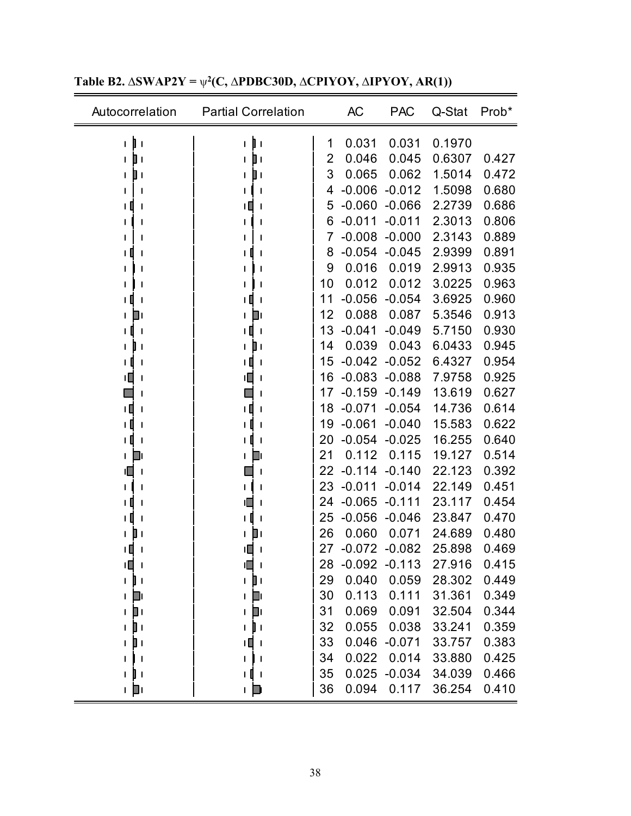| Autocorrelation                | <b>Partial Correlation</b>     |                | <b>AC</b> | <b>PAC</b>      | Q-Stat | Prob* |
|--------------------------------|--------------------------------|----------------|-----------|-----------------|--------|-------|
| Þ۱<br>$\mathbf{I}$             | τDι                            | 1              | 0.031     | 0.031           | 0.1970 |       |
| $\blacksquare$<br>T            | $\blacksquare$                 | $\overline{2}$ | 0.046     | 0.045           | 0.6307 | 0.427 |
|                                | O۱                             | 3              | 0.065     | 0.062           | 1.5014 | 0.472 |
|                                | $\mathsf{l}$                   | 4              | $-0.006$  | $-0.012$        | 1.5098 | 0.680 |
|                                | $\mathbf l$                    | 5              | $-0.060$  | $-0.066$        | 2.2739 | 0.686 |
|                                | $\mathsf{l}$                   | 6              | $-0.011$  | $-0.011$        | 2.3013 | 0.806 |
|                                |                                | 7              | $-0.008$  | $-0.000$        | 2.3143 | 0.889 |
|                                |                                | 8              | $-0.054$  | $-0.045$        | 2.9399 | 0.891 |
|                                |                                | 9              | 0.016     | 0.019           | 2.9913 | 0.935 |
|                                |                                | 10             | 0.012     | 0.012           | 3.0225 | 0.963 |
|                                |                                | 11             | $-0.056$  | $-0.054$        | 3.6925 | 0.960 |
| Πı                             | ۹ı                             | 12             | 0.088     | 0.087           | 5.3546 | 0.913 |
| $\mathsf{l}$                   | $\mathbf{I}$                   | 13             | $-0.041$  | $-0.049$        | 5.7150 | 0.930 |
|                                | $\mathbf l$                    | 14             | 0.039     | 0.043           | 6.0433 | 0.945 |
| J                              | Ш<br>$\mathbf{l}$              | 15             | $-0.042$  | $-0.052$        | 6.4327 | 0.954 |
|                                | ⊔ו<br>ı                        | 16             | $-0.083$  | $-0.088$        | 7.9758 | 0.925 |
| J                              | ı                              | 17             | $-0.159$  | $-0.149$        | 13.619 | 0.627 |
|                                |                                | 18             | $-0.071$  | $-0.054$        | 14.736 | 0.614 |
| ТŢ                             | $\mathsf{l}$                   | 19             | $-0.061$  | $-0.040$        | 15.583 | 0.622 |
| O<br>$\mathbf{I}$              | $\mathbf I$                    | 20             | $-0.054$  | $-0.025$        | 16.255 | 0.640 |
| ш                              | ╜                              | 21             | 0.112     | 0.115           | 19.127 | 0.514 |
|                                | $\mathbf I$                    | 22             | $-0.114$  | $-0.140$        | 22.123 | 0.392 |
|                                |                                | 23             | $-0.011$  | $-0.014$        | 22.149 | 0.451 |
|                                |                                | 24             | $-0.065$  | $-0.111$        | 23.117 | 0.454 |
|                                |                                | 25             | $-0.056$  | $-0.046$        | 23.847 | 0.470 |
|                                |                                | 26             | 0.060     | 0.071           | 24.689 | 0.480 |
| ш                              |                                | 27             |           | $-0.072 -0.082$ | 25.898 | 0.469 |
| ≀∎ i                           | ıO<br>$\overline{\phantom{a}}$ | 28             | -0.092    | $-0.113$        | 27.916 | 0.415 |
| $\mathbf{I}$                   | 1 D I                          | 29             | 0.040     | 0.059           | 28.302 | 0.449 |
| ш<br>$\mathbf{I}$              | ❏ι                             | 30             | 0.113     | 0.111           | 31.361 | 0.349 |
| ▯<br>$\mathbf{I}$              | $\mathbf{p}$                   | 31             | 0.069     | 0.091           | 32.504 | 0.344 |
| I۱<br>L                        | $\mathbf{I}$                   | 32             | 0.055     | 0.038           | 33.241 | 0.359 |
| $\blacksquare$<br>$\mathbf{I}$ |                                | 33             | 0.046     | $-0.071$        | 33.757 | 0.383 |
|                                |                                | 34             | 0.022     | 0.014           | 33.880 | 0.425 |
| $\blacksquare$                 |                                | 35             | 0.025     | $-0.034$        | 34.039 | 0.466 |
| ⊥ ∎ட                           | L                              | 36             | 0.094     | 0.117           | 36.254 | 0.410 |

**Table B2. ∆SWAP2Y =** ψ**2(C, ∆PDBC30D, ∆CPIYOY, ∆IPYOY, AR(1))** 

 $\overline{\phantom{0}}$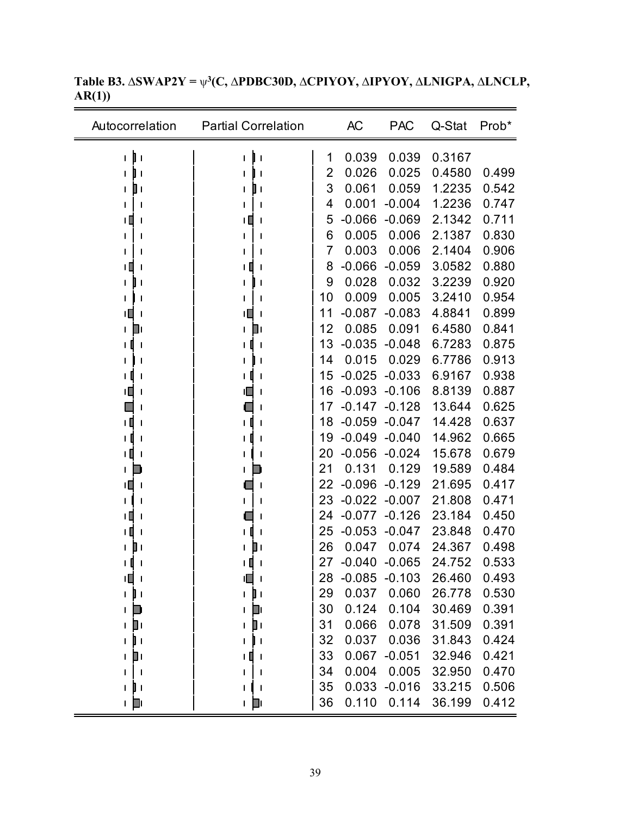| Autocorrelation                | <b>Partial Correlation</b> |    | <b>AC</b> | <b>PAC</b> | Q-Stat | Prob* |
|--------------------------------|----------------------------|----|-----------|------------|--------|-------|
| $\mathbf{I}$ (<br>L            | I۱<br>$\mathbf{I}$         | 1  | 0.039     | 0.039      | 0.3167 |       |
| $\mathsf{l}$                   |                            | 2  | 0.026     | 0.025      | 0.4580 | 0.499 |
| Uт                             | ШΙ                         | 3  | 0.061     | 0.059      | 1.2235 | 0.542 |
|                                |                            | 4  | 0.001     | $-0.004$   | 1.2236 | 0.747 |
| Ш                              |                            | 5  | $-0.066$  | $-0.069$   | 2.1342 | 0.711 |
|                                |                            | 6  | 0.005     | 0.006      | 2.1387 | 0.830 |
|                                |                            | 7  | 0.003     | 0.006      | 2.1404 | 0.906 |
|                                |                            | 8  | $-0.066$  | $-0.059$   | 3.0582 | 0.880 |
|                                |                            | 9  | 0.028     | 0.032      | 3.2239 | 0.920 |
|                                |                            | 10 | 0.009     | 0.005      | 3.2410 | 0.954 |
|                                | ТL                         | 11 | $-0.087$  | $-0.083$   | 4.8841 | 0.899 |
| Ш                              | Ш                          | 12 | 0.085     | 0.091      | 6.4580 | 0.841 |
|                                |                            | 13 | $-0.035$  | $-0.048$   | 6.7283 | 0.875 |
|                                |                            | 14 | 0.015     | 0.029      | 6.7786 | 0.913 |
|                                |                            | 15 | $-0.025$  | $-0.033$   | 6.9167 | 0.938 |
|                                |                            | 16 | $-0.093$  | $-0.106$   | 8.8139 | 0.887 |
|                                |                            | 17 | $-0.147$  | $-0.128$   | 13.644 | 0.625 |
| 1 Q                            |                            | 18 | $-0.059$  | $-0.047$   | 14.428 | 0.637 |
|                                |                            | 19 | $-0.049$  | $-0.040$   | 14.962 | 0.665 |
| 1 O<br>I                       |                            | 20 | $-0.056$  | $-0.024$   | 15.678 | 0.679 |
|                                |                            | 21 | 0.131     | 0.129      | 19.589 | 0.484 |
| ۱O<br>$\mathbf{I}$             |                            | 22 | $-0.096$  | $-0.129$   | 21.695 | 0.417 |
|                                |                            | 23 | $-0.022$  | $-0.007$   | 21.808 | 0.471 |
| Ш                              |                            | 24 | $-0.077$  | $-0.126$   | 23.184 | 0.450 |
|                                |                            | 25 | $-0.053$  | $-0.047$   | 23.848 | 0.470 |
|                                |                            | 26 | 0.047     | 0.074      | 24.367 | 0.498 |
|                                |                            | 27 | $-0.040$  | $-0.065$   | 24.752 | 0.533 |
| ۱П<br>$\overline{\phantom{a}}$ | ıП                         | 28 | $-0.085$  | $-0.103$   | 26.460 | 0.493 |
| $\mathbf{I}$<br>L              | 1 D I                      | 29 | 0.037     | 0.060      | 26.778 | 0.530 |
| I                              | U                          | 30 | 0.124     | 0.104      | 30.469 | 0.391 |
| O۱<br>$\mathsf{I}$             | ▯                          | 31 | 0.066     | 0.078      | 31.509 | 0.391 |
| U 1                            |                            | 32 | 0.037     | 0.036      | 31.843 | 0.424 |
| $\mathbb{I}^+$<br>L            | ΙШ                         | 33 | 0.067     | $-0.051$   | 32.946 | 0.421 |
|                                |                            | 34 | 0.004     | 0.005      | 32.950 | 0.470 |
| U 1<br>$\mathbf{I}$            |                            | 35 | 0.033     | $-0.016$   | 33.215 | 0.506 |
| ட நட                           | ட நட                       | 36 | 0.110     | 0.114      | 36.199 | 0.412 |

**Table B3. ∆SWAP2Y =** ψ**3(C, ∆PDBC30D, ∆CPIYOY, ∆IPYOY, ∆LNIGPA, ∆LNCLP, AR(1))**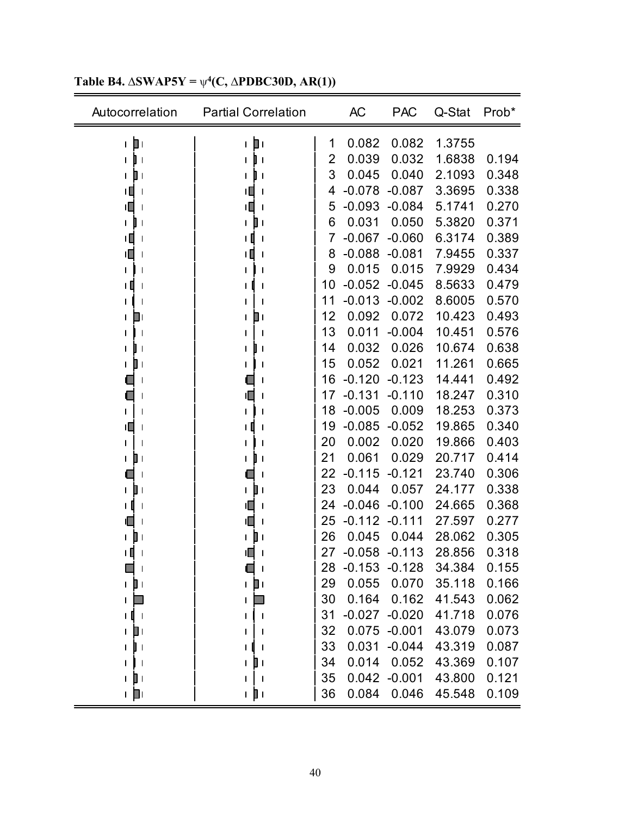| Autocorrelation                | <b>Partial Correlation</b> |    | <b>AC</b> | <b>PAC</b>      | Q-Stat | Prob* |
|--------------------------------|----------------------------|----|-----------|-----------------|--------|-------|
| D۱<br>$\mathbf{I}$             | þт<br>$\mathbf{I}$         | 1  | 0.082     | 0.082           | 1.3755 |       |
| $\mathbf{I}$                   | $\mathsf{l}$               | 2  | 0.039     | 0.032           | 1.6838 | 0.194 |
| Шι<br>$\mathbf{I}$             | UΙ                         | 3  | 0.045     | 0.040           | 2.1093 | 0.348 |
| ΠЦ<br>$\mathbf{I}$             | ıЦ                         | 4  | $-0.078$  | $-0.087$        | 3.3695 | 0.338 |
| тO                             | ۱O                         | 5  | $-0.093$  | $-0.084$        | 5.1741 | 0.270 |
| I                              |                            | 6  | 0.031     | 0.050           | 5.3820 | 0.371 |
| $\mathbf{1}$<br>$\mathbf{I}$   | O<br>$\mathsf{l}$          | 7  | $-0.067$  | $-0.060$        | 6.3174 | 0.389 |
| тO                             | ıΠ                         | 8  | $-0.088$  | $-0.081$        | 7.9455 | 0.337 |
|                                |                            | 9  | 0.015     | 0.015           | 7.9929 | 0.434 |
| LШ<br>$\mathsf{l}$             |                            | 10 | $-0.052$  | $-0.045$        | 8.5633 | 0.479 |
|                                |                            | 11 | $-0.013$  | $-0.002$        | 8.6005 | 0.570 |
| O۱                             | ו ∎                        | 12 | 0.092     | 0.072           | 10.423 | 0.493 |
| $\mathbf{I}$                   |                            | 13 | 0.011     | $-0.004$        | 10.451 | 0.576 |
| $\mathbf{I}$                   | $\overline{\phantom{a}}$   | 14 | 0.032     | 0.026           | 10.674 | 0.638 |
| ╻╻                             |                            | 15 | 0.052     | 0.021           | 11.261 | 0.665 |
| $\mathsf{l}$                   |                            | 16 | $-0.120$  | $-0.123$        | 14.441 | 0.492 |
|                                | IL.                        | 17 | $-0.131$  | $-0.110$        | 18.247 | 0.310 |
|                                |                            | 18 | $-0.005$  | 0.009           | 18.253 | 0.373 |
| ТŪ                             |                            | 19 | $-0.085$  | $-0.052$        | 19.865 | 0.340 |
|                                |                            | 20 | 0.002     | 0.020           | 19.866 | 0.403 |
| $\blacksquare$<br>$\mathsf{I}$ | I                          | 21 | 0.061     | 0.029           | 20.717 | 0.414 |
|                                |                            | 22 | $-0.115$  | $-0.121$        | 23.740 | 0.306 |
| $\blacksquare$<br>$\mathbf{I}$ | Ш                          | 23 | 0.044     | 0.057           | 24.177 | 0.338 |
|                                |                            | 24 | $-0.046$  | $-0.100$        | 24.665 | 0.368 |
|                                | 11 L                       | 25 | $-0.112$  | $-0.111$        | 27.597 | 0.277 |
|                                |                            | 26 | 0.045     | 0.044           | 28.062 | 0.305 |
| Ι<br>$\mathbf{I}$              | ıП                         | 27 | $-0.058$  | $-0.113$        | 28.856 | 0.318 |
| $\mathsf{l}$                   | $\overline{\phantom{a}}$   | 28 | $-0.153$  | $-0.128$        | 34.384 | 0.155 |
| 1 D I                          | 1 D I                      | 29 | 0.055     | 0.070           | 35.118 | 0.166 |
| $\mathbf{I}$                   |                            | 30 | 0.164     | 0.162           | 41.543 | 0.062 |
| τD<br>$\mathbf{I}$             |                            | 31 |           | $-0.027 -0.020$ | 41.718 | 0.076 |
| $\blacksquare$                 |                            | 32 | 0.075     | $-0.001$        | 43.079 | 0.073 |
| U I                            |                            | 33 | 0.031     | $-0.044$        | 43.319 | 0.087 |
|                                |                            | 34 | 0.014     | 0.052           | 43.369 | 0.107 |
| $\mathbb{I}$<br>$\mathbf{I}$   |                            | 35 | 0.042     | $-0.001$        | 43.800 | 0.121 |
| + µ                            | ı pı                       | 36 | 0.084     | 0.046           | 45.548 | 0.109 |

**Table B4.**  $\triangle$ **SWAP5Y** =  $\psi$ <sup>4</sup>(**C**,  $\triangle$ **PDBC30D, AR(1))**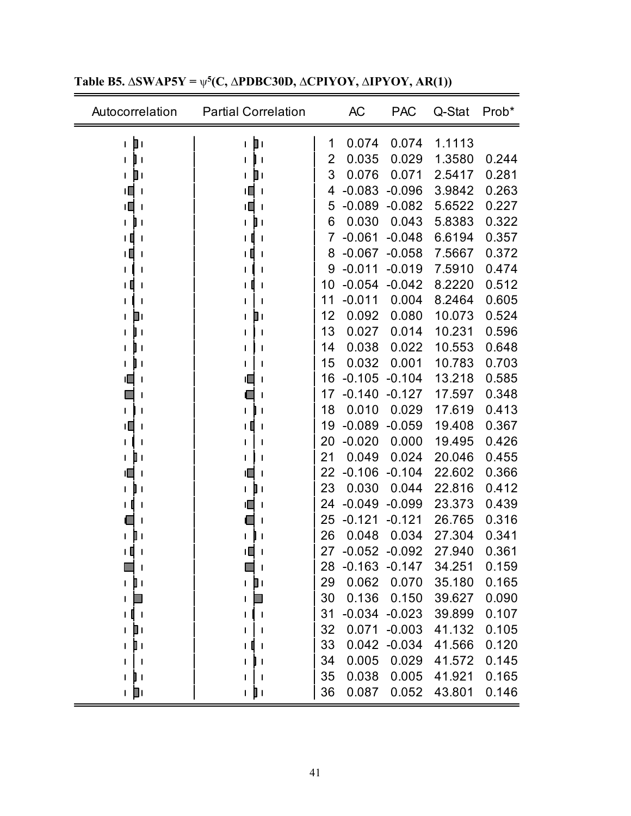| Autocorrelation                  | <b>Partial Correlation</b> |                | <b>AC</b> | <b>PAC</b> | Q-Stat | Prob* |
|----------------------------------|----------------------------|----------------|-----------|------------|--------|-------|
| டற்ட                             | ட∥ப                        | 1              | 0.074     | 0.074      | 1.1113 |       |
| $\mathbf{I}$                     | $\mathbf{I}$               | $\overline{2}$ | 0.035     | 0.029      | 1.3580 | 0.244 |
| ∎                                | ▯                          | 3              | 0.076     | 0.071      | 2.5417 | 0.281 |
| ۱O<br>$\mathbf{I}$               | ι∐<br>$\mathbf{I}$         | 4              | $-0.083$  | $-0.096$   | 3.9842 | 0.263 |
| ۱П                               | ι∐                         | 5              | $-0.089$  | $-0.082$   | 5.6522 | 0.227 |
| J                                |                            | 6              | 0.030     | 0.043      | 5.8383 | 0.322 |
| ιШ                               | $\mathbf{I}$               | 7              | $-0.061$  | $-0.048$   | 6.6194 | 0.357 |
|                                  |                            | 8              | $-0.067$  | $-0.058$   | 7.5667 | 0.372 |
|                                  |                            | 9              | $-0.011$  | $-0.019$   | 7.5910 | 0.474 |
|                                  |                            | 10             | $-0.054$  | $-0.042$   | 8.2220 | 0.512 |
|                                  |                            | 11             | $-0.011$  | 0.004      | 8.2464 | 0.605 |
| ום                               | ▯                          | 12             | 0.092     | 0.080      | 10.073 | 0.524 |
| $\mathbf{I}$                     | l,                         | 13             | 0.027     | 0.014      | 10.231 | 0.596 |
| ı                                |                            | 14             | 0.038     | 0.022      | 10.553 | 0.648 |
| $\mathbf{I}$                     |                            | 15             | 0.032     | 0.001      | 10.783 | 0.703 |
|                                  |                            | 16             | $-0.105$  | $-0.104$   | 13.218 | 0.585 |
|                                  |                            | 17             | $-0.140$  | $-0.127$   | 17.597 | 0.348 |
|                                  |                            | 18             | 0.010     | 0.029      | 17.619 | 0.413 |
| 11 I<br>$\overline{\phantom{a}}$ |                            | 19             | $-0.089$  | $-0.059$   | 19.408 | 0.367 |
|                                  |                            | 20             | $-0.020$  | 0.000      | 19.495 | 0.426 |
|                                  |                            | 21             | 0.049     | 0.024      | 20.046 | 0.455 |
|                                  |                            | 22             | $-0.106$  | $-0.104$   | 22.602 | 0.366 |
|                                  | $\mathbf{I}$               | 23             | 0.030     | 0.044      | 22.816 | 0.412 |
|                                  |                            | 24             | $-0.049$  | $-0.099$   | 23.373 | 0.439 |
|                                  |                            | 25             | $-0.121$  | $-0.121$   | 26.765 | 0.316 |
|                                  |                            | 26             | 0.048     | 0.034      | 27.304 | 0.341 |
|                                  | םו                         | 27             | $-0.052$  | $-0.092$   | 27.940 | 0.361 |
|                                  | $\mathbf{I}$               | 28             | $-0.163$  | $-0.147$   | 34.251 | 0.159 |
| 1 D I                            | ⊥ ∐ L                      | 29             | 0.062     | 0.070      | 35.180 | 0.165 |
|                                  |                            | 30             | 0.136     | 0.150      | 39.627 | 0.090 |
| $\blacksquare$                   |                            | 31             | $-0.034$  | $-0.023$   | 39.899 | 0.107 |
| Ш                                |                            | 32             | 0.071     | $-0.003$   | 41.132 | 0.105 |
| П١                               |                            | 33             | 0.042     | $-0.034$   | 41.566 | 0.120 |
|                                  |                            | 34             | 0.005     | 0.029      | 41.572 | 0.145 |
| $\overline{\phantom{a}}$         |                            | 35             | 0.038     | 0.005      | 41.921 | 0.165 |
| ட ∥ட                             | ı pı                       | 36             | 0.087     | 0.052      | 43.801 | 0.146 |

**Table B5. ∆SWAP5Y =** ψ**5(C, ∆PDBC30D, ∆CPIYOY, ∆IPYOY, AR(1))** 

 $\overline{\phantom{0}}$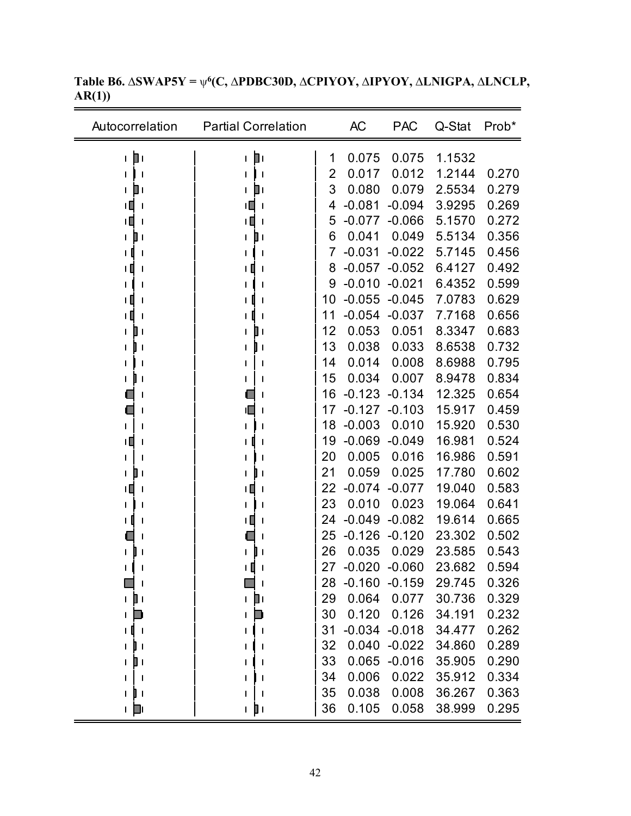| Autocorrelation              | <b>Partial Correlation</b> |    | <b>AC</b>       | <b>PAC</b>       | Q-Stat | Prob* |
|------------------------------|----------------------------|----|-----------------|------------------|--------|-------|
| ⊤ Di                         | D۱<br>L                    | 1  | 0.075           | 0.075            | 1.1532 |       |
| $\mathbf{I}$                 | $\mathbf l$                | 2  | 0.017           | 0.012            | 1.2144 | 0.270 |
| ▯<br>L                       | ▯                          | 3  | 0.080           | 0.079            | 2.5534 | 0.279 |
| ΙU<br><u>I</u>               | ۱П<br>$\mathbf l$          | 4  | $-0.081$        | $-0.094$         | 3.9295 | 0.269 |
| TП<br>$\mathbf l$            | ιΠ<br>$\mathbf{I}$         | 5  | $-0.077$        | $-0.066$         | 5.1570 | 0.272 |
| $\mathbf{I}$<br>$\mathbf{I}$ | $\mathbf{I}$               | 6  | 0.041           | 0.049            | 5.5134 | 0.356 |
| $\mathbf{I}$                 | ı                          | 7  | $-0.031$        | $-0.022$         | 5.7145 | 0.456 |
| ТI<br>$\mathbf I$            |                            | 8  | $-0.057$        | $-0.052$         | 6.4127 | 0.492 |
| $\mathbf l$                  |                            | 9  | $-0.010$        | $-0.021$         | 6.4352 | 0.599 |
| ŦШ<br>-1                     |                            | 10 | $-0.055$        | $-0.045$         | 7.0783 | 0.629 |
| $\mathbf{I}$                 |                            | 11 | $-0.054$        | $-0.037$         | 7.7168 | 0.656 |
| 00                           | ╻╷                         | 12 | 0.053           | 0.051            | 8.3347 | 0.683 |
| $\overline{\phantom{a}}$     | 1                          | 13 | 0.038           | 0.033            | 8.6538 | 0.732 |
| $\overline{\phantom{a}}$     |                            | 14 | 0.014           | 0.008            | 8.6988 | 0.795 |
| l I<br>L                     |                            | 15 | 0.034           | 0.007            | 8.9478 | 0.834 |
| $\mathsf{l}$                 |                            | 16 | $-0.123$        | $-0.134$         | 12.325 | 0.654 |
|                              | ıl                         | 17 | $-0.127$        | $-0.103$         | 15.917 | 0.459 |
| 1                            | 1                          | 18 | $-0.003$        | 0.010            | 15.920 | 0.530 |
| $\mathsf{I}$<br>$\mathbf I$  |                            | 19 | $-0.069$        | $-0.049$         | 16.981 | 0.524 |
| 1                            | 1                          | 20 | 0.005           | 0.016            | 16.986 | 0.591 |
| ▯<br>L                       | $\mathbf{I}$               | 21 | 0.059           | 0.025            | 17.780 | 0.602 |
| $\mathbf{I}$<br>-1           |                            | 22 | $-0.074$        | $-0.077$         | 19.040 | 0.583 |
| $\mathbf l$                  |                            | 23 | 0.010           | 0.023            | 19.064 | 0.641 |
|                              | ۱Ц                         | 24 | $-0.049$        | $-0.082$         | 19.614 | 0.665 |
|                              |                            | 25 | $-0.126$        | $-0.120$         | 23.302 | 0.502 |
| L                            |                            | 26 | 0.035           | 0.029            | 23.585 | 0.543 |
| L<br>$\mathbf l$             | ۱I<br>$\mathbf{I}$         | 27 | $-0.020$        | $-0.060$         | 23.682 | 0.594 |
| $\mathbf l$                  |                            | 28 | $-0.160 -0.159$ |                  | 29.745 | 0.326 |
| $\mathbf{I}$<br>L            | ו D<br>L                   | 29 | 0.064           | 0.077            | 30.736 | 0.329 |
| ۰<br>L                       |                            | 30 | 0.120           | 0.126            | 34.191 | 0.232 |
| - 1                          |                            | 31 |                 | $-0.034 - 0.018$ | 34.477 | 0.262 |
| I۱<br>L                      |                            | 32 |                 | $0.040 -0.022$   | 34.860 | 0.289 |
| ו ∥<br>L                     |                            | 33 | 0.065           | $-0.016$         | 35.905 | 0.290 |
| - I<br>I                     |                            | 34 | 0.006           | 0.022            | 35.912 | 0.334 |
| I۱<br>L                      |                            | 35 | 0.038           | 0.008            | 36.267 | 0.363 |
| ⊥ D                          | 1 J I                      | 36 | 0.105           | 0.058            | 38.999 | 0.295 |

**Table B6. ∆SWAP5Y =** ψ**6(C, ∆PDBC30D, ∆CPIYOY, ∆IPYOY, ∆LNIGPA, ∆LNCLP, AR(1))**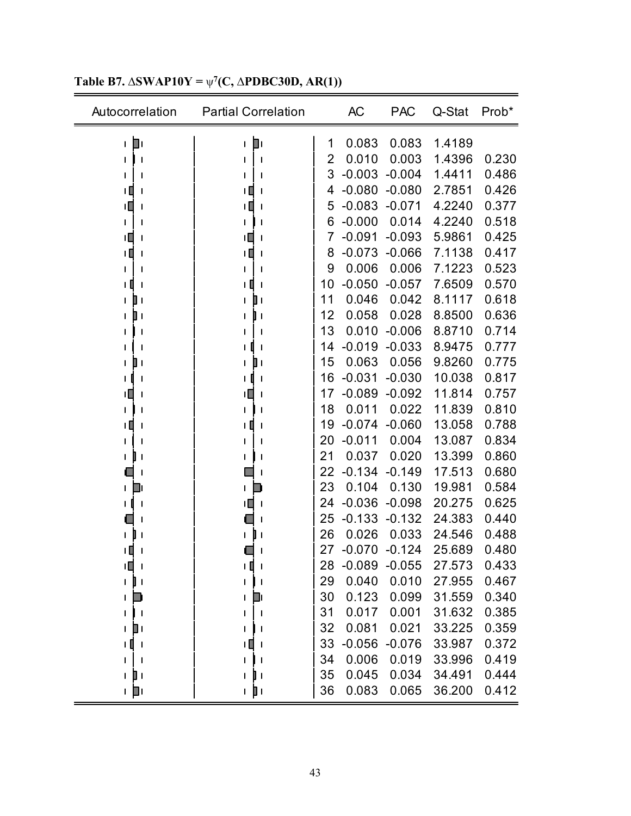| Autocorrelation              | <b>Partial Correlation</b> |    | <b>AC</b> | <b>PAC</b> | Q-Stat | Prob* |
|------------------------------|----------------------------|----|-----------|------------|--------|-------|
| П۱<br>$\mathbf{I}$           | ட∥ட                        | 1  | 0.083     | 0.083      | 1.4189 |       |
|                              | $\mathbf l$                | 2  | 0.010     | 0.003      | 1.4396 | 0.230 |
|                              | ı                          | 3  | $-0.003$  | $-0.004$   | 1.4411 | 0.486 |
| ıП                           |                            | 4  | $-0.080$  | $-0.080$   | 2.7851 | 0.426 |
| ıП                           | ۱Ц<br>$\mathbf l$          | 5  | $-0.083$  | $-0.071$   | 4.2240 | 0.377 |
|                              |                            | 6  | $-0.000$  | 0.014      | 4.2240 | 0.518 |
| ıП                           | ıП<br>$\mathbf l$          | 7  | $-0.091$  | $-0.093$   | 5.9861 | 0.425 |
| тO                           | ╹                          | 8  | $-0.073$  | $-0.066$   | 7.1138 | 0.417 |
| T                            | ı                          | 9  | 0.006     | 0.006      | 7.1223 | 0.523 |
| I.                           |                            | 10 | $-0.050$  | $-0.057$   | 7.6509 | 0.570 |
| ∎ ≀<br>$\mathbf{I}$          | 0                          | 11 | 0.046     | 0.042      | 8.1117 | 0.618 |
| $\mathbf{I}$<br>$\mathbf{I}$ | $\mathbf{I}$               | 12 | 0.058     | 0.028      | 8.8500 | 0.636 |
|                              | $\mathbf l$                | 13 | 0.010     | $-0.006$   | 8.8710 | 0.714 |
|                              |                            | 14 | $-0.019$  | $-0.033$   | 8.9475 | 0.777 |
| L<br>$\mathbf{I}$            | ШΙ                         | 15 | 0.063     | 0.056      | 9.8260 | 0.775 |
|                              |                            | 16 | $-0.031$  | $-0.030$   | 10.038 | 0.817 |
| Ш                            | ۱L<br>$\mathbf l$          | 17 | $-0.089$  | $-0.092$   | 11.814 | 0.757 |
|                              |                            | 18 | 0.011     | 0.022      | 11.839 | 0.810 |
|                              | -1                         | 19 | $-0.074$  | $-0.060$   | 13.058 | 0.788 |
| T                            | ı                          | 20 | $-0.011$  | 0.004      | 13.087 | 0.834 |
|                              | ı                          | 21 | 0.037     | 0.020      | 13.399 | 0.860 |
| J                            | $\mathbf l$                | 22 | $-0.134$  | $-0.149$   | 17.513 | 0.680 |
| D<br>$\mathbf{I}$            |                            | 23 | 0.104     | 0.130      | 19.981 | 0.584 |
| J                            | ۱O<br>$\mathbf l$          | 24 | $-0.036$  | $-0.098$   | 20.275 | 0.625 |
|                              |                            | 25 | $-0.133$  | $-0.132$   | 24.383 | 0.440 |
|                              |                            | 26 | 0.026     | 0.033      | 24.546 | 0.488 |
|                              |                            | 27 | $-0.070$  | $-0.124$   | 25.689 | 0.480 |
| ΙШ<br>$\mathsf{l}$           | ТO<br>$\mathbf{I}$         | 28 | $-0.089$  | $-0.055$   | 27.573 | 0.433 |
| 1 D I                        | $\mathbf l$                | 29 | 0.040     | 0.010      | 27.955 | 0.467 |
| L                            | Ш                          | 30 | 0.123     | 0.099      | 31.559 | 0.340 |
| L                            |                            | 31 | 0.017     | 0.001      | 31.632 | 0.385 |
| Πı<br>$\mathsf{I}$           |                            | 32 | 0.081     | 0.021      | 33.225 | 0.359 |
| ΗШ                           |                            | 33 | $-0.056$  | $-0.076$   | 33.987 | 0.372 |
|                              |                            | 34 | 0.006     | 0.019      | 33.996 | 0.419 |
| ▯<br>$\mathsf{I}$            | $\mathbf{I}$               | 35 | 0.045     | 0.034      | 34.491 | 0.444 |
| ⊥ ∎⊥                         | 1 D I                      | 36 | 0.083     | 0.065      | 36.200 | 0.412 |

#### **Table B7. ∆SWAP10Y =** ψ**<sup>7</sup> (C, ∆PDBC30D, AR(1))**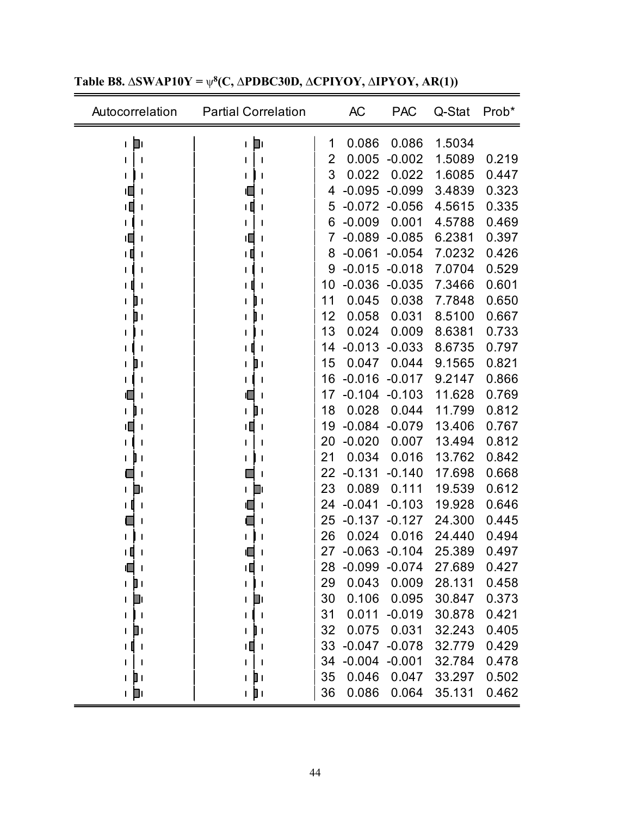| Autocorrelation          | <b>Partial Correlation</b>     |    | AC       | <b>PAC</b> | Q-Stat | Prob* |
|--------------------------|--------------------------------|----|----------|------------|--------|-------|
| Ш۱<br>$\mathbf{I}$       | ⊤ Di                           | 1  | 0.086    | 0.086      | 1.5034 |       |
| $\mathsf{l}$             | $\mathbf{I}$                   | 2  | 0.005    | $-0.002$   | 1.5089 | 0.219 |
|                          |                                | 3  | 0.022    | 0.022      | 1.6085 | 0.447 |
| Ш                        |                                | 4  | $-0.095$ | $-0.099$   | 3.4839 | 0.323 |
| TД                       | ΙI                             | 5  | $-0.072$ | $-0.056$   | 4.5615 | 0.335 |
|                          |                                | 6  | $-0.009$ | 0.001      | 4.5788 | 0.469 |
| ۱Ц                       | ۱O                             | 7  | $-0.089$ | $-0.085$   | 6.2381 | 0.397 |
| 1                        | $\mathsf{l}$                   | 8  | $-0.061$ | $-0.054$   | 7.0232 | 0.426 |
|                          |                                | 9  | $-0.015$ | $-0.018$   | 7.0704 | 0.529 |
|                          |                                | 10 | $-0.036$ | $-0.035$   | 7.3466 | 0.601 |
| ШΙ                       | $\mathbf{I}$                   | 11 | 0.045    | 0.038      | 7.7848 | 0.650 |
|                          | $\mathbf{I}$                   | 12 | 0.058    | 0.031      | 8.5100 | 0.667 |
| $\mathsf{l}$             | $\mathbf{I}$                   | 13 | 0.024    | 0.009      | 8.6381 | 0.733 |
|                          |                                | 14 | $-0.013$ | $-0.033$   | 8.6735 | 0.797 |
| ∎ ≀                      | $\blacksquare$                 | 15 | 0.047    | 0.044      | 9.1565 | 0.821 |
|                          |                                | 16 | $-0.016$ | $-0.017$   | 9.2147 | 0.866 |
|                          |                                | 17 | $-0.104$ | $-0.103$   | 11.628 | 0.769 |
|                          | $\blacksquare$<br>$\mathbf{I}$ | 18 | 0.028    | 0.044      | 11.799 | 0.812 |
| $\mathbf l$              | $\mathbf{I}$                   | 19 | $-0.084$ | $-0.079$   | 13.406 | 0.767 |
|                          | J                              | 20 | $-0.020$ | 0.007      | 13.494 | 0.812 |
|                          |                                | 21 | 0.034    | 0.016      | 13.762 | 0.842 |
| $\overline{\phantom{a}}$ | $\mathsf{l}$                   | 22 | $-0.131$ | $-0.140$   | 17.698 | 0.668 |
| O۱                       | ⊒∣                             | 23 | 0.089    | 0.111      | 19.539 | 0.612 |
| O<br>$\mathsf{l}$        | II.<br>$\mathbf{I}$            | 24 | $-0.041$ | $-0.103$   | 19.928 | 0.646 |
|                          |                                | 25 | $-0.137$ | $-0.127$   | 24.300 | 0.445 |
|                          |                                | 26 | 0.024    | 0.016      | 24.440 | 0.494 |
|                          |                                | 27 | $-0.063$ | $-0.104$   | 25.389 | 0.497 |
| 1 I<br>$\mathbf l$       | ТŪ<br>$\mathbf{I}$             | 28 | $-0.099$ | $-0.074$   | 27.689 | 0.427 |
| D۱<br>$\mathbf{I}$       | L                              | 29 | 0.043    | 0.009      | 28.131 | 0.458 |
| D۱<br>$\mathbf I$        | ∐⊥<br>L                        | 30 | 0.106    | 0.095      | 30.847 | 0.373 |
| -1                       | $\mathbf{I}$                   | 31 | 0.011    | $-0.019$   | 30.878 | 0.421 |
| ▯                        | $\mathbf{I}$                   | 32 | 0.075    | 0.031      | 32.243 | 0.405 |
| + 0<br>- 1               | ТŪ<br>- 1                      | 33 | $-0.047$ | $-0.078$   | 32.779 | 0.429 |
|                          |                                | 34 | $-0.004$ | $-0.001$   | 32.784 | 0.478 |
| ▯<br>$\mathbf{I}$        | $\blacksquare$<br>$\mathbf{I}$ | 35 | 0.046    | 0.047      | 33.297 | 0.502 |
| ⊥ ∥⊥                     | ı pı                           | 36 | 0.086    | 0.064      | 35.131 | 0.462 |

#### **Table B8. ∆SWAP10Y =** ψ**<sup>8</sup> (C, ∆PDBC30D, ∆CPIYOY, ∆IPYOY, AR(1))**

 $\overline{\phantom{0}}$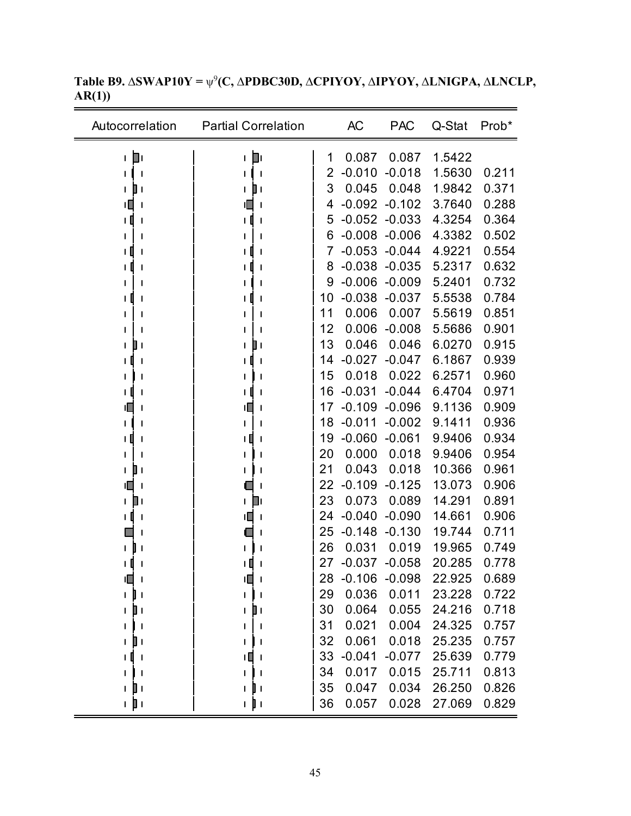| Autocorrelation              | <b>Partial Correlation</b> |    | <b>AC</b> | <b>PAC</b> | Q-Stat | Prob* |
|------------------------------|----------------------------|----|-----------|------------|--------|-------|
| Dι<br>$\mathsf{I}$           | D۱<br>L                    | 1  | 0.087     | 0.087      | 1.5422 |       |
| $\mathsf{l}$                 |                            | 2  | $-0.010$  | $-0.018$   | 1.5630 | 0.211 |
| $\blacksquare$<br>L          | $\mathbb I$ l              | 3  | 0.045     | 0.048      | 1.9842 | 0.371 |
| тЦ<br>$\mathsf{l}$           |                            | 4  | $-0.092$  | $-0.102$   | 3.7640 | 0.288 |
|                              |                            | 5  | $-0.052$  | $-0.033$   | 4.3254 | 0.364 |
|                              |                            | 6  | $-0.008$  | $-0.006$   | 4.3382 | 0.502 |
| J                            |                            | 7  | $-0.053$  | $-0.044$   | 4.9221 | 0.554 |
|                              |                            | 8  | $-0.038$  | $-0.035$   | 5.2317 | 0.632 |
|                              |                            | 9  | $-0.006$  | $-0.009$   | 5.2401 | 0.732 |
| J                            |                            | 10 | $-0.038$  | $-0.037$   | 5.5538 | 0.784 |
|                              |                            | 11 | 0.006     | 0.007      | 5.5619 | 0.851 |
|                              |                            | 12 | 0.006     | $-0.008$   | 5.5686 | 0.901 |
| $\mathbf{I}$                 |                            | 13 | 0.046     | 0.046      | 6.0270 | 0.915 |
| $\mathbf l$                  |                            | 14 | $-0.027$  | $-0.047$   | 6.1867 | 0.939 |
|                              |                            | 15 | 0.018     | 0.022      | 6.2571 | 0.960 |
|                              |                            | 16 | $-0.031$  | $-0.044$   | 6.4704 | 0.971 |
|                              | ۱Ц                         | 17 | $-0.109$  | $-0.096$   | 9.1136 | 0.909 |
|                              |                            | 18 | $-0.011$  | $-0.002$   | 9.1411 | 0.936 |
|                              |                            | 19 | $-0.060$  | $-0.061$   | 9.9406 | 0.934 |
| ı                            |                            | 20 | 0.000     | 0.018      | 9.9406 | 0.954 |
| Шι<br>$\mathbf{I}$           |                            | 21 | 0.043     | 0.018      | 10.366 | 0.961 |
| $\mathbf{I}$                 |                            | 22 | $-0.109$  | $-0.125$   | 13.073 | 0.906 |
| O۱<br>$\mathbf{I}$           | ⊥ ∎                        | 23 | 0.073     | 0.089      | 14.291 | 0.891 |
| $\mathbf l$                  | ۱Ц                         | 24 | $-0.040$  | $-0.090$   | 14.661 | 0.906 |
|                              | L                          | 25 | $-0.148$  | $-0.130$   | 19.744 | 0.711 |
|                              |                            | 26 | 0.031     | 0.019      | 19.965 | 0.749 |
|                              |                            | 27 | $-0.037$  | $-0.058$   | 20.285 | 0.778 |
|                              | ıП                         | 28 | $-0.106$  | $-0.098$   | 22.925 | 0.689 |
| $\mathbf{I}$ $\mathbf{I}$    | L                          | 29 | 0.036     | 0.011      | 23.228 | 0.722 |
| UΙ                           |                            | 30 | 0.064     | 0.055      | 24.216 | 0.718 |
| $\mathbf{I}$<br>$\mathbf{I}$ |                            | 31 | 0.021     | 0.004      | 24.325 | 0.757 |
| $\blacksquare$<br>I.         |                            | 32 | 0.061     | 0.018      | 25.235 | 0.757 |
| τI<br>- 1                    | Щ                          | 33 | $-0.041$  | $-0.077$   | 25.639 | 0.779 |
|                              |                            | 34 | 0.017     | 0.015      | 25.711 | 0.813 |
| 1 D I                        | 1 U L                      | 35 | 0.047     | 0.034      | 26.250 | 0.826 |
| n ji n                       | n ji n                     | 36 | 0.057     | 0.028      | 27.069 | 0.829 |

**Table B9. ∆SWAP10Y =** ψ<sup>9</sup> **(C, ∆PDBC30D, ∆CPIYOY, ∆IPYOY, ∆LNIGPA, ∆LNCLP, AR(1))**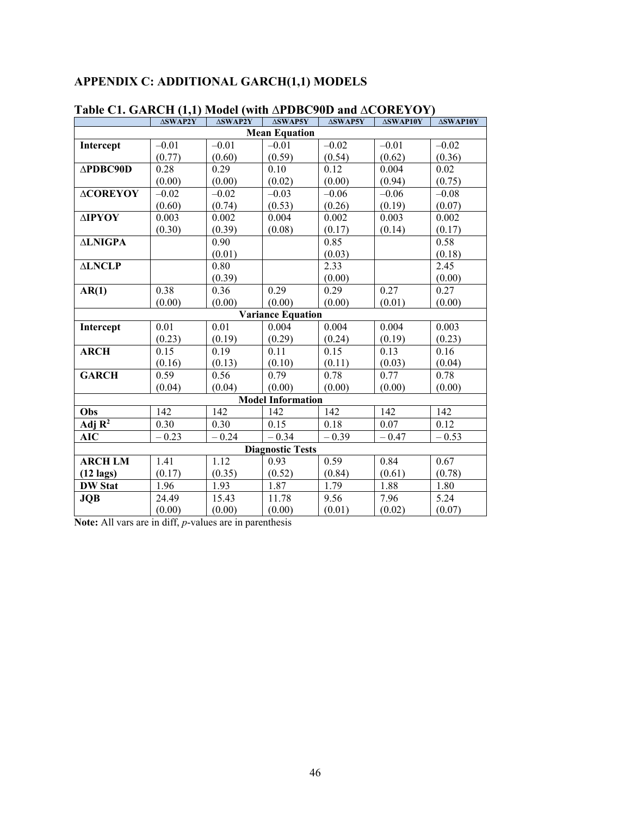# **APPENDIX C: ADDITIONAL GARCH(1,1) MODELS**

|                          | $\triangle SWAP2Y$ |         | $\Delta$ SWAP2Y   $\Delta$ SWAP5Y | $\triangle SWAP5Y$ | <b>ASWAP10Y</b> | <b>ASWAP10Y</b> |  |
|--------------------------|--------------------|---------|-----------------------------------|--------------------|-----------------|-----------------|--|
| <b>Mean Equation</b>     |                    |         |                                   |                    |                 |                 |  |
| Intercept                | $-0.01$            | $-0.01$ | $-0.01$                           | $-0.02$            | $-0.01$         | $-0.02$         |  |
|                          | (0.77)             | (0.60)  | (0.59)                            | (0.54)             | (0.62)          | (0.36)          |  |
| $\triangle PDBC90D$      | 0.28               | 0.29    | 0.10                              | 0.12               | 0.004           | 0.02            |  |
|                          | (0.00)             | (0.00)  | (0.02)                            | (0.00)             | (0.94)          | (0.75)          |  |
| <b>ACOREYOY</b>          | $-0.02$            | $-0.02$ | $-0.03$                           | $-0.06$            | $-0.06$         | $-0.08$         |  |
|                          | (0.60)             | (0.74)  | (0.53)                            | (0.26)             | (0.19)          | (0.07)          |  |
| ΔΙΡΥΟΥ                   | 0.003              | 0.002   | 0.004                             | 0.002              | 0.003           | 0.002           |  |
|                          | (0.30)             | (0.39)  | (0.08)                            | (0.17)             | (0.14)          | (0.17)          |  |
| <b>ALNIGPA</b>           |                    | 0.90    |                                   | 0.85               |                 | 0.58            |  |
|                          |                    | (0.01)  |                                   | (0.03)             |                 | (0.18)          |  |
| <b>ALNCLP</b>            |                    | 0.80    |                                   | 2.33               |                 | 2.45            |  |
|                          |                    | (0.39)  |                                   | (0.00)             |                 | (0.00)          |  |
| AR(1)                    | 0.38               | 0.36    | 0.29                              | 0.29               | 0.27            | 0.27            |  |
|                          | (0.00)             | (0.00)  | (0.00)                            | (0.00)             | (0.01)          | (0.00)          |  |
|                          |                    |         | <b>Variance Equation</b>          |                    |                 |                 |  |
| Intercept                | 0.01               | 0.01    | 0.004                             | 0.004              | 0.004           | 0.003           |  |
|                          | (0.23)             | (0.19)  | (0.29)                            | (0.24)             | (0.19)          | (0.23)          |  |
| <b>ARCH</b>              | 0.15               | 0.19    | 0.11                              | 0.15               | 0.13            | 0.16            |  |
|                          | (0.16)             | (0.13)  | (0.10)                            | (0.11)             | (0.03)          | (0.04)          |  |
| <b>GARCH</b>             | 0.59               | 0.56    | 0.79                              | 0.78               | 0.77            | 0.78            |  |
|                          | (0.04)             | (0.04)  | (0.00)                            | (0.00)             | (0.00)          | (0.00)          |  |
| <b>Model Information</b> |                    |         |                                   |                    |                 |                 |  |
| Obs                      | 142                | 142     | 142                               | 142                | 142             | 142             |  |
| $\overline{Adj R^2}$     | 0.30               | 0.30    | 0.15                              | 0.18               | 0.07            | 0.12            |  |
| AIC                      | $-0.23$            | $-0.24$ | $-0.34$                           | $-0.39$            | $-0.47$         | $-0.53$         |  |
| <b>Diagnostic Tests</b>  |                    |         |                                   |                    |                 |                 |  |
| <b>ARCH LM</b>           | 1.41               | 1.12    | 0.93                              | 0.59               | 0.84            | 0.67            |  |
| $(12 \text{ lags})$      | (0.17)             | (0.35)  | (0.52)                            | (0.84)             | (0.61)          | (0.78)          |  |
| <b>DW Stat</b>           | 1.96               | 1.93    | 1.87                              | 1.79               | 1.88            | 1.80            |  |
| <b>JQB</b>               | 24.49              | 15.43   | 11.78                             | 9.56               | 7.96            | 5.24            |  |
|                          | (0.00)             | (0.00)  | (0.00)                            | (0.01)             | (0.02)          | (0.07)          |  |

## **Table C1. GARCH (1,1) Model (with ∆PDBC90D and ∆COREYOY)**

**Note:** All vars are in diff, *p*-values are in parenthesis